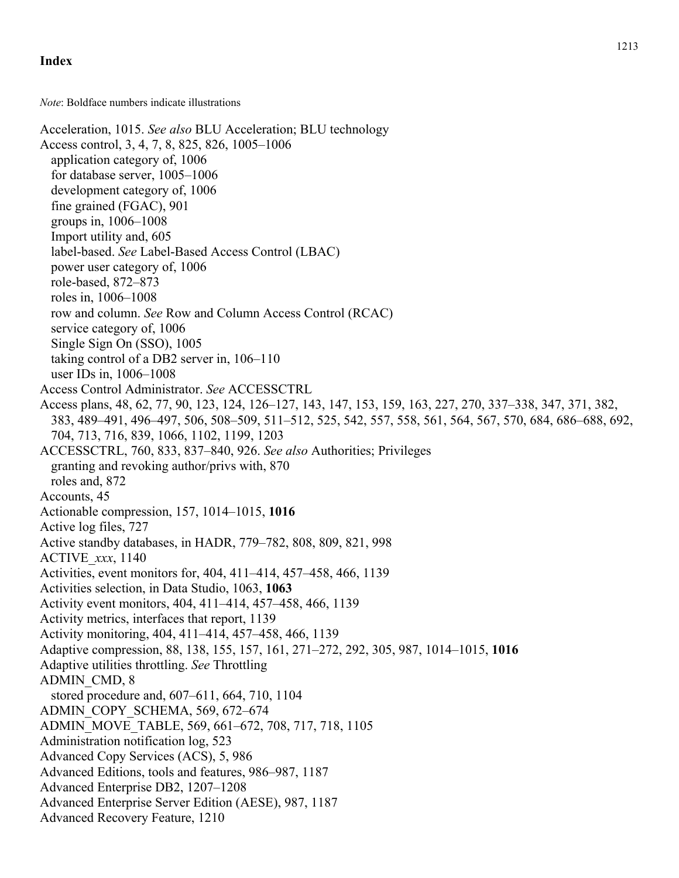*Note*: Boldface numbers indicate illustrations

Acceleration, 1015. *See also* BLU Acceleration; BLU technology Access control, 3, 4, 7, 8, 825, 826, 1005–1006 application category of, 1006 for database server, 1005–1006 development category of, 1006 fine grained (FGAC), 901 groups in, 1006–1008 Import utility and, 605 label-based. *See* Label-Based Access Control (LBAC) power user category of, 1006 role-based, 872–873 roles in, 1006–1008 row and column. *See* Row and Column Access Control (RCAC) service category of, 1006 Single Sign On (SSO), 1005 taking control of a DB2 server in, 106–110 user IDs in, 1006–1008 Access Control Administrator. *See* ACCESSCTRL Access plans, 48, 62, 77, 90, 123, 124, 126–127, 143, 147, 153, 159, 163, 227, 270, 337–338, 347, 371, 382, 383, 489–491, 496–497, 506, 508–509, 511–512, 525, 542, 557, 558, 561, 564, 567, 570, 684, 686–688, 692, 704, 713, 716, 839, 1066, 1102, 1199, 1203 ACCESSCTRL, 760, 833, 837–840, 926. *See also* Authorities; Privileges granting and revoking author/privs with, 870 roles and, 872 Accounts, 45 Actionable compression, 157, 1014–1015, **1016** Active log files, 727 Active standby databases, in HADR, 779–782, 808, 809, 821, 998 ACTIVE\_*xxx*, 1140 Activities, event monitors for, 404, 411–414, 457–458, 466, 1139 Activities selection, in Data Studio, 1063, **1063** Activity event monitors, 404, 411–414, 457–458, 466, 1139 Activity metrics, interfaces that report, 1139 Activity monitoring, 404, 411–414, 457–458, 466, 1139 Adaptive compression, 88, 138, 155, 157, 161, 271–272, 292, 305, 987, 1014–1015, **1016** Adaptive utilities throttling. *See* Throttling ADMIN\_CMD, 8 stored procedure and, 607–611, 664, 710, 1104 ADMIN\_COPY\_SCHEMA, 569, 672–674 ADMIN\_MOVE\_TABLE, 569, 661–672, 708, 717, 718, 1105 Administration notification log, 523 Advanced Copy Services (ACS), 5, 986 Advanced Editions, tools and features, 986–987, 1187 Advanced Enterprise DB2, 1207–1208 Advanced Enterprise Server Edition (AESE), 987, 1187 Advanced Recovery Feature, 1210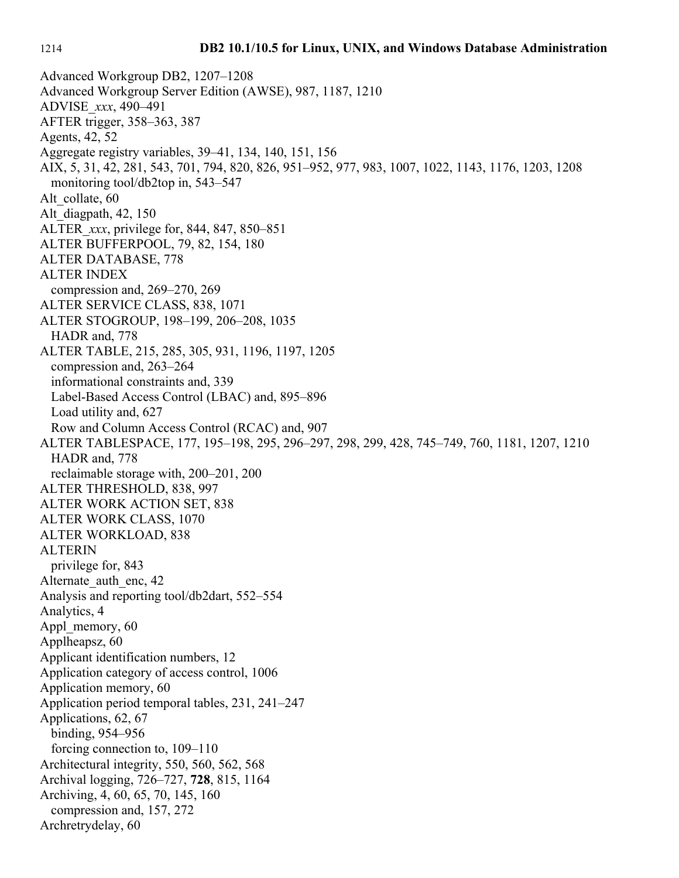Advanced Workgroup DB2, 1207–1208 Advanced Workgroup Server Edition (AWSE), 987, 1187, 1210 ADVISE\_*xxx*, 490–491 AFTER trigger, 358–363, 387 Agents, 42, 52 Aggregate registry variables, 39–41, 134, 140, 151, 156 AIX, 5, 31, 42, 281, 543, 701, 794, 820, 826, 951–952, 977, 983, 1007, 1022, 1143, 1176, 1203, 1208 monitoring tool/db2top in, 543–547 Alt\_collate, 60 Alt\_diagpath, 42, 150 ALTER\_*xxx*, privilege for, 844, 847, 850–851 ALTER BUFFERPOOL, 79, 82, 154, 180 ALTER DATABASE, 778 ALTER INDEX compression and, 269–270, 269 ALTER SERVICE CLASS, 838, 1071 ALTER STOGROUP, 198–199, 206–208, 1035 HADR and, 778 ALTER TABLE, 215, 285, 305, 931, 1196, 1197, 1205 compression and, 263–264 informational constraints and, 339 Label-Based Access Control (LBAC) and, 895–896 Load utility and, 627 Row and Column Access Control (RCAC) and, 907 ALTER TABLESPACE, 177, 195–198, 295, 296–297, 298, 299, 428, 745–749, 760, 1181, 1207, 1210 HADR and, 778 reclaimable storage with, 200–201, 200 ALTER THRESHOLD, 838, 997 ALTER WORK ACTION SET, 838 ALTER WORK CLASS, 1070 ALTER WORKLOAD, 838 ALTERIN privilege for, 843 Alternate auth enc, 42 Analysis and reporting tool/db2dart, 552–554 Analytics, 4 Appl\_memory, 60 Applheapsz, 60 Applicant identification numbers, 12 Application category of access control, 1006 Application memory, 60 Application period temporal tables, 231, 241–247 Applications, 62, 67 binding, 954–956 forcing connection to, 109–110 Architectural integrity, 550, 560, 562, 568 Archival logging, 726–727, **728**, 815, 1164 Archiving, 4, 60, 65, 70, 145, 160 compression and, 157, 272 Archretrydelay, 60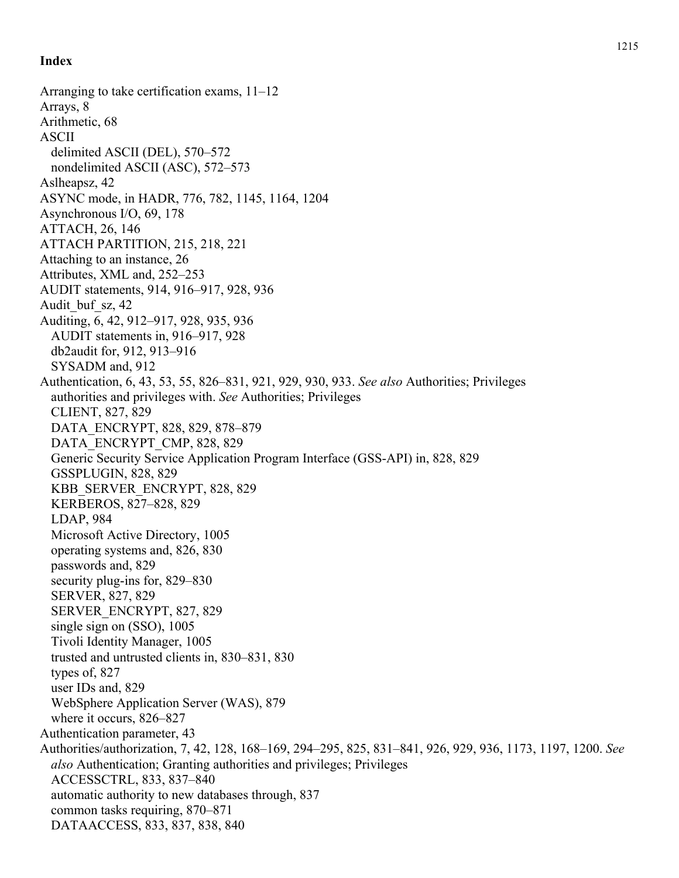Arranging to take certification exams, 11–12 Arrays, 8 Arithmetic, 68 ASCII delimited ASCII (DEL), 570–572 nondelimited ASCII (ASC), 572–573 Aslheapsz, 42 ASYNC mode, in HADR, 776, 782, 1145, 1164, 1204 Asynchronous I/O, 69, 178 ATTACH, 26, 146 ATTACH PARTITION, 215, 218, 221 Attaching to an instance, 26 Attributes, XML and, 252–253 AUDIT statements, 914, 916–917, 928, 936 Audit buf sz, 42 Auditing, 6, 42, 912–917, 928, 935, 936 AUDIT statements in, 916–917, 928 db2audit for, 912, 913–916 SYSADM and, 912 Authentication, 6, 43, 53, 55, 826–831, 921, 929, 930, 933. *See also* Authorities; Privileges authorities and privileges with. *See* Authorities; Privileges CLIENT, 827, 829 DATA\_ENCRYPT, 828, 829, 878–879 DATA\_ENCRYPT\_CMP, 828, 829 Generic Security Service Application Program Interface (GSS-API) in, 828, 829 GSSPLUGIN, 828, 829 KBB\_SERVER\_ENCRYPT, 828, 829 KERBEROS, 827–828, 829 LDAP, 984 Microsoft Active Directory, 1005 operating systems and, 826, 830 passwords and, 829 security plug-ins for, 829–830 SERVER, 827, 829 SERVER\_ENCRYPT, 827, 829 single sign on (SSO), 1005 Tivoli Identity Manager, 1005 trusted and untrusted clients in, 830–831, 830 types of, 827 user IDs and, 829 WebSphere Application Server (WAS), 879 where it occurs, 826–827 Authentication parameter, 43 Authorities/authorization, 7, 42, 128, 168–169, 294–295, 825, 831–841, 926, 929, 936, 1173, 1197, 1200. *See also* Authentication; Granting authorities and privileges; Privileges ACCESSCTRL, 833, 837–840 automatic authority to new databases through, 837 common tasks requiring, 870–871 DATAACCESS, 833, 837, 838, 840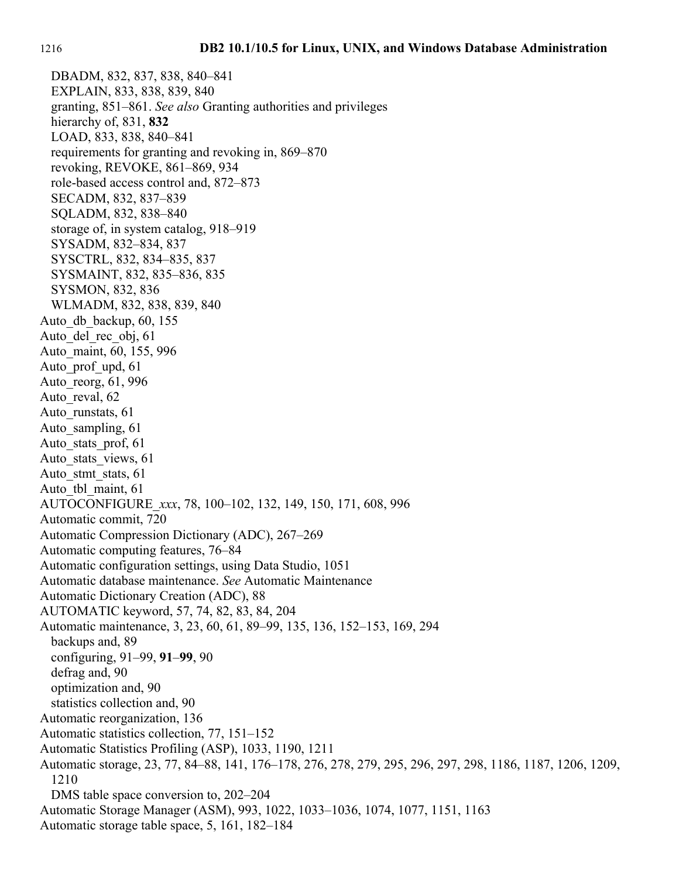DBADM, 832, 837, 838, 840–841 EXPLAIN, 833, 838, 839, 840 granting, 851–861. *See also* Granting authorities and privileges hierarchy of, 831, **832** LOAD, 833, 838, 840–841 requirements for granting and revoking in, 869–870 revoking, REVOKE, 861–869, 934 role-based access control and, 872–873 SECADM, 832, 837–839 SQLADM, 832, 838–840 storage of, in system catalog, 918–919 SYSADM, 832–834, 837 SYSCTRL, 832, 834–835, 837 SYSMAINT, 832, 835–836, 835 SYSMON, 832, 836 WLMADM, 832, 838, 839, 840 Auto\_db\_backup, 60, 155 Auto del rec obj, 61 Auto\_maint, 60, 155, 996 Auto prof upd, 61 Auto\_reorg, 61, 996 Auto reval, 62 Auto runstats, 61 Auto sampling, 61 Auto\_stats\_prof, 61 Auto stats views, 61 Auto stmt stats, 61 Auto tbl maint, 61 AUTOCONFIGURE\_*xxx*, 78, 100–102, 132, 149, 150, 171, 608, 996 Automatic commit, 720 Automatic Compression Dictionary (ADC), 267–269 Automatic computing features, 76–84 Automatic configuration settings, using Data Studio, 1051 Automatic database maintenance. *See* Automatic Maintenance Automatic Dictionary Creation (ADC), 88 AUTOMATIC keyword, 57, 74, 82, 83, 84, 204 Automatic maintenance, 3, 23, 60, 61, 89–99, 135, 136, 152–153, 169, 294 backups and, 89 configuring, 91–99, **91**–**99**, 90 defrag and, 90 optimization and, 90 statistics collection and, 90 Automatic reorganization, 136 Automatic statistics collection, 77, 151–152 Automatic Statistics Profiling (ASP), 1033, 1190, 1211 Automatic storage, 23, 77, 84–88, 141, 176–178, 276, 278, 279, 295, 296, 297, 298, 1186, 1187, 1206, 1209, 1210 DMS table space conversion to, 202–204 Automatic Storage Manager (ASM), 993, 1022, 1033–1036, 1074, 1077, 1151, 1163 Automatic storage table space, 5, 161, 182–184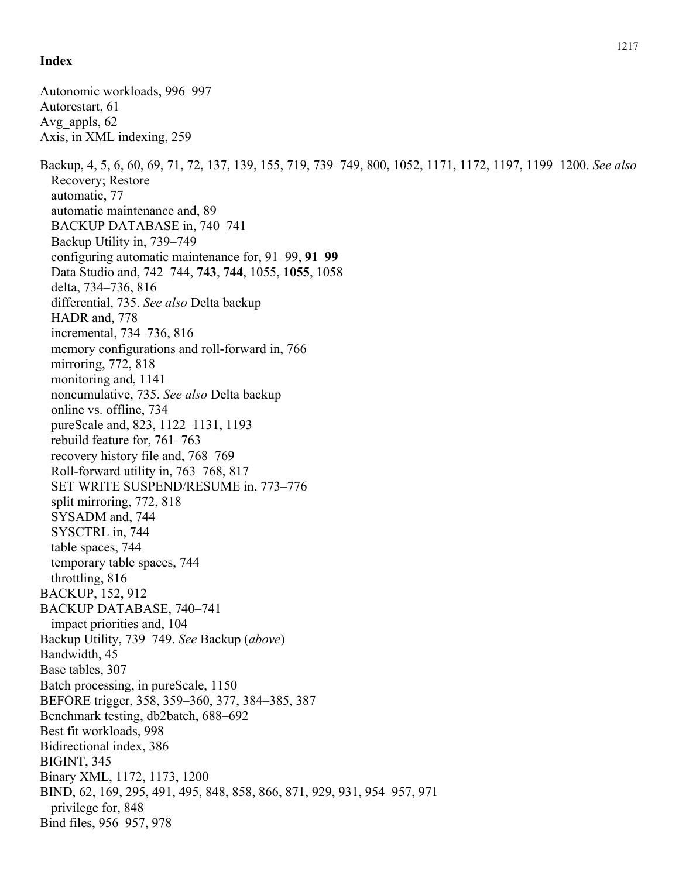Autonomic workloads, 996–997 Autorestart, 61 Avg\_appls, 62 Axis, in XML indexing, 259 Backup, 4, 5, 6, 60, 69, 71, 72, 137, 139, 155, 719, 739–749, 800, 1052, 1171, 1172, 1197, 1199–1200. *See also* Recovery; Restore automatic, 77 automatic maintenance and, 89 BACKUP DATABASE in, 740–741 Backup Utility in, 739–749 configuring automatic maintenance for, 91–99, **91**–**99** Data Studio and, 742–744, **743**, **744**, 1055, **1055**, 1058 delta, 734–736, 816 differential, 735. *See also* Delta backup HADR and, 778 incremental, 734–736, 816 memory configurations and roll-forward in, 766 mirroring, 772, 818 monitoring and, 1141 noncumulative, 735. *See also* Delta backup online vs. offline, 734 pureScale and, 823, 1122–1131, 1193 rebuild feature for, 761–763 recovery history file and, 768–769 Roll-forward utility in, 763–768, 817 SET WRITE SUSPEND/RESUME in, 773–776 split mirroring, 772, 818 SYSADM and, 744 SYSCTRL in, 744 table spaces, 744 temporary table spaces, 744 throttling, 816 BACKUP, 152, 912 BACKUP DATABASE, 740–741 impact priorities and, 104 Backup Utility, 739–749. *See* Backup (*above*) Bandwidth, 45 Base tables, 307 Batch processing, in pureScale, 1150 BEFORE trigger, 358, 359–360, 377, 384–385, 387 Benchmark testing, db2batch, 688–692 Best fit workloads, 998 Bidirectional index, 386 BIGINT, 345 Binary XML, 1172, 1173, 1200 BIND, 62, 169, 295, 491, 495, 848, 858, 866, 871, 929, 931, 954–957, 971 privilege for, 848 Bind files, 956–957, 978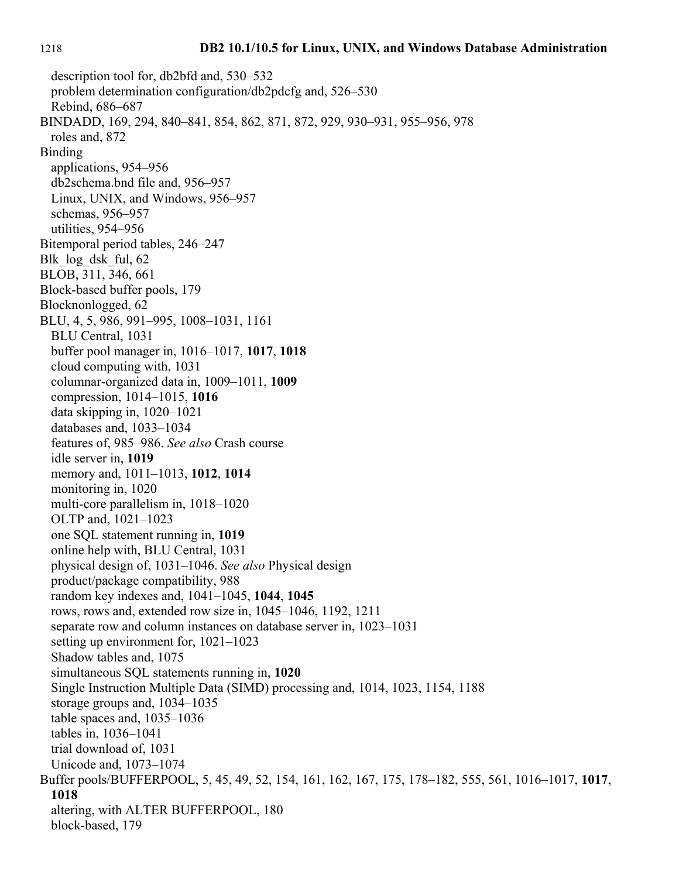description tool for, db2bfd and, 530–532 problem determination configuration/db2pdcfg and, 526–530 Rebind, 686–687 BINDADD, 169, 294, 840–841, 854, 862, 871, 872, 929, 930–931, 955–956, 978 roles and, 872 Binding applications, 954–956 db2schema.bnd file and, 956–957 Linux, UNIX, and Windows, 956–957 schemas, 956–957 utilities, 954–956 Bitemporal period tables, 246–247 Blk log dsk ful, 62 BLOB, 311, 346, 661 Block-based buffer pools, 179 Blocknonlogged, 62 BLU, 4, 5, 986, 991–995, 1008–1031, 1161 BLU Central, 1031 buffer pool manager in, 1016–1017, **1017**, **1018** cloud computing with, 1031 columnar-organized data in, 1009–1011, **1009** compression, 1014–1015, **1016** data skipping in, 1020–1021 databases and, 1033–1034 features of, 985–986. *See also* Crash course idle server in, **1019** memory and, 1011–1013, **1012**, **1014** monitoring in, 1020 multi-core parallelism in, 1018–1020 OLTP and, 1021–1023 one SQL statement running in, **1019** online help with, BLU Central, 1031 physical design of, 1031–1046. *See also* Physical design product/package compatibility, 988 random key indexes and, 1041–1045, **1044**, **1045** rows, rows and, extended row size in, 1045–1046, 1192, 1211 separate row and column instances on database server in, 1023–1031 setting up environment for, 1021–1023 Shadow tables and, 1075 simultaneous SQL statements running in, **1020** Single Instruction Multiple Data (SIMD) processing and, 1014, 1023, 1154, 1188 storage groups and, 1034–1035 table spaces and, 1035–1036 tables in, 1036–1041 trial download of, 1031 Unicode and, 1073–1074 Buffer pools/BUFFERPOOL, 5, 45, 49, 52, 154, 161, 162, 167, 175, 178–182, 555, 561, 1016–1017, **1017**, **1018** altering, with ALTER BUFFERPOOL, 180 block-based, 179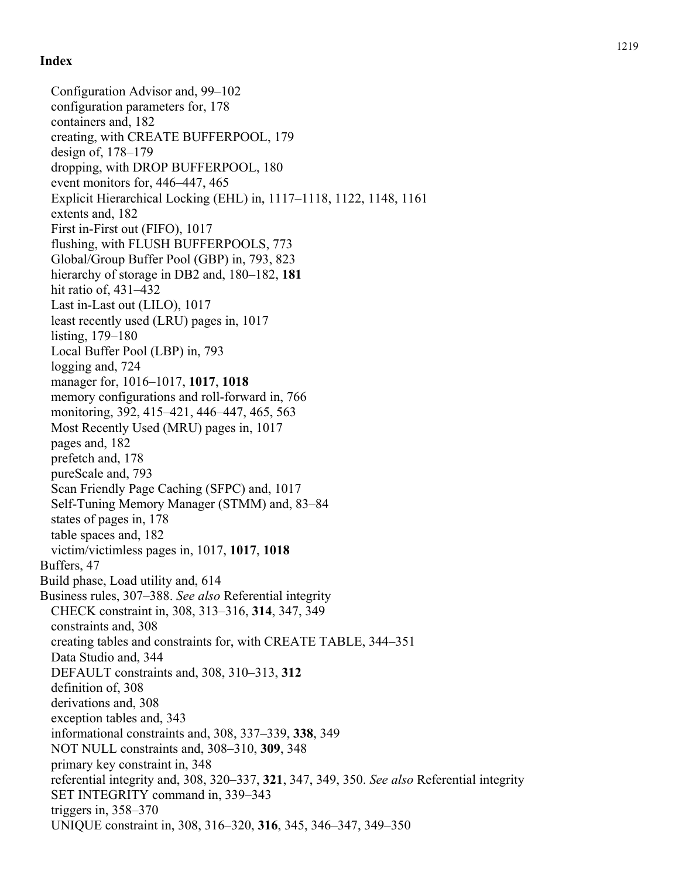Configuration Advisor and, 99–102 configuration parameters for, 178 containers and, 182 creating, with CREATE BUFFERPOOL, 179 design of, 178–179 dropping, with DROP BUFFERPOOL, 180 event monitors for, 446–447, 465 Explicit Hierarchical Locking (EHL) in, 1117–1118, 1122, 1148, 1161 extents and, 182 First in-First out (FIFO), 1017 flushing, with FLUSH BUFFERPOOLS, 773 Global/Group Buffer Pool (GBP) in, 793, 823 hierarchy of storage in DB2 and, 180–182, **181** hit ratio of, 431–432 Last in-Last out (LILO), 1017 least recently used (LRU) pages in, 1017 listing, 179–180 Local Buffer Pool (LBP) in, 793 logging and, 724 manager for, 1016–1017, **1017**, **1018** memory configurations and roll-forward in, 766 monitoring, 392, 415–421, 446–447, 465, 563 Most Recently Used (MRU) pages in, 1017 pages and, 182 prefetch and, 178 pureScale and, 793 Scan Friendly Page Caching (SFPC) and, 1017 Self-Tuning Memory Manager (STMM) and, 83–84 states of pages in, 178 table spaces and, 182 victim/victimless pages in, 1017, **1017**, **1018** Buffers, 47 Build phase, Load utility and, 614 Business rules, 307–388. *See also* Referential integrity CHECK constraint in, 308, 313–316, **314**, 347, 349 constraints and, 308 creating tables and constraints for, with CREATE TABLE, 344–351 Data Studio and, 344 DEFAULT constraints and, 308, 310–313, **312** definition of, 308 derivations and, 308 exception tables and, 343 informational constraints and, 308, 337–339, **338**, 349 NOT NULL constraints and, 308–310, **309**, 348 primary key constraint in, 348 referential integrity and, 308, 320–337, **321**, 347, 349, 350. *See also* Referential integrity SET INTEGRITY command in, 339–343 triggers in, 358–370 UNIQUE constraint in, 308, 316–320, **316**, 345, 346–347, 349–350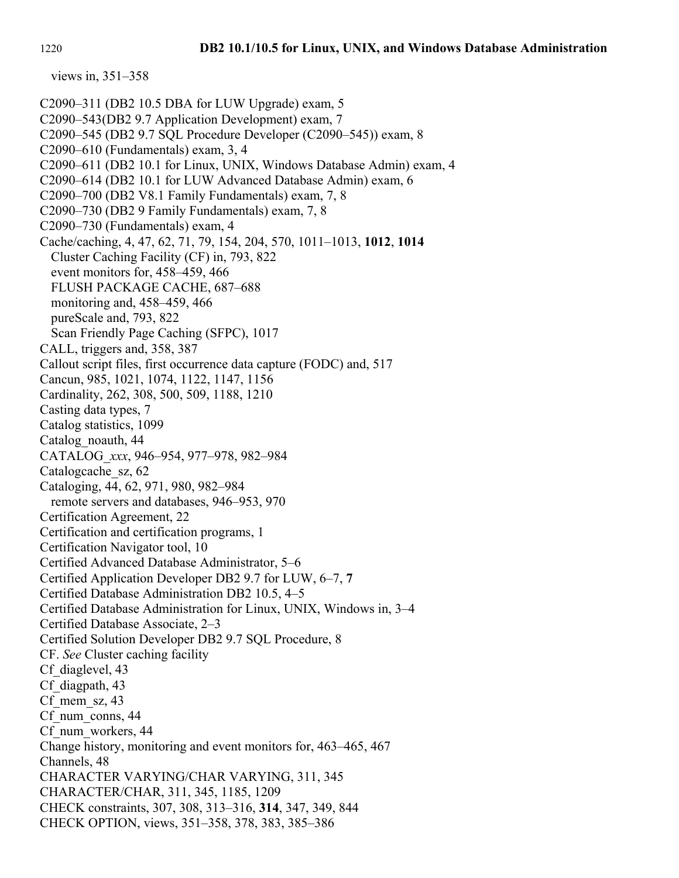C2090–311 (DB2 10.5 DBA for LUW Upgrade) exam, 5 C2090–543(DB2 9.7 Application Development) exam, 7 C2090–545 (DB2 9.7 SQL Procedure Developer (C2090–545)) exam, 8 C2090–610 (Fundamentals) exam, 3, 4 C2090–611 (DB2 10.1 for Linux, UNIX, Windows Database Admin) exam, 4 C2090–614 (DB2 10.1 for LUW Advanced Database Admin) exam, 6 C2090–700 (DB2 V8.1 Family Fundamentals) exam, 7, 8 C2090–730 (DB2 9 Family Fundamentals) exam, 7, 8 C2090–730 (Fundamentals) exam, 4 Cache/caching, 4, 47, 62, 71, 79, 154, 204, 570, 1011–1013, **1012**, **1014** Cluster Caching Facility (CF) in, 793, 822 event monitors for, 458–459, 466 FLUSH PACKAGE CACHE, 687–688 monitoring and, 458–459, 466 pureScale and, 793, 822 Scan Friendly Page Caching (SFPC), 1017 CALL, triggers and, 358, 387 Callout script files, first occurrence data capture (FODC) and, 517 Cancun, 985, 1021, 1074, 1122, 1147, 1156 Cardinality, 262, 308, 500, 509, 1188, 1210 Casting data types, 7 Catalog statistics, 1099 Catalog\_noauth, 44 CATALOG\_*xxx*, 946–954, 977–978, 982–984 Catalogcache\_sz, 62 Cataloging, 44, 62, 971, 980, 982–984 remote servers and databases, 946–953, 970 Certification Agreement, 22 Certification and certification programs, 1 Certification Navigator tool, 10 Certified Advanced Database Administrator, 5–6 Certified Application Developer DB2 9.7 for LUW, 6–7, **7** Certified Database Administration DB2 10.5, 4–5 Certified Database Administration for Linux, UNIX, Windows in, 3–4 Certified Database Associate, 2–3 Certified Solution Developer DB2 9.7 SQL Procedure, 8 CF. *See* Cluster caching facility Cf\_diaglevel, 43 Cf diagpath, 43 Cf mem  $sz, 43$ Cf num conns, 44 Cf num workers, 44 Change history, monitoring and event monitors for, 463–465, 467 Channels, 48 CHARACTER VARYING/CHAR VARYING, 311, 345 CHARACTER/CHAR, 311, 345, 1185, 1209 CHECK constraints, 307, 308, 313–316, **314**, 347, 349, 844 CHECK OPTION, views, 351–358, 378, 383, 385–386

views in, 351–358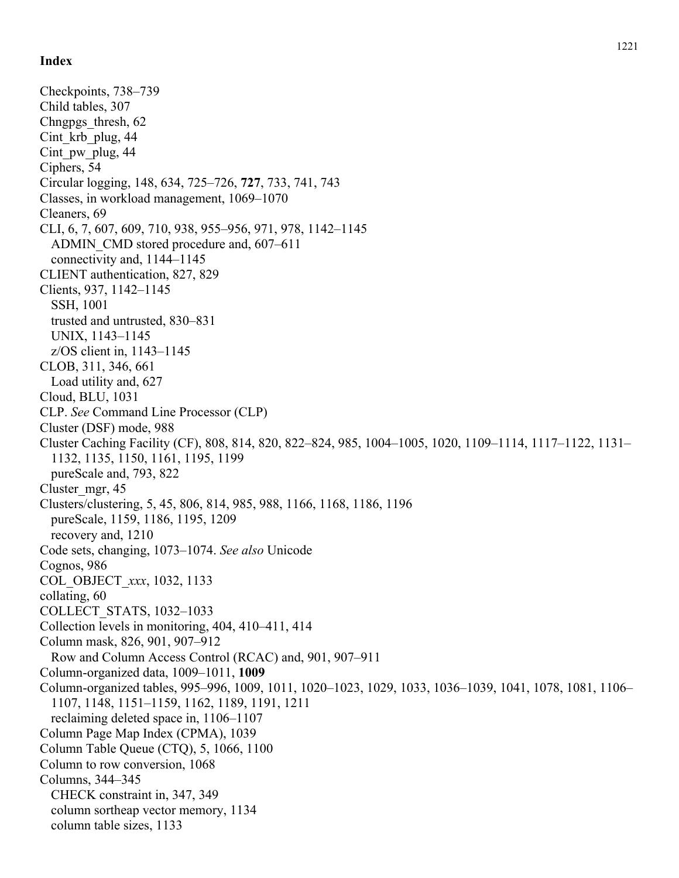Checkpoints, 738–739 Child tables, 307 Chngpgs\_thresh, 62 Cint krb plug, 44 Cint pw plug, 44 Ciphers, 54 Circular logging, 148, 634, 725–726, **727**, 733, 741, 743 Classes, in workload management, 1069–1070 Cleaners, 69 CLI, 6, 7, 607, 609, 710, 938, 955–956, 971, 978, 1142–1145 ADMIN\_CMD stored procedure and, 607–611 connectivity and, 1144–1145 CLIENT authentication, 827, 829 Clients, 937, 1142–1145 SSH, 1001 trusted and untrusted, 830–831 UNIX, 1143–1145 z/OS client in, 1143–1145 CLOB, 311, 346, 661 Load utility and, 627 Cloud, BLU, 1031 CLP. *See* Command Line Processor (CLP) Cluster (DSF) mode, 988 Cluster Caching Facility (CF), 808, 814, 820, 822–824, 985, 1004–1005, 1020, 1109–1114, 1117–1122, 1131– 1132, 1135, 1150, 1161, 1195, 1199 pureScale and, 793, 822 Cluster\_mgr, 45 Clusters/clustering, 5, 45, 806, 814, 985, 988, 1166, 1168, 1186, 1196 pureScale, 1159, 1186, 1195, 1209 recovery and, 1210 Code sets, changing, 1073–1074. *See also* Unicode Cognos, 986 COL\_OBJECT\_*xxx*, 1032, 1133 collating, 60 COLLECT\_STATS, 1032–1033 Collection levels in monitoring, 404, 410–411, 414 Column mask, 826, 901, 907–912 Row and Column Access Control (RCAC) and, 901, 907–911 Column-organized data, 1009–1011, **1009** Column-organized tables, 995–996, 1009, 1011, 1020–1023, 1029, 1033, 1036–1039, 1041, 1078, 1081, 1106– 1107, 1148, 1151–1159, 1162, 1189, 1191, 1211 reclaiming deleted space in, 1106–1107 Column Page Map Index (CPMA), 1039 Column Table Queue (CTQ), 5, 1066, 1100 Column to row conversion, 1068 Columns, 344–345 CHECK constraint in, 347, 349 column sortheap vector memory, 1134 column table sizes, 1133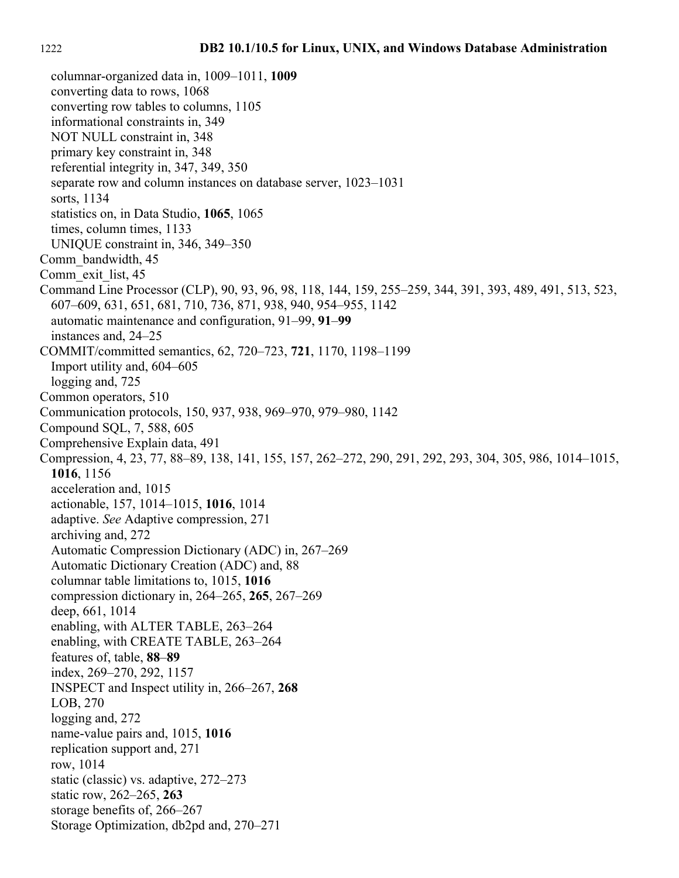columnar-organized data in, 1009–1011, **1009** converting data to rows, 1068 converting row tables to columns, 1105 informational constraints in, 349 NOT NULL constraint in, 348 primary key constraint in, 348 referential integrity in, 347, 349, 350 separate row and column instances on database server, 1023–1031 sorts, 1134 statistics on, in Data Studio, **1065**, 1065 times, column times, 1133 UNIQUE constraint in, 346, 349–350 Comm\_bandwidth, 45 Comm\_exit\_list, 45 Command Line Processor (CLP), 90, 93, 96, 98, 118, 144, 159, 255–259, 344, 391, 393, 489, 491, 513, 523, 607–609, 631, 651, 681, 710, 736, 871, 938, 940, 954–955, 1142 automatic maintenance and configuration, 91–99, **91**–**99** instances and, 24–25 COMMIT/committed semantics, 62, 720–723, **721**, 1170, 1198–1199 Import utility and, 604–605 logging and, 725 Common operators, 510 Communication protocols, 150, 937, 938, 969–970, 979–980, 1142 Compound SQL, 7, 588, 605 Comprehensive Explain data, 491 Compression, 4, 23, 77, 88–89, 138, 141, 155, 157, 262–272, 290, 291, 292, 293, 304, 305, 986, 1014–1015, **1016**, 1156 acceleration and, 1015 actionable, 157, 1014–1015, **1016**, 1014 adaptive. *See* Adaptive compression, 271 archiving and, 272 Automatic Compression Dictionary (ADC) in, 267–269 Automatic Dictionary Creation (ADC) and, 88 columnar table limitations to, 1015, **1016** compression dictionary in, 264–265, **265**, 267–269 deep, 661, 1014 enabling, with ALTER TABLE, 263–264 enabling, with CREATE TABLE, 263–264 features of, table, **88**–**89** index, 269–270, 292, 1157 INSPECT and Inspect utility in, 266–267, **268** LOB, 270 logging and, 272 name-value pairs and, 1015, **1016** replication support and, 271 row, 1014 static (classic) vs. adaptive, 272–273 static row, 262–265, **263** storage benefits of, 266–267 Storage Optimization, db2pd and, 270–271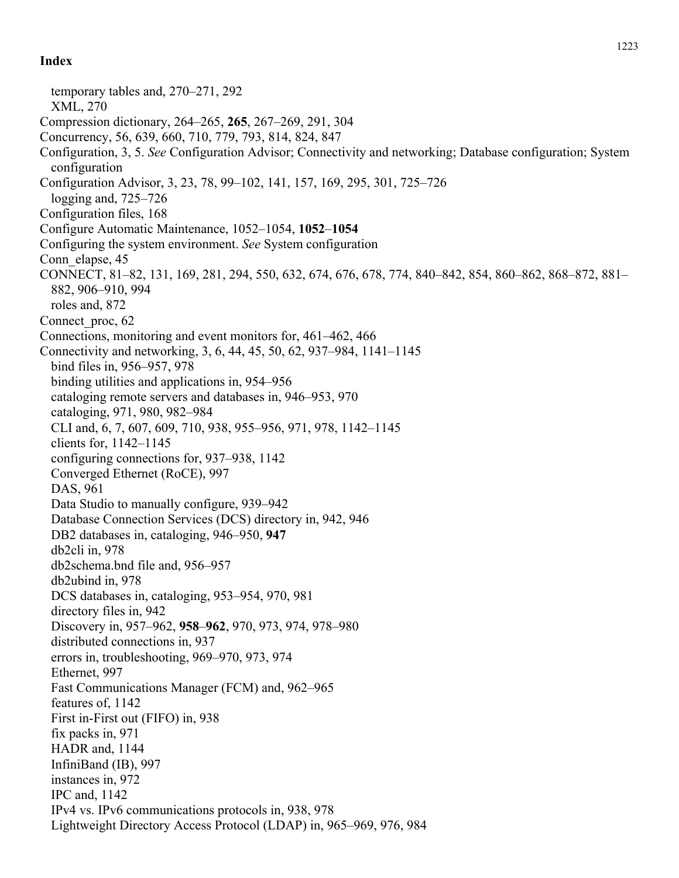temporary tables and, 270–271, 292 XML, 270 Compression dictionary, 264–265, **265**, 267–269, 291, 304 Concurrency, 56, 639, 660, 710, 779, 793, 814, 824, 847 Configuration, 3, 5. *See* Configuration Advisor; Connectivity and networking; Database configuration; System configuration Configuration Advisor, 3, 23, 78, 99–102, 141, 157, 169, 295, 301, 725–726 logging and, 725–726 Configuration files, 168 Configure Automatic Maintenance, 1052–1054, **1052**–**1054** Configuring the system environment. *See* System configuration Conn elapse, 45 CONNECT, 81–82, 131, 169, 281, 294, 550, 632, 674, 676, 678, 774, 840–842, 854, 860–862, 868–872, 881– 882, 906–910, 994 roles and, 872 Connect proc, 62 Connections, monitoring and event monitors for, 461–462, 466 Connectivity and networking, 3, 6, 44, 45, 50, 62, 937–984, 1141–1145 bind files in, 956–957, 978 binding utilities and applications in, 954–956 cataloging remote servers and databases in, 946–953, 970 cataloging, 971, 980, 982–984 CLI and, 6, 7, 607, 609, 710, 938, 955–956, 971, 978, 1142–1145 clients for, 1142–1145 configuring connections for, 937–938, 1142 Converged Ethernet (RoCE), 997 DAS, 961 Data Studio to manually configure, 939–942 Database Connection Services (DCS) directory in, 942, 946 DB2 databases in, cataloging, 946–950, **947** db2cli in, 978 db2schema.bnd file and, 956–957 db2ubind in, 978 DCS databases in, cataloging, 953–954, 970, 981 directory files in, 942 Discovery in, 957–962, **958**–**962**, 970, 973, 974, 978–980 distributed connections in, 937 errors in, troubleshooting, 969–970, 973, 974 Ethernet, 997 Fast Communications Manager (FCM) and, 962–965 features of, 1142 First in-First out (FIFO) in, 938 fix packs in, 971 HADR and, 1144 InfiniBand (IB), 997 instances in, 972 IPC and, 1142 IPv4 vs. IPv6 communications protocols in, 938, 978 Lightweight Directory Access Protocol (LDAP) in, 965–969, 976, 984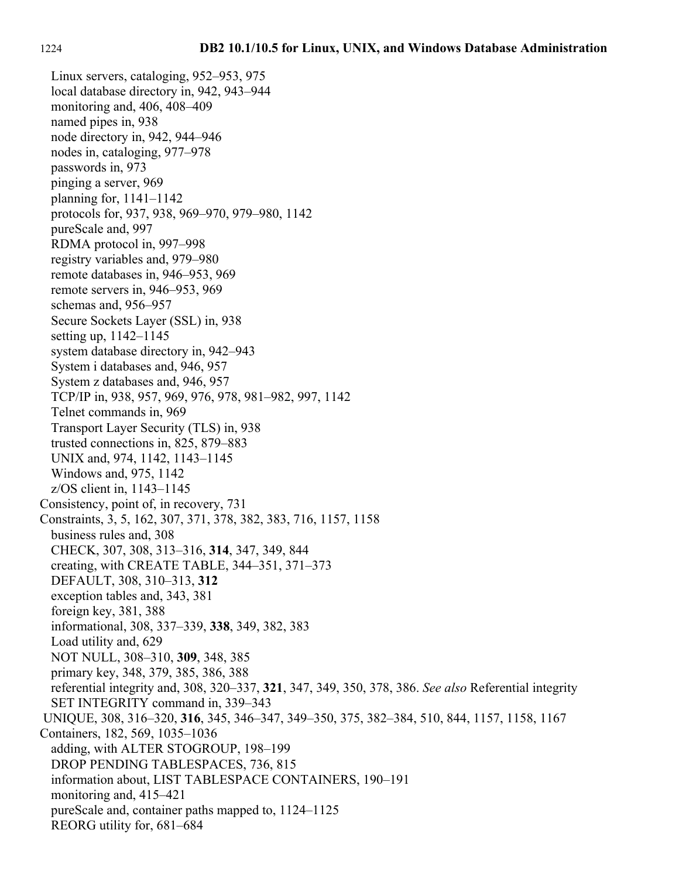Linux servers, cataloging, 952–953, 975 local database directory in, 942, 943–944 monitoring and, 406, 408–409 named pipes in, 938 node directory in, 942, 944–946 nodes in, cataloging, 977–978 passwords in, 973 pinging a server, 969 planning for, 1141–1142 protocols for, 937, 938, 969–970, 979–980, 1142 pureScale and, 997 RDMA protocol in, 997–998 registry variables and, 979–980 remote databases in, 946–953, 969 remote servers in, 946–953, 969 schemas and, 956–957 Secure Sockets Layer (SSL) in, 938 setting up, 1142–1145 system database directory in, 942–943 System i databases and, 946, 957 System z databases and, 946, 957 TCP/IP in, 938, 957, 969, 976, 978, 981–982, 997, 1142 Telnet commands in, 969 Transport Layer Security (TLS) in, 938 trusted connections in, 825, 879–883 UNIX and, 974, 1142, 1143–1145 Windows and, 975, 1142 z/OS client in, 1143–1145 Consistency, point of, in recovery, 731 Constraints, 3, 5, 162, 307, 371, 378, 382, 383, 716, 1157, 1158 business rules and, 308 CHECK, 307, 308, 313–316, **314**, 347, 349, 844 creating, with CREATE TABLE, 344–351, 371–373 DEFAULT, 308, 310–313, **312** exception tables and, 343, 381 foreign key, 381, 388 informational, 308, 337–339, **338**, 349, 382, 383 Load utility and, 629 NOT NULL, 308–310, **309**, 348, 385 primary key, 348, 379, 385, 386, 388 referential integrity and, 308, 320–337, **321**, 347, 349, 350, 378, 386. *See also* Referential integrity SET INTEGRITY command in, 339–343 UNIQUE, 308, 316–320, **316**, 345, 346–347, 349–350, 375, 382–384, 510, 844, 1157, 1158, 1167 Containers, 182, 569, 1035–1036 adding, with ALTER STOGROUP, 198–199 DROP PENDING TABLESPACES, 736, 815 information about, LIST TABLESPACE CONTAINERS, 190–191 monitoring and, 415–421 pureScale and, container paths mapped to, 1124–1125 REORG utility for, 681–684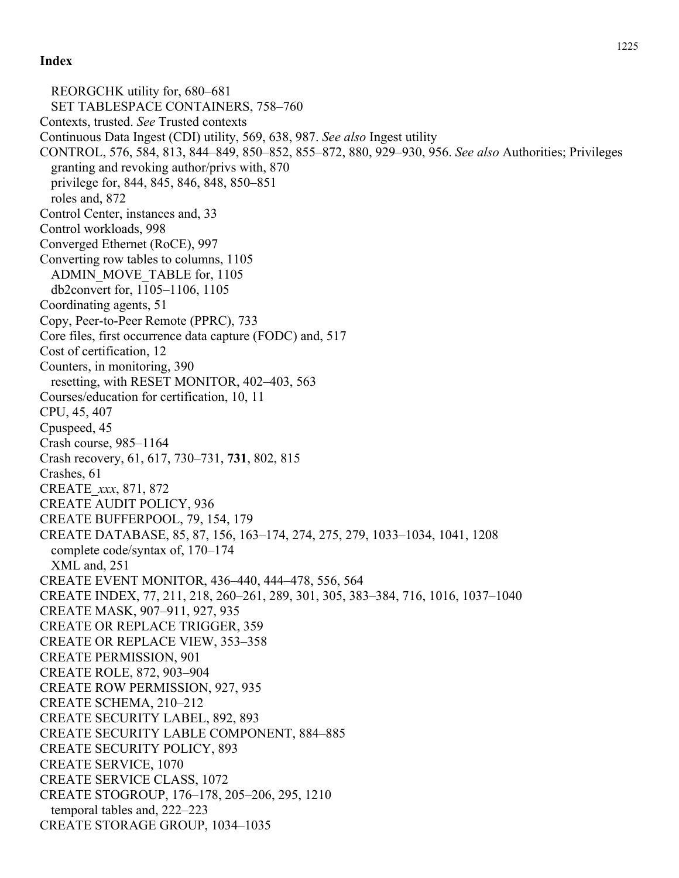REORGCHK utility for, 680–681 SET TABLESPACE CONTAINERS, 758–760 Contexts, trusted. *See* Trusted contexts Continuous Data Ingest (CDI) utility, 569, 638, 987. *See also* Ingest utility CONTROL, 576, 584, 813, 844–849, 850–852, 855–872, 880, 929–930, 956. *See also* Authorities; Privileges granting and revoking author/privs with, 870 privilege for, 844, 845, 846, 848, 850–851 roles and, 872 Control Center, instances and, 33 Control workloads, 998 Converged Ethernet (RoCE), 997 Converting row tables to columns, 1105 ADMIN\_MOVE\_TABLE for, 1105 db2convert for, 1105–1106, 1105 Coordinating agents, 51 Copy, Peer-to-Peer Remote (PPRC), 733 Core files, first occurrence data capture (FODC) and, 517 Cost of certification, 12 Counters, in monitoring, 390 resetting, with RESET MONITOR, 402–403, 563 Courses/education for certification, 10, 11 CPU, 45, 407 Cpuspeed, 45 Crash course, 985–1164 Crash recovery, 61, 617, 730–731, **731**, 802, 815 Crashes, 61 CREATE\_*xxx*, 871, 872 CREATE AUDIT POLICY, 936 CREATE BUFFERPOOL, 79, 154, 179 CREATE DATABASE, 85, 87, 156, 163–174, 274, 275, 279, 1033–1034, 1041, 1208 complete code/syntax of, 170–174 XML and, 251 CREATE EVENT MONITOR, 436–440, 444–478, 556, 564 CREATE INDEX, 77, 211, 218, 260–261, 289, 301, 305, 383–384, 716, 1016, 1037–1040 CREATE MASK, 907–911, 927, 935 CREATE OR REPLACE TRIGGER, 359 CREATE OR REPLACE VIEW, 353–358 CREATE PERMISSION, 901 CREATE ROLE, 872, 903–904 CREATE ROW PERMISSION, 927, 935 CREATE SCHEMA, 210–212 CREATE SECURITY LABEL, 892, 893 CREATE SECURITY LABLE COMPONENT, 884–885 CREATE SECURITY POLICY, 893 CREATE SERVICE, 1070 CREATE SERVICE CLASS, 1072 CREATE STOGROUP, 176–178, 205–206, 295, 1210 temporal tables and, 222–223 CREATE STORAGE GROUP, 1034–1035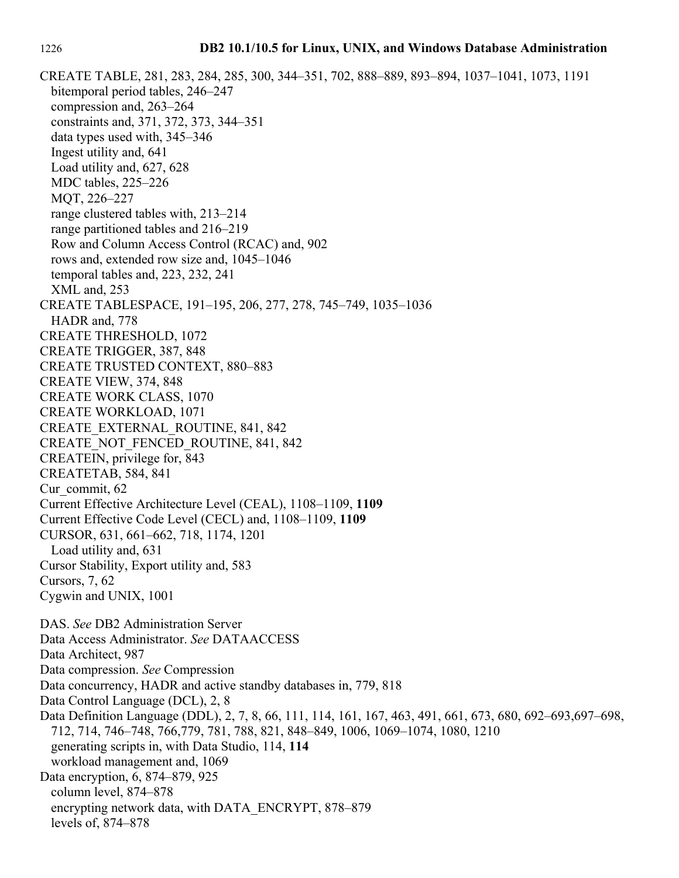CREATE TABLE, 281, 283, 284, 285, 300, 344–351, 702, 888–889, 893–894, 1037–1041, 1073, 1191 bitemporal period tables, 246–247 compression and, 263–264 constraints and, 371, 372, 373, 344–351 data types used with, 345–346 Ingest utility and, 641 Load utility and, 627, 628 MDC tables, 225–226 MQT, 226–227 range clustered tables with, 213–214 range partitioned tables and 216–219 Row and Column Access Control (RCAC) and, 902 rows and, extended row size and, 1045–1046 temporal tables and, 223, 232, 241 XML and, 253 CREATE TABLESPACE, 191–195, 206, 277, 278, 745–749, 1035–1036 HADR and, 778 CREATE THRESHOLD, 1072 CREATE TRIGGER, 387, 848 CREATE TRUSTED CONTEXT, 880–883 CREATE VIEW, 374, 848 CREATE WORK CLASS, 1070 CREATE WORKLOAD, 1071 CREATE\_EXTERNAL\_ROUTINE, 841, 842 CREATE\_NOT\_FENCED\_ROUTINE, 841, 842 CREATEIN, privilege for, 843 CREATETAB, 584, 841 Cur\_commit, 62 Current Effective Architecture Level (CEAL), 1108–1109, **1109** Current Effective Code Level (CECL) and, 1108–1109, **1109** CURSOR, 631, 661–662, 718, 1174, 1201 Load utility and, 631 Cursor Stability, Export utility and, 583 Cursors, 7, 62 Cygwin and UNIX, 1001 DAS. *See* DB2 Administration Server Data Access Administrator. *See* DATAACCESS Data Architect, 987 Data compression. *See* Compression Data concurrency, HADR and active standby databases in, 779, 818 Data Control Language (DCL), 2, 8 Data Definition Language (DDL), 2, 7, 8, 66, 111, 114, 161, 167, 463, 491, 661, 673, 680, 692–693,697–698, 712, 714, 746–748, 766,779, 781, 788, 821, 848–849, 1006, 1069–1074, 1080, 1210 generating scripts in, with Data Studio, 114, **114** workload management and, 1069 Data encryption, 6, 874–879, 925 column level, 874–878 encrypting network data, with DATA\_ENCRYPT, 878–879 levels of, 874–878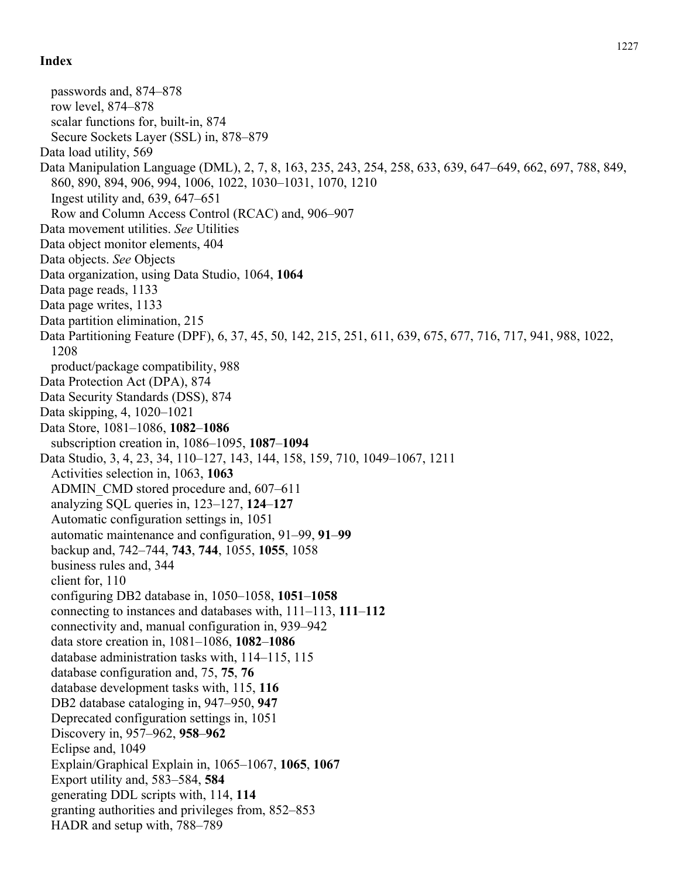passwords and, 874–878 row level, 874–878 scalar functions for, built-in, 874 Secure Sockets Layer (SSL) in, 878–879 Data load utility, 569 Data Manipulation Language (DML), 2, 7, 8, 163, 235, 243, 254, 258, 633, 639, 647–649, 662, 697, 788, 849, 860, 890, 894, 906, 994, 1006, 1022, 1030–1031, 1070, 1210 Ingest utility and, 639, 647–651 Row and Column Access Control (RCAC) and, 906–907 Data movement utilities. *See* Utilities Data object monitor elements, 404 Data objects. *See* Objects Data organization, using Data Studio, 1064, **1064** Data page reads, 1133 Data page writes, 1133 Data partition elimination, 215 Data Partitioning Feature (DPF), 6, 37, 45, 50, 142, 215, 251, 611, 639, 675, 677, 716, 717, 941, 988, 1022, 1208 product/package compatibility, 988 Data Protection Act (DPA), 874 Data Security Standards (DSS), 874 Data skipping, 4, 1020–1021 Data Store, 1081–1086, **1082**–**1086** subscription creation in, 1086–1095, **1087**–**1094** Data Studio, 3, 4, 23, 34, 110–127, 143, 144, 158, 159, 710, 1049–1067, 1211 Activities selection in, 1063, **1063** ADMIN\_CMD stored procedure and, 607–611 analyzing SQL queries in, 123–127, **124**–**127** Automatic configuration settings in, 1051 automatic maintenance and configuration, 91–99, **91**–**99** backup and, 742–744, **743**, **744**, 1055, **1055**, 1058 business rules and, 344 client for, 110 configuring DB2 database in, 1050–1058, **1051**–**1058** connecting to instances and databases with, 111–113, **111**–**112** connectivity and, manual configuration in, 939–942 data store creation in, 1081–1086, **1082**–**1086** database administration tasks with, 114–115, 115 database configuration and, 75, **75**, **76** database development tasks with, 115, **116** DB2 database cataloging in, 947–950, **947** Deprecated configuration settings in, 1051 Discovery in, 957–962, **958**–**962** Eclipse and, 1049 Explain/Graphical Explain in, 1065–1067, **1065**, **1067** Export utility and, 583–584, **584** generating DDL scripts with, 114, **114** granting authorities and privileges from, 852–853 HADR and setup with, 788–789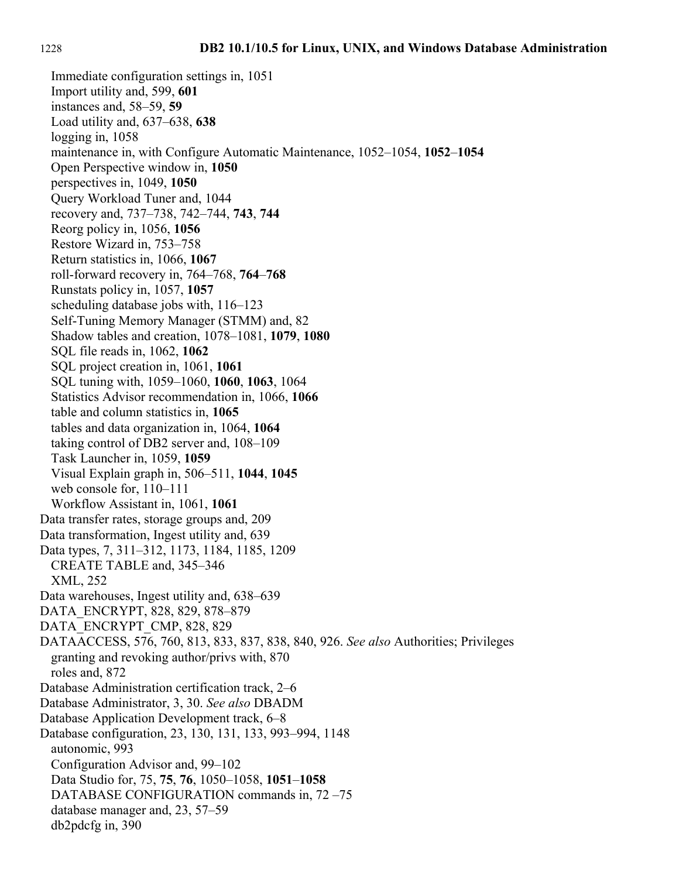Immediate configuration settings in, 1051 Import utility and, 599, **601** instances and, 58–59, **59** Load utility and, 637–638, **638** logging in, 1058 maintenance in, with Configure Automatic Maintenance, 1052–1054, **1052**–**1054** Open Perspective window in, **1050** perspectives in, 1049, **1050** Query Workload Tuner and, 1044 recovery and, 737–738, 742–744, **743**, **744** Reorg policy in, 1056, **1056** Restore Wizard in, 753–758 Return statistics in, 1066, **1067** roll-forward recovery in, 764–768, **764**–**768** Runstats policy in, 1057, **1057** scheduling database jobs with, 116–123 Self-Tuning Memory Manager (STMM) and, 82 Shadow tables and creation, 1078–1081, **1079**, **1080** SQL file reads in, 1062, **1062** SQL project creation in, 1061, **1061** SQL tuning with, 1059–1060, **1060**, **1063**, 1064 Statistics Advisor recommendation in, 1066, **1066** table and column statistics in, **1065** tables and data organization in, 1064, **1064** taking control of DB2 server and, 108–109 Task Launcher in, 1059, **1059** Visual Explain graph in, 506–511, **1044**, **1045** web console for, 110–111 Workflow Assistant in, 1061, **1061** Data transfer rates, storage groups and, 209 Data transformation, Ingest utility and, 639 Data types, 7, 311–312, 1173, 1184, 1185, 1209 CREATE TABLE and, 345–346 XML, 252 Data warehouses, Ingest utility and, 638–639 DATA\_ENCRYPT, 828, 829, 878–879 DATA\_ENCRYPT\_CMP, 828, 829 DATAACCESS, 576, 760, 813, 833, 837, 838, 840, 926. *See also* Authorities; Privileges granting and revoking author/privs with, 870 roles and, 872 Database Administration certification track, 2–6 Database Administrator, 3, 30. *See also* DBADM Database Application Development track, 6–8 Database configuration, 23, 130, 131, 133, 993–994, 1148 autonomic, 993 Configuration Advisor and, 99–102 Data Studio for, 75, **75**, **76**, 1050–1058, **1051**–**1058** DATABASE CONFIGURATION commands in, 72 –75 database manager and, 23, 57–59 db2pdcfg in, 390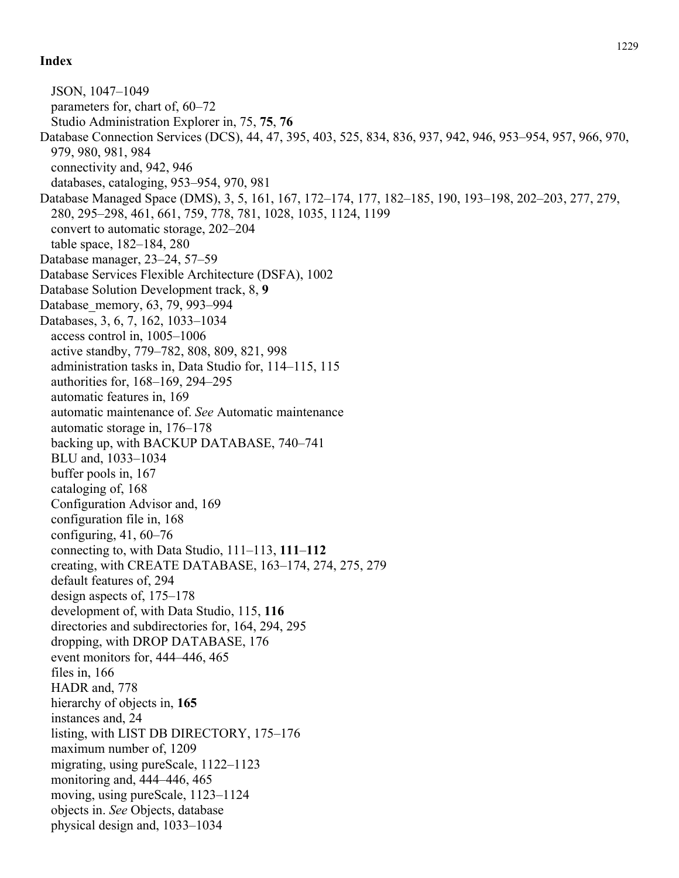JSON, 1047–1049 parameters for, chart of, 60–72 Studio Administration Explorer in, 75, **75**, **76** Database Connection Services (DCS), 44, 47, 395, 403, 525, 834, 836, 937, 942, 946, 953–954, 957, 966, 970, 979, 980, 981, 984 connectivity and, 942, 946 databases, cataloging, 953–954, 970, 981 Database Managed Space (DMS), 3, 5, 161, 167, 172–174, 177, 182–185, 190, 193–198, 202–203, 277, 279, 280, 295–298, 461, 661, 759, 778, 781, 1028, 1035, 1124, 1199 convert to automatic storage, 202–204 table space, 182–184, 280 Database manager, 23–24, 57–59 Database Services Flexible Architecture (DSFA), 1002 Database Solution Development track, 8, **9** Database\_memory, 63, 79, 993–994 Databases, 3, 6, 7, 162, 1033–1034 access control in, 1005–1006 active standby, 779–782, 808, 809, 821, 998 administration tasks in, Data Studio for, 114–115, 115 authorities for, 168–169, 294–295 automatic features in, 169 automatic maintenance of. *See* Automatic maintenance automatic storage in, 176–178 backing up, with BACKUP DATABASE, 740–741 BLU and, 1033–1034 buffer pools in, 167 cataloging of, 168 Configuration Advisor and, 169 configuration file in, 168 configuring, 41, 60–76 connecting to, with Data Studio, 111–113, **111**–**112** creating, with CREATE DATABASE, 163–174, 274, 275, 279 default features of, 294 design aspects of, 175–178 development of, with Data Studio, 115, **116** directories and subdirectories for, 164, 294, 295 dropping, with DROP DATABASE, 176 event monitors for, 444–446, 465 files in, 166 HADR and, 778 hierarchy of objects in, **165** instances and, 24 listing, with LIST DB DIRECTORY, 175–176 maximum number of, 1209 migrating, using pureScale, 1122–1123 monitoring and, 444–446, 465 moving, using pureScale, 1123–1124 objects in. *See* Objects, database physical design and, 1033–1034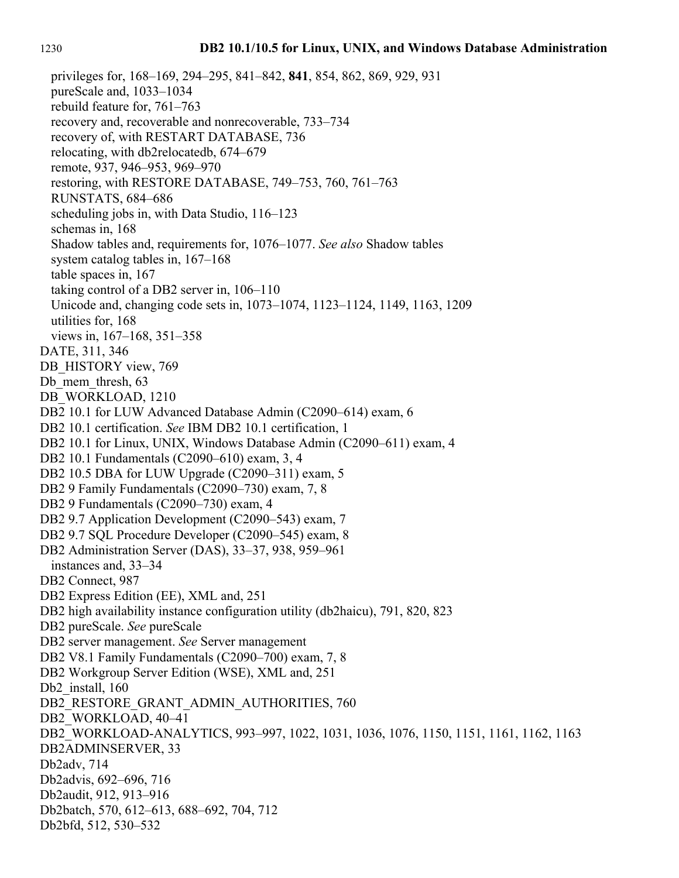privileges for, 168–169, 294–295, 841–842, **841**, 854, 862, 869, 929, 931 pureScale and, 1033–1034 rebuild feature for, 761–763 recovery and, recoverable and nonrecoverable, 733–734 recovery of, with RESTART DATABASE, 736 relocating, with db2relocatedb, 674–679 remote, 937, 946–953, 969–970 restoring, with RESTORE DATABASE, 749–753, 760, 761–763 RUNSTATS, 684–686 scheduling jobs in, with Data Studio, 116–123 schemas in, 168 Shadow tables and, requirements for, 1076–1077. *See also* Shadow tables system catalog tables in, 167–168 table spaces in, 167 taking control of a DB2 server in, 106–110 Unicode and, changing code sets in, 1073–1074, 1123–1124, 1149, 1163, 1209 utilities for, 168 views in, 167–168, 351–358 DATE, 311, 346 DB\_HISTORY view, 769 Db mem thresh, 63 DB\_WORKLOAD, 1210 DB2 10.1 for LUW Advanced Database Admin (C2090–614) exam, 6 DB2 10.1 certification. *See* IBM DB2 10.1 certification, 1 DB2 10.1 for Linux, UNIX, Windows Database Admin (C2090–611) exam, 4 DB2 10.1 Fundamentals (C2090–610) exam, 3, 4 DB2 10.5 DBA for LUW Upgrade (C2090–311) exam, 5 DB2 9 Family Fundamentals (C2090–730) exam, 7, 8 DB2 9 Fundamentals (C2090–730) exam, 4 DB2 9.7 Application Development (C2090–543) exam, 7 DB2 9.7 SQL Procedure Developer (C2090–545) exam, 8 DB2 Administration Server (DAS), 33–37, 938, 959–961 instances and, 33–34 DB2 Connect, 987 DB2 Express Edition (EE), XML and, 251 DB2 high availability instance configuration utility (db2haicu), 791, 820, 823 DB2 pureScale. *See* pureScale DB2 server management. *See* Server management DB2 V8.1 Family Fundamentals (C2090–700) exam, 7, 8 DB2 Workgroup Server Edition (WSE), XML and, 251 Db<sub>2</sub> install, 160 DB2\_RESTORE\_GRANT\_ADMIN\_AUTHORITIES, 760 DB2\_WORKLOAD, 40–41 DB2\_WORKLOAD-ANALYTICS, 993–997, 1022, 1031, 1036, 1076, 1150, 1151, 1161, 1162, 1163 DB2ADMINSERVER, 33 Db2adv, 714 Db2advis, 692–696, 716 Db2audit, 912, 913–916 Db2batch, 570, 612–613, 688–692, 704, 712 Db2bfd, 512, 530–532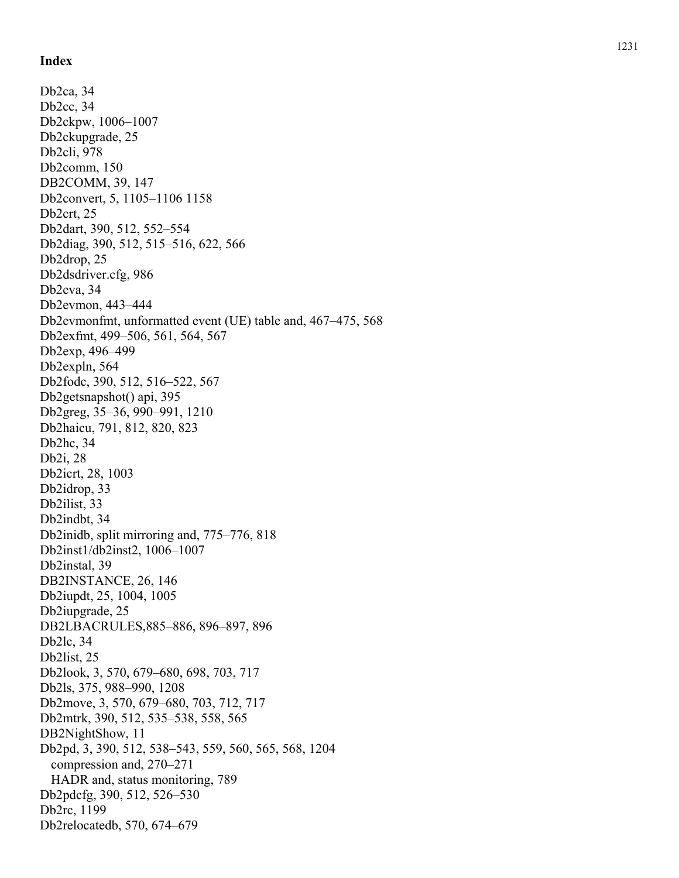Db2ca, 34 Db2cc, 34 Db2ckpw, 1006–1007 Db2ckupgrade, 25 Db2cli, 978 Db2comm, 150 DB2COMM, 39, 147 Db2convert, 5, 1105–1106 1158 Db2crt, 25 Db2dart, 390, 512, 552–554 Db2diag, 390, 512, 515–516, 622, 566 Db2drop, 25 Db2dsdriver.cfg, 986 Db2eva, 34 Db2evmon, 443–444 Db2evmonfmt, unformatted event (UE) table and, 467–475, 568 Db2exfmt, 499–506, 561, 564, 567 Db2exp, 496–499 Db2expln, 564 Db2fodc, 390, 512, 516–522, 567 Db2getsnapshot() api, 395 Db2greg, 35–36, 990–991, 1210 Db2haicu, 791, 812, 820, 823 Db2hc, 34 Db2i, 28 Db2icrt, 28, 1003 Db2idrop, 33 Db2ilist, 33 Db2indbt, 34 Db2inidb, split mirroring and, 775–776, 818 Db2inst1/db2inst2, 1006–1007 Db2instal, 39 DB2INSTANCE, 26, 146 Db2iupdt, 25, 1004, 1005 Db2iupgrade, 25 DB2LBACRULES,885–886, 896–897, 896 Db2lc, 34 Db2list, 25 Db2look, 3, 570, 679–680, 698, 703, 717 Db2ls, 375, 988–990, 1208 Db2move, 3, 570, 679–680, 703, 712, 717 Db2mtrk, 390, 512, 535–538, 558, 565 DB2NightShow, 11 Db2pd, 3, 390, 512, 538–543, 559, 560, 565, 568, 1204 compression and, 270–271 HADR and, status monitoring, 789 Db2pdcfg, 390, 512, 526–530 Db2rc, 1199 Db2relocatedb, 570, 674–679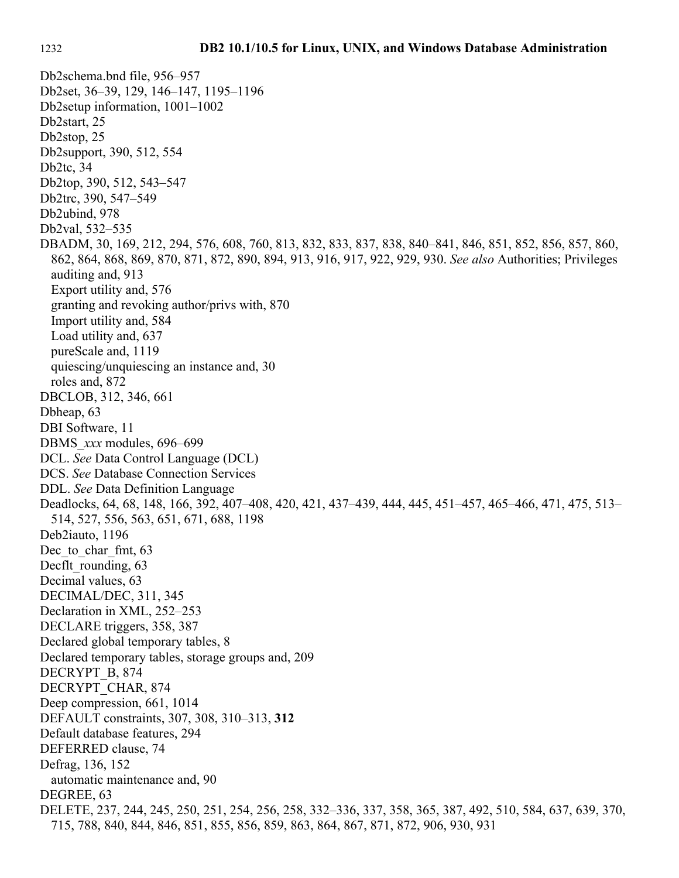Db2schema.bnd file, 956–957 Db2set, 36–39, 129, 146–147, 1195–1196 Db2setup information, 1001–1002 Db2start, 25 Db2stop, 25 Db2support, 390, 512, 554 Db2tc, 34 Db2top, 390, 512, 543–547 Db2trc, 390, 547–549 Db2ubind, 978 Db2val, 532–535 DBADM, 30, 169, 212, 294, 576, 608, 760, 813, 832, 833, 837, 838, 840–841, 846, 851, 852, 856, 857, 860, 862, 864, 868, 869, 870, 871, 872, 890, 894, 913, 916, 917, 922, 929, 930. *See also* Authorities; Privileges auditing and, 913 Export utility and, 576 granting and revoking author/privs with, 870 Import utility and, 584 Load utility and, 637 pureScale and, 1119 quiescing/unquiescing an instance and, 30 roles and, 872 DBCLOB, 312, 346, 661 Dbheap, 63 DBI Software, 11 DBMS\_*xxx* modules, 696–699 DCL. *See* Data Control Language (DCL) DCS. *See* Database Connection Services DDL. *See* Data Definition Language Deadlocks, 64, 68, 148, 166, 392, 407–408, 420, 421, 437–439, 444, 445, 451–457, 465–466, 471, 475, 513– 514, 527, 556, 563, 651, 671, 688, 1198 Deb2iauto, 1196 Dec<sub>to</sub> char fmt, 63 Decflt rounding, 63 Decimal values, 63 DECIMAL/DEC, 311, 345 Declaration in XML, 252–253 DECLARE triggers, 358, 387 Declared global temporary tables, 8 Declared temporary tables, storage groups and, 209 DECRYPT\_B, 874 DECRYPT\_CHAR, 874 Deep compression, 661, 1014 DEFAULT constraints, 307, 308, 310–313, **312** Default database features, 294 DEFERRED clause, 74 Defrag, 136, 152 automatic maintenance and, 90 DEGREE, 63 DELETE, 237, 244, 245, 250, 251, 254, 256, 258, 332–336, 337, 358, 365, 387, 492, 510, 584, 637, 639, 370, 715, 788, 840, 844, 846, 851, 855, 856, 859, 863, 864, 867, 871, 872, 906, 930, 931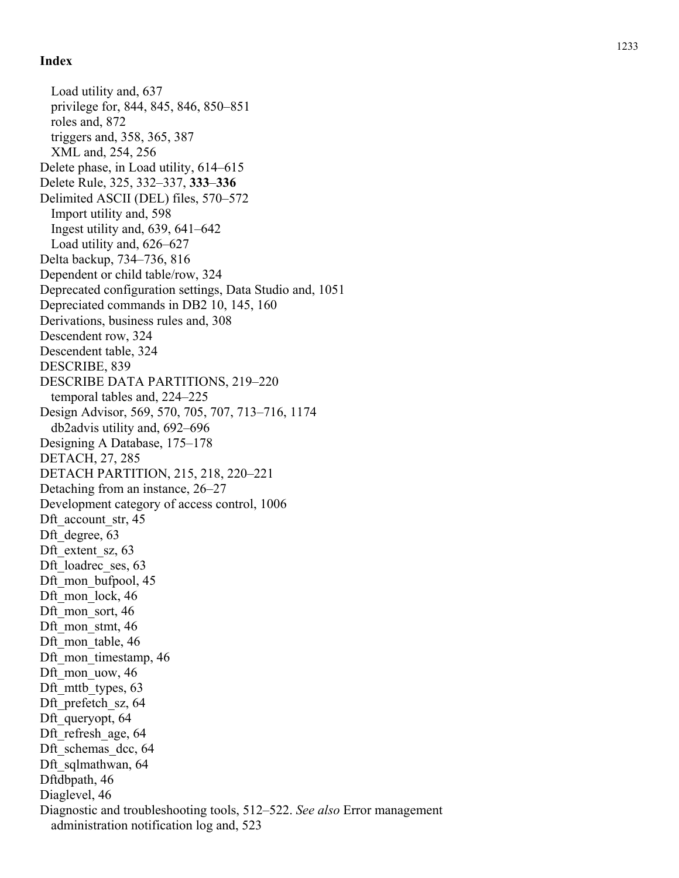Load utility and, 637 privilege for, 844, 845, 846, 850–851 roles and, 872 triggers and, 358, 365, 387 XML and, 254, 256 Delete phase, in Load utility, 614–615 Delete Rule, 325, 332–337, **333** –**336** Delimited ASCII (DEL) files, 570–572 Import utility and, 598 Ingest utility and, 639, 641–642 Load utility and, 626–627 Delta backup, 734–736, 816 Dependent or child table/row, 324 Deprecated configuration settings, Data Studio and, 1051 Depreciated commands in DB2 10, 145, 160 Derivations, business rules and, 308 Descendent row, 324 Descendent table, 324 DESCRIBE, 839 DESCRIBE DATA PARTITIONS, 219–220 temporal tables and, 224–225 Design Advisor, 569, 570, 705, 707, 713–716, 1174 db2advis utility and, 692–696 Designing A Database, 175–178 DETACH, 27, 285 DETACH PARTITION, 215, 218, 220–221 Detaching from an instance, 26–27 Development category of access control, 1006 Dft account str, 45 Dft\_degree, 63 Dft\_extent\_sz, 63 Dft\_loadrec\_ses, 63 Dft mon bufpool, 45 Dft mon lock, 46 Dft mon\_sort, 46 Dft mon stmt, 46 Dft\_mon\_table, 46 Dft mon timestamp, 46 Dft\_mon\_uow, 46 Dft mttb types, 63 Dft prefetch sz, 64 Dft queryopt, 64 Dft refresh age, 64 Dft\_schemas\_dcc, 64 Dft\_sqlmathwan, 64 Dftdbpath, 46 Diaglevel, 46 Diagnostic and troubleshooting tools, 512–522. *See also* Error management administration notification log and, 523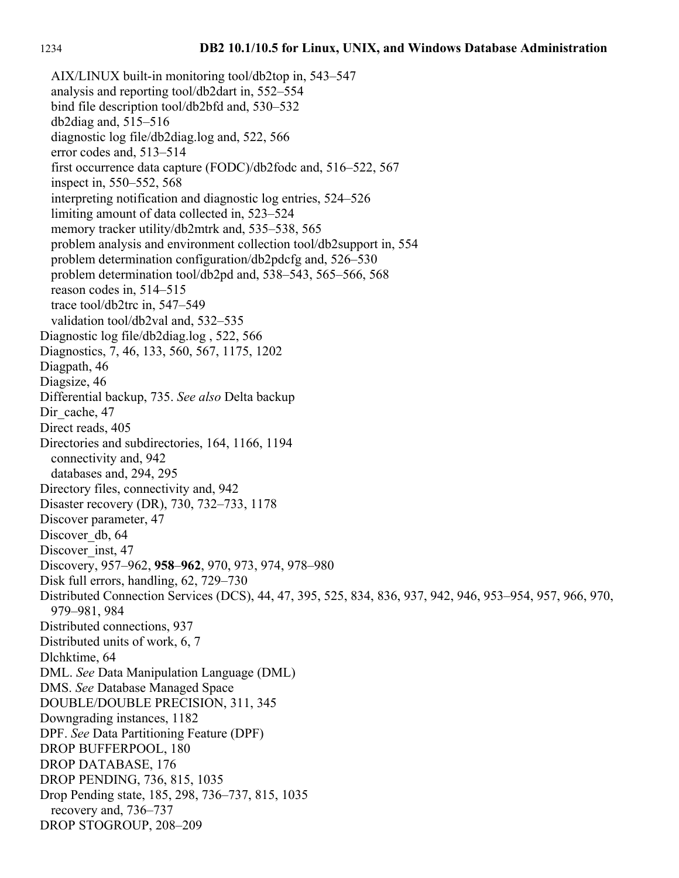AIX/LINUX built-in monitoring tool/db2top in, 543–547 analysis and reporting tool/db2dart in, 552–554 bind file description tool/db2bfd and, 530–532 db2diag and, 515–516 diagnostic log file/db2diag.log and, 522, 566 error codes and, 513–514 first occurrence data capture (FODC)/db2fodc and, 516–522, 567 inspect in, 550–552, 568 interpreting notification and diagnostic log entries, 524–526 limiting amount of data collected in, 523–524 memory tracker utility/db2mtrk and, 535–538, 565 problem analysis and environment collection tool/db2support in, 554 problem determination configuration/db2pdcfg and, 526–530 problem determination tool/db2pd and, 538–543, 565–566, 568 reason codes in, 514–515 trace tool/db2trc in, 547–549 validation tool/db2val and, 532–535 Diagnostic log file/db2diag.log , 522, 566 Diagnostics, 7, 46, 133, 560, 567, 1175, 1202 Diagpath, 46 Diagsize, 46 Differential backup, 735. *See also* Delta backup Dir cache, 47 Direct reads, 405 Directories and subdirectories, 164, 1166, 1194 connectivity and, 942 databases and, 294, 295 Directory files, connectivity and, 942 Disaster recovery (DR), 730, 732–733, 1178 Discover parameter, 47 Discover\_db, 64 Discover inst, 47 Discovery, 957–962, **958**–**962**, 970, 973, 974, 978–980 Disk full errors, handling, 62, 729–730 Distributed Connection Services (DCS), 44, 47, 395, 525, 834, 836, 937, 942, 946, 953–954, 957, 966, 970, 979–981, 984 Distributed connections, 937 Distributed units of work, 6, 7 Dlchktime, 64 DML. *See* Data Manipulation Language (DML) DMS. *See* Database Managed Space DOUBLE/DOUBLE PRECISION, 311, 345 Downgrading instances, 1182 DPF. *See* Data Partitioning Feature (DPF) DROP BUFFERPOOL, 180 DROP DATABASE, 176 DROP PENDING, 736, 815, 1035 Drop Pending state, 185, 298, 736–737, 815, 1035 recovery and, 736–737 DROP STOGROUP, 208–209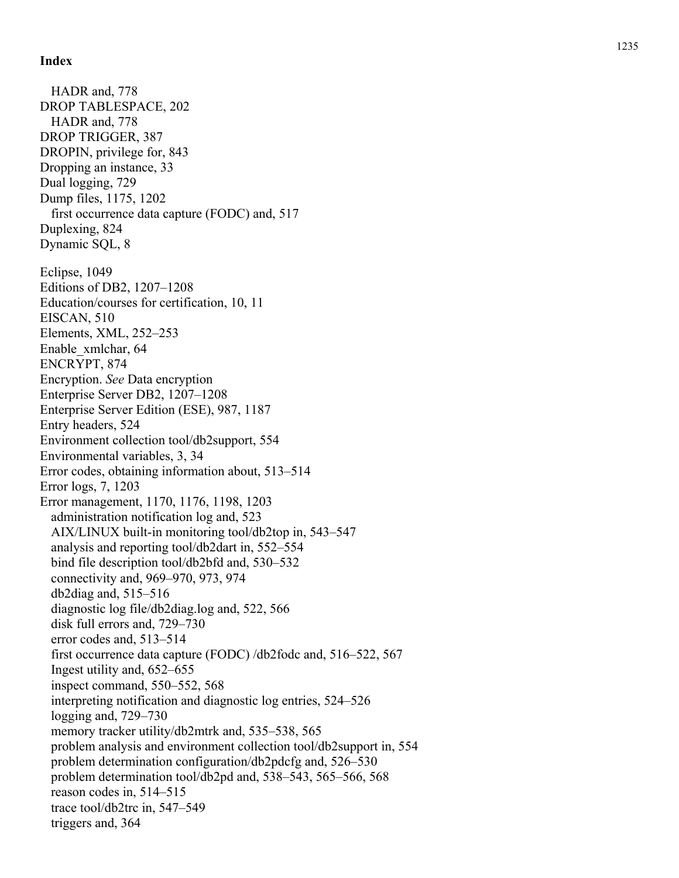HADR and, 778 DROP TABLESPACE, 202 HADR and, 778 DROP TRIGGER, 387 DROPIN, privilege for, 843 Dropping an instance, 33 Dual logging, 729 Dump files, 1175, 1202 first occurrence data capture (FODC) and, 517 Duplexing, 824 Dynamic SQL, 8 Eclipse, 1049 Editions of DB2, 1207–1208 Education/courses for certification, 10, 11 EISCAN, 510 Elements, XML, 252–253 Enable\_xmlchar, 64 ENCRYPT, 874 Encryption. *See* Data encryption Enterprise Server DB2, 1207–1208 Enterprise Server Edition (ESE), 987, 1187 Entry headers, 524 Environment collection tool/db2support, 554 Environmental variables, 3, 34 Error codes, obtaining information about, 513–514 Error logs, 7, 1203 Error management, 1170, 1176, 1198, 1203 administration notification log and, 523 AIX/LINUX built-in monitoring tool/db2top in, 543–547 analysis and reporting tool/db2dart in, 552–554 bind file description tool/db2bfd and, 530–532 connectivity and, 969–970, 973, 974 db2diag and, 515–516 diagnostic log file/db2diag.log and, 522, 566 disk full errors and, 729–730 error codes and, 513–514 first occurrence data capture (FODC) /db2fodc and, 516–522, 567 Ingest utility and, 652–655 inspect command, 550–552, 568 interpreting notification and diagnostic log entries, 524–526 logging and, 729–730 memory tracker utility/db2mtrk and, 535–538, 565 problem analysis and environment collection tool/db2support in, 554 problem determination configuration/db2pdcfg and, 526–530 problem determination tool/db2pd and, 538–543, 565–566, 568 reason codes in, 514–515 trace tool/db2trc in, 547–549 triggers and, 364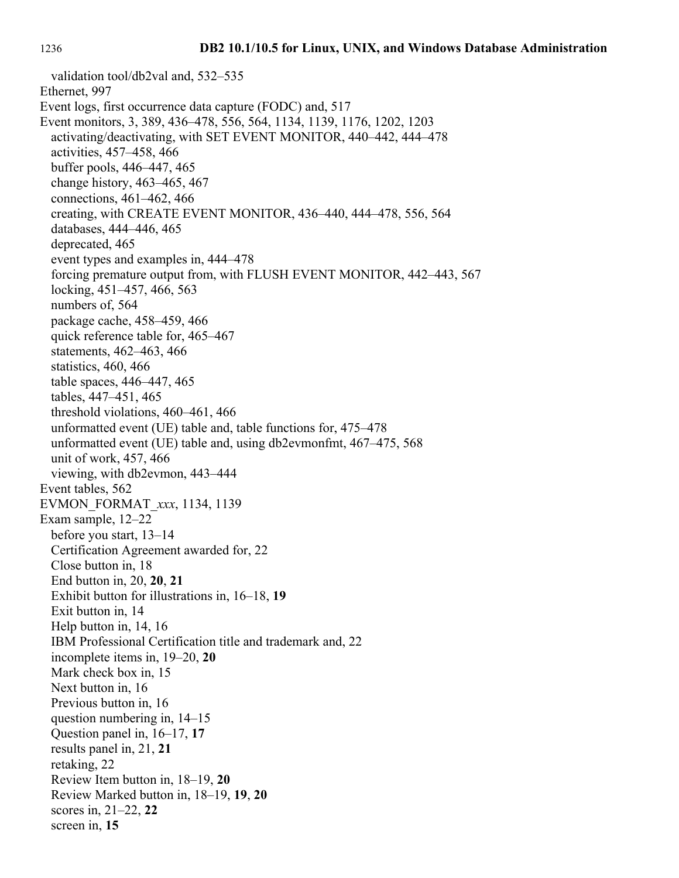validation tool/db2val and, 532–535 Ethernet, 997 Event logs, first occurrence data capture (FODC) and, 517 Event monitors, 3, 389, 436–478, 556, 564, 1134, 1139, 1176, 1202, 1203 activating/deactivating, with SET EVENT MONITOR, 440–442, 444–478 activities, 457–458, 466 buffer pools, 446–447, 465 change history, 463–465, 467 connections, 461–462, 466 creating, with CREATE EVENT MONITOR, 436–440, 444–478, 556, 564 databases, 444–446, 465 deprecated, 465 event types and examples in, 444–478 forcing premature output from, with FLUSH EVENT MONITOR, 442–443, 567 locking, 451–457, 466, 563 numbers of, 564 package cache, 458–459, 466 quick reference table for, 465–467 statements, 462–463, 466 statistics, 460, 466 table spaces, 446–447, 465 tables, 447–451, 465 threshold violations, 460–461, 466 unformatted event (UE) table and, table functions for, 475–478 unformatted event (UE) table and, using db2evmonfmt, 467–475, 568 unit of work, 457, 466 viewing, with db2evmon, 443–444 Event tables, 562 EVMON\_FORMAT\_*xxx*, 1134, 1139 Exam sample, 12–22 before you start, 13–14 Certification Agreement awarded for, 22 Close button in, 18 End button in, 20, **20**, **21** Exhibit button for illustrations in, 16–18, **19** Exit button in, 14 Help button in, 14, 16 IBM Professional Certification title and trademark and, 22 incomplete items in, 19–20, **20** Mark check box in, 15 Next button in, 16 Previous button in, 16 question numbering in, 14–15 Question panel in, 16–17, **17** results panel in, 21, **21** retaking, 22 Review Item button in, 18–19, **20** Review Marked button in, 18–19, **19**, **20** scores in, 21–22, **22** screen in, **15**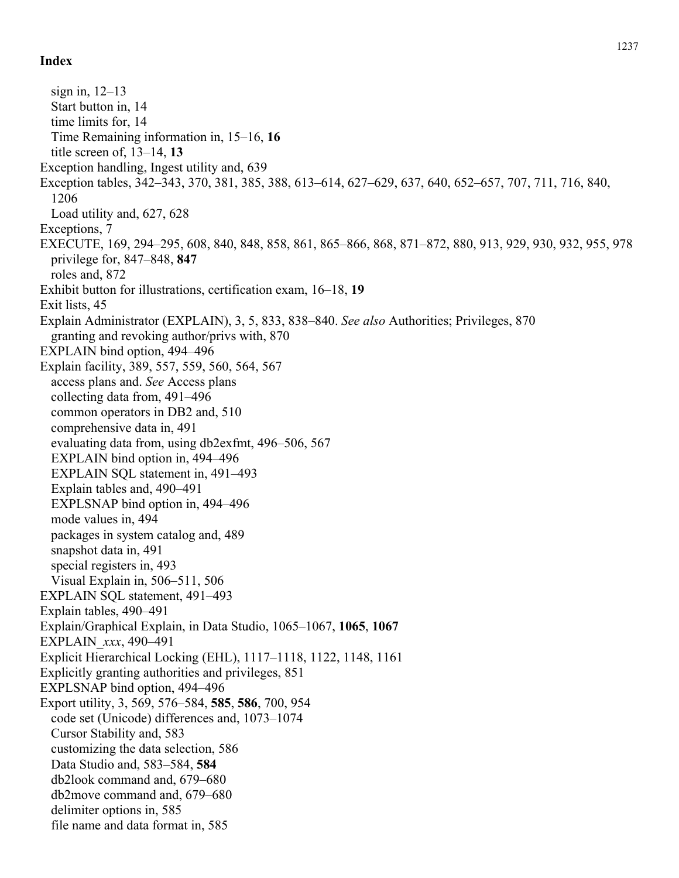sign in, 12–13 Start button in, 14 time limits for, 14 Time Remaining information in, 15–16, **16** title screen of, 13–14, **13** Exception handling, Ingest utility and, 639 Exception tables, 342–343, 370, 381, 385, 388, 613–614, 627–629, 637, 640, 652–657, 707, 711, 716, 840, 1206 Load utility and, 627, 628 Exceptions, 7 EXECUTE, 169, 294–295, 608, 840, 848, 858, 861, 865–866, 868, 871–872, 880, 913, 929, 930, 932, 955, 978 privilege for, 847–848, **847** roles and, 872 Exhibit button for illustrations, certification exam, 16–18, **19** Exit lists, 45 Explain Administrator (EXPLAIN), 3, 5, 833, 838–840. *See also* Authorities; Privileges, 870 granting and revoking author/privs with, 870 EXPLAIN bind option, 494–496 Explain facility, 389, 557, 559, 560, 564, 567 access plans and. *See* Access plans collecting data from, 491–496 common operators in DB2 and, 510 comprehensive data in, 491 evaluating data from, using db2exfmt, 496–506, 567 EXPLAIN bind option in, 494–496 EXPLAIN SQL statement in, 491–493 Explain tables and, 490–491 EXPLSNAP bind option in, 494–496 mode values in, 494 packages in system catalog and, 489 snapshot data in, 491 special registers in, 493 Visual Explain in, 506–511, 506 EXPLAIN SQL statement, 491–493 Explain tables, 490–491 Explain/Graphical Explain, in Data Studio, 1065–1067, **1065**, **1067** EXPLAIN\_*xxx*, 490–491 Explicit Hierarchical Locking (EHL), 1117–1118, 1122, 1148, 1161 Explicitly granting authorities and privileges, 851 EXPLSNAP bind option, 494–496 Export utility, 3, 569, 576–584, **585**, **586**, 700, 954 code set (Unicode) differences and, 1073–1074 Cursor Stability and, 583 customizing the data selection, 586 Data Studio and, 583–584, **584** db2look command and, 679–680 db2move command and, 679–680 delimiter options in, 585 file name and data format in, 585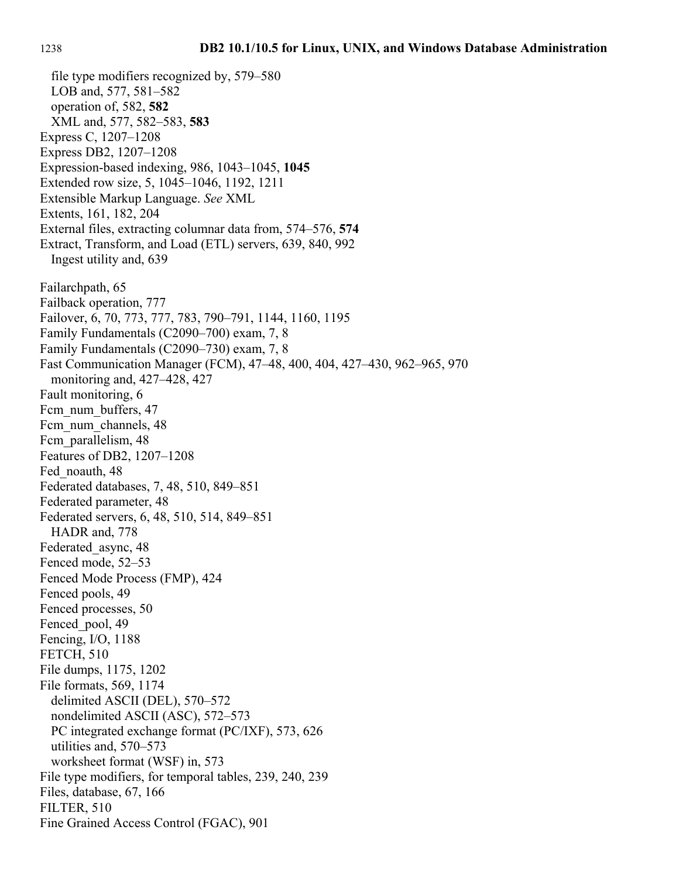LOB and, 577, 581–582 operation of, 582, **582** XML and, 577, 582–583, **583** Express C, 1207–1208 Express DB2, 1207–1208 Expression-based indexing, 986, 1043–1045, **1045** Extended row size, 5, 1045–1046, 1192, 1211 Extensible Markup Language. *See* XML Extents, 161, 182, 204 External files, extracting columnar data from, 574–576, **574** Extract, Transform, and Load (ETL) servers, 639, 840, 992 Ingest utility and, 639 Failarchpath, 65 Failback operation, 777 Failover, 6, 70, 773, 777, 783, 790–791, 1144, 1160, 1195 Family Fundamentals (C2090–700) exam, 7, 8 Family Fundamentals (C2090–730) exam, 7, 8 Fast Communication Manager (FCM), 47–48, 400, 404, 427–430, 962–965, 970 monitoring and, 427–428, 427 Fault monitoring, 6 Fcm\_num\_buffers, 47 Fcm\_num\_channels, 48 Fcm\_parallelism, 48 Features of DB2, 1207–1208 Fed\_noauth, 48 Federated databases, 7, 48, 510, 849–851 Federated parameter, 48 Federated servers, 6, 48, 510, 514, 849–851 HADR and, 778 Federated\_async, 48 Fenced mode, 52–53 Fenced Mode Process (FMP), 424 Fenced pools, 49 Fenced processes, 50 Fenced pool, 49 Fencing, I/O, 1188 FETCH, 510 File dumps, 1175, 1202 File formats, 569, 1174 delimited ASCII (DEL), 570–572 nondelimited ASCII (ASC), 572–573 PC integrated exchange format (PC/IXF), 573, 626 utilities and, 570–573 worksheet format (WSF) in, 573 File type modifiers, for temporal tables, 239, 240, 239 Files, database, 67, 166 FILTER, 510 Fine Grained Access Control (FGAC), 901

file type modifiers recognized by, 579–580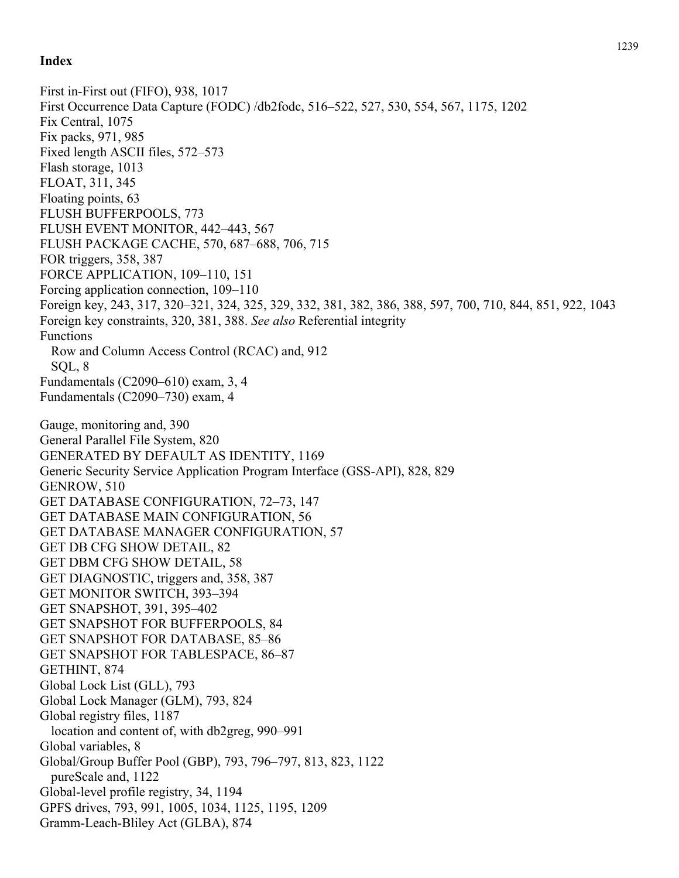First in-First out (FIFO), 938, 1017 First Occurrence Data Capture (FODC) /db2fodc, 516–522, 527, 530, 554, 567, 1175, 1202 Fix Central, 1075 Fix packs, 971, 985 Fixed length ASCII files, 572–573 Flash storage, 1013 FLOAT, 311, 345 Floating points, 63 FLUSH BUFFERPOOLS, 773 FLUSH EVENT MONITOR, 442–443, 567 FLUSH PACKAGE CACHE, 570, 687–688, 706, 715 FOR triggers, 358, 387 FORCE APPLICATION, 109–110, 151 Forcing application connection, 109–110 Foreign key, 243, 317, 320–321, 324, 325, 329, 332, 381, 382, 386, 388, 597, 700, 710, 844, 851, 922, 1043 Foreign key constraints, 320, 381, 388. *See also* Referential integrity Functions Row and Column Access Control (RCAC) and, 912 SQL, 8 Fundamentals (C2090–610) exam, 3, 4 Fundamentals (C2090–730) exam, 4 Gauge, monitoring and, 390 General Parallel File System, 820 GENERATED BY DEFAULT AS IDENTITY, 1169 Generic Security Service Application Program Interface (GSS-API), 828, 829 GENROW, 510 GET DATABASE CONFIGURATION, 72–73, 147 GET DATABASE MAIN CONFIGURATION, 56 GET DATABASE MANAGER CONFIGURATION, 57 GET DB CFG SHOW DETAIL, 82 GET DBM CFG SHOW DETAIL, 58 GET DIAGNOSTIC, triggers and, 358, 387 GET MONITOR SWITCH, 393–394 GET SNAPSHOT, 391, 395–402 GET SNAPSHOT FOR BUFFERPOOLS, 84 GET SNAPSHOT FOR DATABASE, 85–86 GET SNAPSHOT FOR TABLESPACE, 86–87 GETHINT, 874 Global Lock List (GLL), 793 Global Lock Manager (GLM), 793, 824 Global registry files, 1187 location and content of, with db2greg, 990–991 Global variables, 8 Global/Group Buffer Pool (GBP), 793, 796–797, 813, 823, 1122 pureScale and, 1122 Global-level profile registry, 34, 1194 GPFS drives, 793, 991, 1005, 1034, 1125, 1195, 1209 Gramm-Leach-Bliley Act (GLBA), 874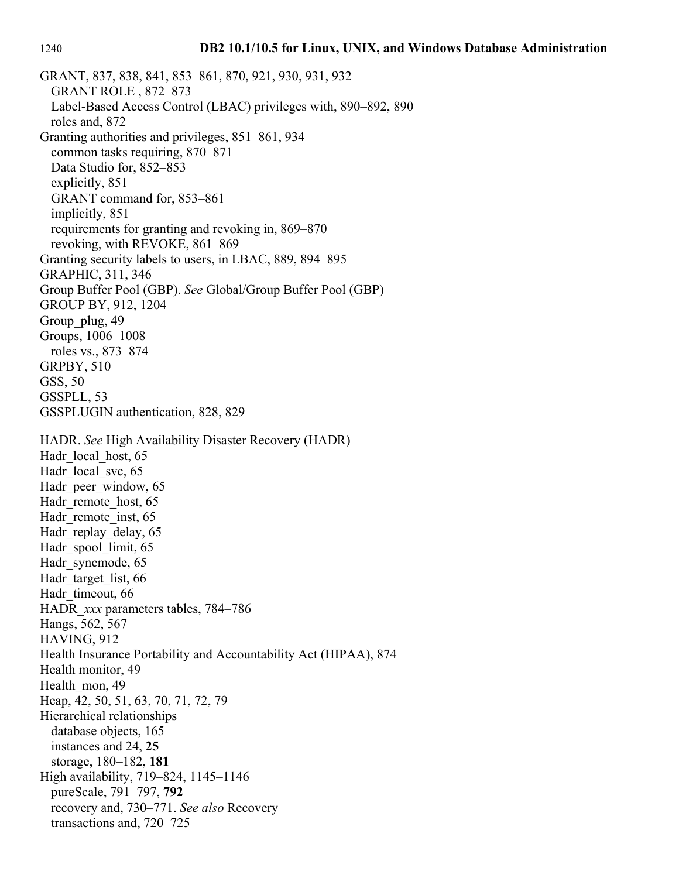GRANT, 837, 838, 841, 853–861, 870, 921, 930, 931, 932 GRANT ROLE , 872–873 Label-Based Access Control (LBAC) privileges with, 890–892, 890 roles and, 872 Granting authorities and privileges, 851–861, 934 common tasks requiring, 870–871 Data Studio for, 852–853 explicitly, 851 GRANT command for, 853–861 implicitly, 851 requirements for granting and revoking in, 869–870 revoking, with REVOKE, 861–869 Granting security labels to users, in LBAC, 889, 894–895 GRAPHIC, 311, 346 Group Buffer Pool (GBP). *See* Global/Group Buffer Pool (GBP) GROUP BY, 912, 1204 Group plug, 49 Groups, 1006–1008 roles vs., 873–874 GRPBY, 510 GSS, 50 GSSPLL, 53 GSSPLUGIN authentication, 828, 829 HADR. *See* High Availability Disaster Recovery (HADR) Hadr local host, 65 Hadr local svc, 65 Hadr peer window, 65 Hadr remote host, 65 Hadr remote inst, 65 Hadr replay delay, 65 Hadr spool limit, 65 Hadr syncmode, 65 Hadr target list, 66 Hadr\_timeout, 66 HADR\_*xxx* parameters tables, 784–786 Hangs, 562, 567 HAVING, 912 Health Insurance Portability and Accountability Act (HIPAA), 874 Health monitor, 49 Health\_mon, 49 Heap, 42, 50, 51, 63, 70, 71, 72, 79 Hierarchical relationships database objects, 165 instances and 24, **25** storage, 180–182, **181** High availability, 719–824, 1145–1146 pureScale, 791–797, **792** recovery and, 730–771. *See also* Recovery transactions and, 720–725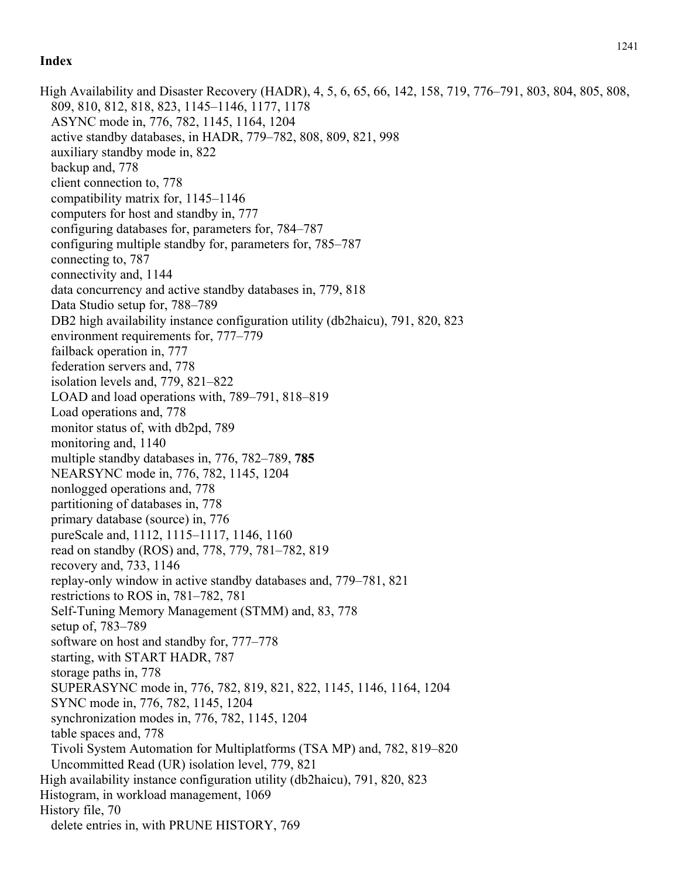High Availability and Disaster Recovery (HADR), 4, 5, 6, 65, 66, 142, 158, 719, 776–791, 803, 804, 805, 808, 809, 810, 812, 818, 823, 1145–1146, 1177, 1178 ASYNC mode in, 776, 782, 1145, 1164, 1204 active standby databases, in HADR, 779–782, 808, 809, 821, 998 auxiliary standby mode in, 822 backup and, 778 client connection to, 778 compatibility matrix for, 1145–1146 computers for host and standby in, 777 configuring databases for, parameters for, 784–787 configuring multiple standby for, parameters for, 785–787 connecting to, 787 connectivity and, 1144 data concurrency and active standby databases in, 779, 818 Data Studio setup for, 788–789 DB2 high availability instance configuration utility (db2haicu), 791, 820, 823 environment requirements for, 777–779 failback operation in, 777 federation servers and, 778 isolation levels and, 779, 821–822 LOAD and load operations with, 789–791, 818–819 Load operations and, 778 monitor status of, with db2pd, 789 monitoring and, 1140 multiple standby databases in, 776, 782–789, **785** NEARSYNC mode in, 776, 782, 1145, 1204 nonlogged operations and, 778 partitioning of databases in, 778 primary database (source) in, 776 pureScale and, 1112, 1115–1117, 1146, 1160 read on standby (ROS) and, 778, 779, 781–782, 819 recovery and, 733, 1146 replay-only window in active standby databases and, 779–781, 821 restrictions to ROS in, 781–782, 781 Self-Tuning Memory Management (STMM) and, 83, 778 setup of, 783–789 software on host and standby for, 777–778 starting, with START HADR, 787 storage paths in, 778 SUPERASYNC mode in, 776, 782, 819, 821, 822, 1145, 1146, 1164, 1204 SYNC mode in, 776, 782, 1145, 1204 synchronization modes in, 776, 782, 1145, 1204 table spaces and, 778 Tivoli System Automation for Multiplatforms (TSA MP) and, 782, 819–820 Uncommitted Read (UR) isolation level, 779, 821 High availability instance configuration utility (db2haicu), 791, 820, 823 Histogram, in workload management, 1069 History file, 70 delete entries in, with PRUNE HISTORY, 769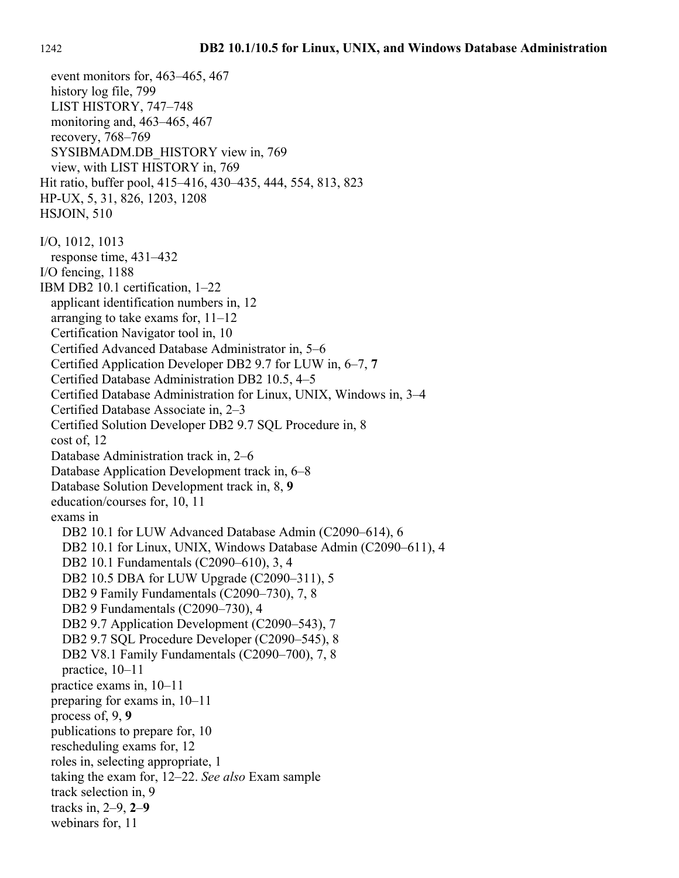event monitors for, 463–465, 467 history log file, 799 LIST HISTORY, 747–748 monitoring and, 463–465, 467 recovery, 768–769 SYSIBMADM.DB\_HISTORY view in, 769 view, with LIST HISTORY in, 769 Hit ratio, buffer pool, 415–416, 430–435, 444, 554, 813, 823 HP-UX, 5, 31, 826, 1203, 1208 HSJOIN, 510 I/O, 1012, 1013 response time, 431–432 I/O fencing, 1188 IBM DB2 10.1 certification, 1–22 applicant identification numbers in, 12 arranging to take exams for, 11–12 Certification Navigator tool in, 10 Certified Advanced Database Administrator in, 5–6 Certified Application Developer DB2 9.7 for LUW in, 6–7, **7** Certified Database Administration DB2 10.5, 4–5 Certified Database Administration for Linux, UNIX, Windows in, 3–4 Certified Database Associate in, 2–3 Certified Solution Developer DB2 9.7 SQL Procedure in, 8 cost of, 12 Database Administration track in, 2–6 Database Application Development track in, 6–8 Database Solution Development track in, 8, **9** education/courses for, 10, 11 exams in DB2 10.1 for LUW Advanced Database Admin (C2090–614), 6 DB2 10.1 for Linux, UNIX, Windows Database Admin (C2090–611), 4 DB2 10.1 Fundamentals (C2090–610), 3, 4 DB2 10.5 DBA for LUW Upgrade (C2090–311), 5 DB2 9 Family Fundamentals (C2090–730), 7, 8 DB2 9 Fundamentals (C2090–730), 4 DB2 9.7 Application Development (C2090–543), 7 DB2 9.7 SQL Procedure Developer (C2090–545), 8 DB2 V8.1 Family Fundamentals (C2090–700), 7, 8 practice, 10–11 practice exams in, 10–11 preparing for exams in, 10–11 process of, 9, **9** publications to prepare for, 10 rescheduling exams for, 12 roles in, selecting appropriate, 1 taking the exam for, 12–22. *See also* Exam sample track selection in, 9 tracks in, 2–9, **2**–**9** webinars for, 11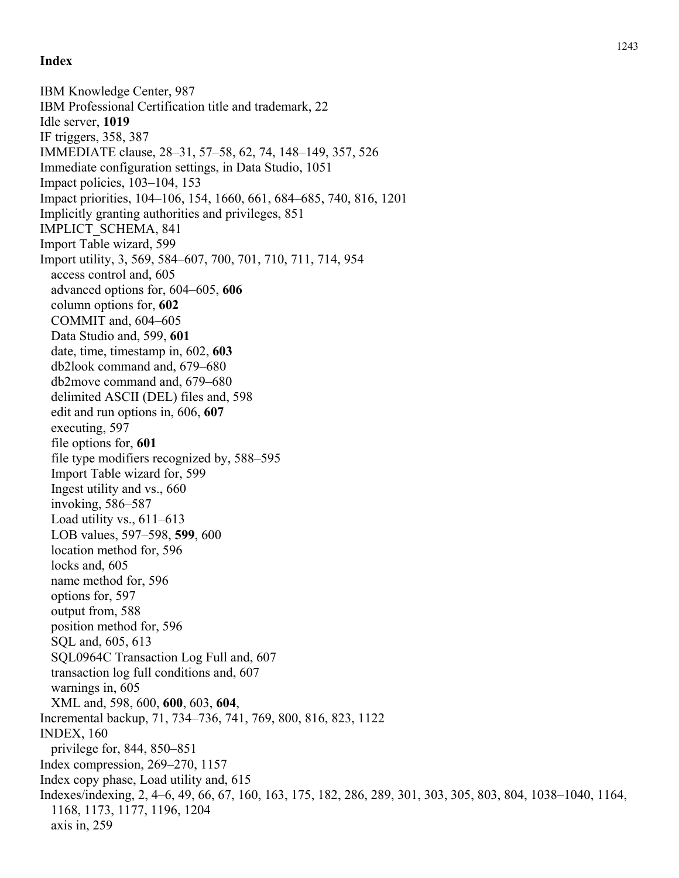IBM Knowledge Center, 987 IBM Professional Certification title and trademark, 22 Idle server, **1019** IF triggers, 358, 387 IMMEDIATE clause, 28–31, 57–58, 62, 74, 148–149, 357, 526 Immediate configuration settings, in Data Studio, 1051 Impact policies, 103–104, 153 Impact priorities, 104–106, 154, 1660, 661, 684–685, 740, 816, 1201 Implicitly granting authorities and privileges, 851 IMPLICT\_SCHEMA, 841 Import Table wizard, 599 Import utility, 3, 569, 584–607, 700, 701, 710, 711, 714, 954 access control and, 605 advanced options for, 604–605, **606** column options for, **602** COMMIT and, 604–605 Data Studio and, 599, **601** date, time, timestamp in, 602, **603** db2look command and, 679–680 db2move command and, 679–680 delimited ASCII (DEL) files and, 598 edit and run options in, 606, **607** executing, 597 file options for, **601** file type modifiers recognized by, 588–595 Import Table wizard for, 599 Ingest utility and vs., 660 invoking, 586–587 Load utility vs.,  $611-613$ LOB values, 597–598, **599**, 600 location method for, 596 locks and, 605 name method for, 596 options for, 597 output from, 588 position method for, 596 SQL and, 605, 613 SQL0964C Transaction Log Full and, 607 transaction log full conditions and, 607 warnings in, 605 XML and, 598, 600, **600**, 603, **604**, Incremental backup, 71, 734–736, 741, 769, 800, 816, 823, 1122 INDEX, 160 privilege for, 844, 850–851 Index compression, 269–270, 1157 Index copy phase, Load utility and, 615 Indexes/indexing, 2, 4–6, 49, 66, 67, 160, 163, 175, 182, 286, 289, 301, 303, 305, 803, 804, 1038–1040, 1164, 1168, 1173, 1177, 1196, 1204 axis in, 259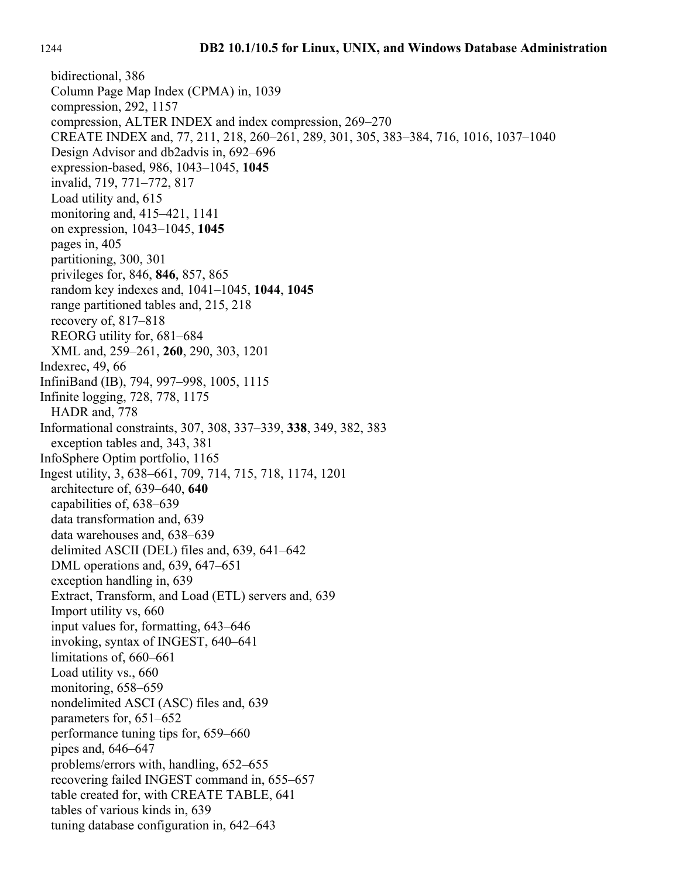bidirectional, 386 Column Page Map Index (CPMA) in, 1039 compression, 292, 1157 compression, ALTER INDEX and index compression, 269–270 CREATE INDEX and, 77, 211, 218, 260–261, 289, 301, 305, 383–384, 716, 1016, 1037–1040 Design Advisor and db2advis in, 692–696 expression-based, 986, 1043–1045, **1045** invalid, 719, 771–772, 817 Load utility and, 615 monitoring and, 415–421, 1141 on expression, 1043–1045, **1045** pages in, 405 partitioning, 300, 301 privileges for, 846, **846**, 857, 865 random key indexes and, 1041–1045, **1044**, **1045** range partitioned tables and, 215, 218 recovery of, 817–818 REORG utility for, 681–684 XML and, 259–261, **260**, 290, 303, 1201 Indexrec, 49, 66 InfiniBand (IB), 794, 997–998, 1005, 1115 Infinite logging, 728, 778, 1175 HADR and, 778 Informational constraints, 307, 308, 337–339, **338**, 349, 382, 383 exception tables and, 343, 381 InfoSphere Optim portfolio, 1165 Ingest utility, 3, 638–661, 709, 714, 715, 718, 1174, 1201 architecture of, 639–640, **640** capabilities of, 638–639 data transformation and, 639 data warehouses and, 638–639 delimited ASCII (DEL) files and, 639, 641–642 DML operations and, 639, 647–651 exception handling in, 639 Extract, Transform, and Load (ETL) servers and, 639 Import utility vs, 660 input values for, formatting, 643–646 invoking, syntax of INGEST, 640–641 limitations of, 660–661 Load utility vs., 660 monitoring, 658–659 nondelimited ASCI (ASC) files and, 639 parameters for, 651–652 performance tuning tips for, 659–660 pipes and, 646–647 problems/errors with, handling, 652–655 recovering failed INGEST command in, 655–657 table created for, with CREATE TABLE, 641 tables of various kinds in, 639 tuning database configuration in, 642–643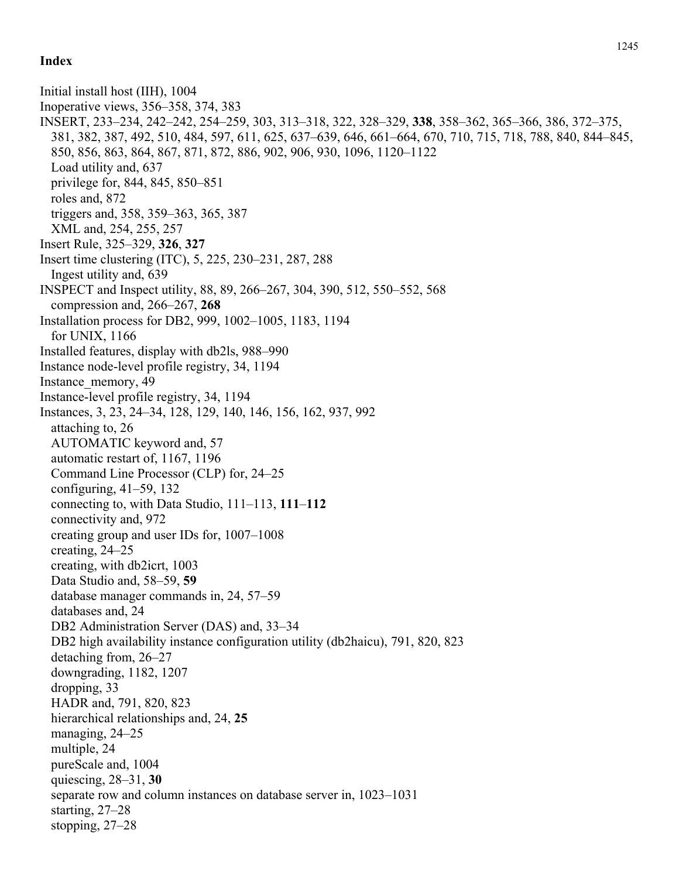Initial install host (IIH), 1004 Inoperative views, 356–358, 374, 383 INSERT, 233–234, 242–242, 254–259, 303, 313–318, 322, 328–329, **338**, 358–362, 365–366, 386, 372–375, 381, 382, 387, 492, 510, 484, 597, 611, 625, 637–639, 646, 661–664, 670, 710, 715, 718, 788, 840, 844–845, 850, 856, 863, 864, 867, 871, 872, 886, 902, 906, 930, 1096, 1120–1122 Load utility and, 637 privilege for, 844, 845, 850–851 roles and, 872 triggers and, 358, 359–363, 365, 387 XML and, 254, 255, 257 Insert Rule, 325–329, **326**, **327** Insert time clustering (ITC), 5, 225, 230–231, 287, 288 Ingest utility and, 639 INSPECT and Inspect utility, 88, 89, 266–267, 304, 390, 512, 550–552, 568 compression and, 266–267, **268** Installation process for DB2, 999, 1002–1005, 1183, 1194 for UNIX, 1166 Installed features, display with db2ls, 988–990 Instance node-level profile registry, 34, 1194 Instance\_memory, 49 Instance-level profile registry, 34, 1194 Instances, 3, 23, 24–34, 128, 129, 140, 146, 156, 162, 937, 992 attaching to, 26 AUTOMATIC keyword and, 57 automatic restart of, 1167, 1196 Command Line Processor (CLP) for, 24–25 configuring, 41–59, 132 connecting to, with Data Studio, 111–113, **111**–**112** connectivity and, 972 creating group and user IDs for, 1007–1008 creating, 24–25 creating, with db2icrt, 1003 Data Studio and, 58–59, **59** database manager commands in, 24, 57–59 databases and, 24 DB2 Administration Server (DAS) and, 33–34 DB2 high availability instance configuration utility (db2haicu), 791, 820, 823 detaching from, 26–27 downgrading, 1182, 1207 dropping, 33 HADR and, 791, 820, 823 hierarchical relationships and, 24, **25** managing, 24–25 multiple, 24 pureScale and, 1004 quiescing, 28–31, **30** separate row and column instances on database server in, 1023–1031 starting, 27–28 stopping, 27–28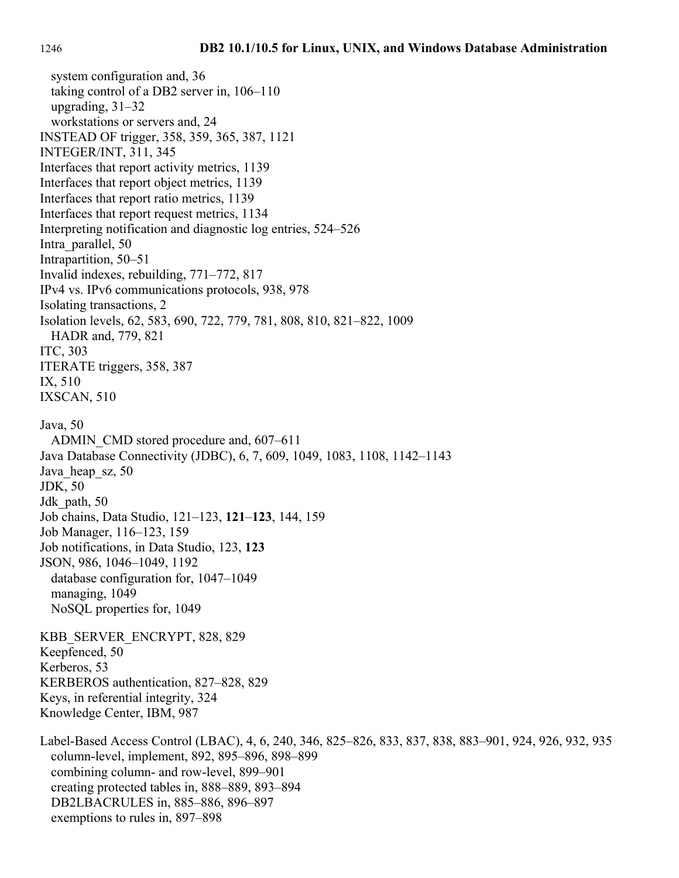system configuration and, 36 taking control of a DB2 server in, 106–110 upgrading, 31–32 workstations or servers and, 24 INSTEAD OF trigger, 358, 359, 365, 387, 1121 INTEGER/INT, 311, 345 Interfaces that report activity metrics, 1139 Interfaces that report object metrics, 1139 Interfaces that report ratio metrics, 1139 Interfaces that report request metrics, 1134 Interpreting notification and diagnostic log entries, 524–526 Intra\_parallel, 50 Intrapartition, 50–51 Invalid indexes, rebuilding, 771–772, 817 IPv4 vs. IPv6 communications protocols, 938, 978 Isolating transactions, 2 Isolation levels, 62, 583, 690, 722, 779, 781, 808, 810, 821–822, 1009 HADR and, 779, 821 ITC, 303 ITERATE triggers, 358, 387 IX, 510 IXSCAN, 510 Java, 50 ADMIN\_CMD stored procedure and, 607–611 Java Database Connectivity (JDBC), 6, 7, 609, 1049, 1083, 1108, 1142–1143 Java heap sz, 50 JDK, 50 Jdk path, 50 Job chains, Data Studio, 121–123, **121**–**123**, 144, 159 Job Manager, 116–123, 159 Job notifications, in Data Studio, 123, **123** JSON, 986, 1046–1049, 1192 database configuration for, 1047–1049 managing, 1049 NoSQL properties for, 1049 KBB\_SERVER\_ENCRYPT, 828, 829 Keepfenced, 50 Kerberos, 53 KERBEROS authentication, 827–828, 829 Keys, in referential integrity, 324 Knowledge Center, IBM, 987 Label-Based Access Control (LBAC), 4, 6, 240, 346, 825–826, 833, 837, 838, 883–901, 924, 926, 932, 935 column-level, implement, 892, 895–896, 898–899 combining column- and row-level, 899–901 creating protected tables in, 888–889, 893–894 DB2LBACRULES in, 885–886, 896–897 exemptions to rules in, 897–898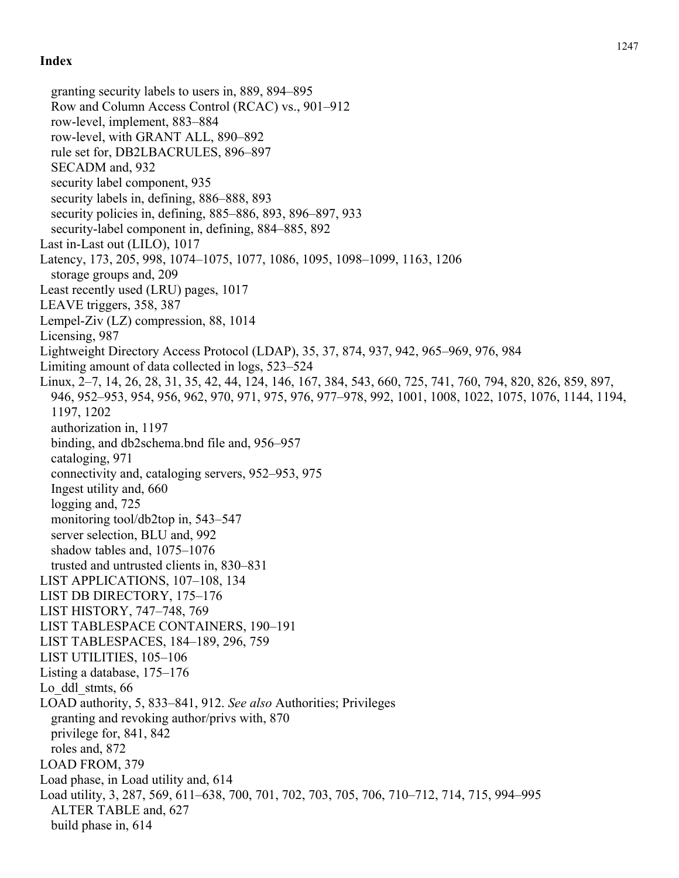granting security labels to users in, 889, 894–895 Row and Column Access Control (RCAC) vs., 901–912 row-level, implement, 883–884 row-level, with GRANT ALL, 890–892 rule set for, DB2LBACRULES, 896–897 SECADM and, 932 security label component, 935 security labels in, defining, 886–888, 893 security policies in, defining, 885–886, 893, 896–897, 933 security-label component in, defining, 884–885, 892 Last in-Last out (LILO), 1017 Latency, 173, 205, 998, 1074–1075, 1077, 1086, 1095, 1098–1099, 1163, 1206 storage groups and, 209 Least recently used (LRU) pages, 1017 LEAVE triggers, 358, 387 Lempel-Ziv (LZ) compression, 88, 1014 Licensing, 987 Lightweight Directory Access Protocol (LDAP), 35, 37, 874, 937, 942, 965–969, 976, 984 Limiting amount of data collected in logs, 523–524 Linux, 2–7, 14, 26, 28, 31, 35, 42, 44, 124, 146, 167, 384, 543, 660, 725, 741, 760, 794, 820, 826, 859, 897, 946, 952–953, 954, 956, 962, 970, 971, 975, 976, 977–978, 992, 1001, 1008, 1022, 1075, 1076, 1144, 1194, 1197, 1202 authorization in, 1197 binding, and db2schema.bnd file and, 956–957 cataloging, 971 connectivity and, cataloging servers, 952–953, 975 Ingest utility and, 660 logging and, 725 monitoring tool/db2top in, 543–547 server selection, BLU and, 992 shadow tables and, 1075–1076 trusted and untrusted clients in, 830–831 LIST APPLICATIONS, 107–108, 134 LIST DB DIRECTORY, 175–176 LIST HISTORY, 747–748, 769 LIST TABLESPACE CONTAINERS, 190–191 LIST TABLESPACES, 184–189, 296, 759 LIST UTILITIES, 105–106 Listing a database, 175–176 Lo ddl stmts, 66 LOAD authority, 5, 833–841, 912. *See also* Authorities; Privileges granting and revoking author/privs with, 870 privilege for, 841, 842 roles and, 872 LOAD FROM, 379 Load phase, in Load utility and, 614 Load utility, 3, 287, 569, 611–638, 700, 701, 702, 703, 705, 706, 710–712, 714, 715, 994–995 ALTER TABLE and, 627 build phase in, 614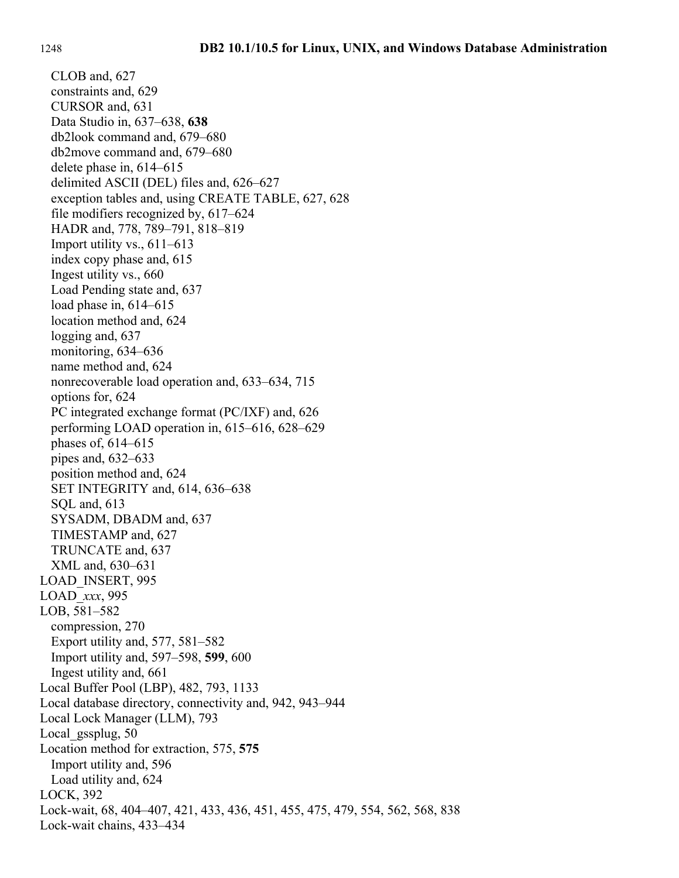CLOB and, 627 constraints and, 629 CURSOR and, 631 Data Studio in, 637–638, **638** db2look command and, 679–680 db2move command and, 679–680 delete phase in, 614–615 delimited ASCII (DEL) files and, 626–627 exception tables and, using CREATE TABLE, 627, 628 file modifiers recognized by, 617–624 HADR and, 778, 789–791, 818–819 Import utility vs., 611–613 index copy phase and, 615 Ingest utility vs., 660 Load Pending state and, 637 load phase in, 614–615 location method and, 624 logging and, 637 monitoring, 634–636 name method and, 624 nonrecoverable load operation and, 633–634, 715 options for, 624 PC integrated exchange format (PC/IXF) and, 626 performing LOAD operation in, 615–616, 628–629 phases of, 614–615 pipes and, 632–633 position method and, 624 SET INTEGRITY and, 614, 636–638 SQL and, 613 SYSADM, DBADM and, 637 TIMESTAMP and, 627 TRUNCATE and, 637 XML and, 630–631 LOAD\_INSERT, 995 LOAD\_*xxx*, 995 LOB, 581–582 compression, 270 Export utility and, 577, 581–582 Import utility and, 597–598, **599**, 600 Ingest utility and, 661 Local Buffer Pool (LBP), 482, 793, 1133 Local database directory, connectivity and, 942, 943–944 Local Lock Manager (LLM), 793 Local gssplug, 50 Location method for extraction, 575, **575** Import utility and, 596 Load utility and, 624 LOCK, 392 Lock-wait, 68, 404–407, 421, 433, 436, 451, 455, 475, 479, 554, 562, 568, 838 Lock-wait chains, 433–434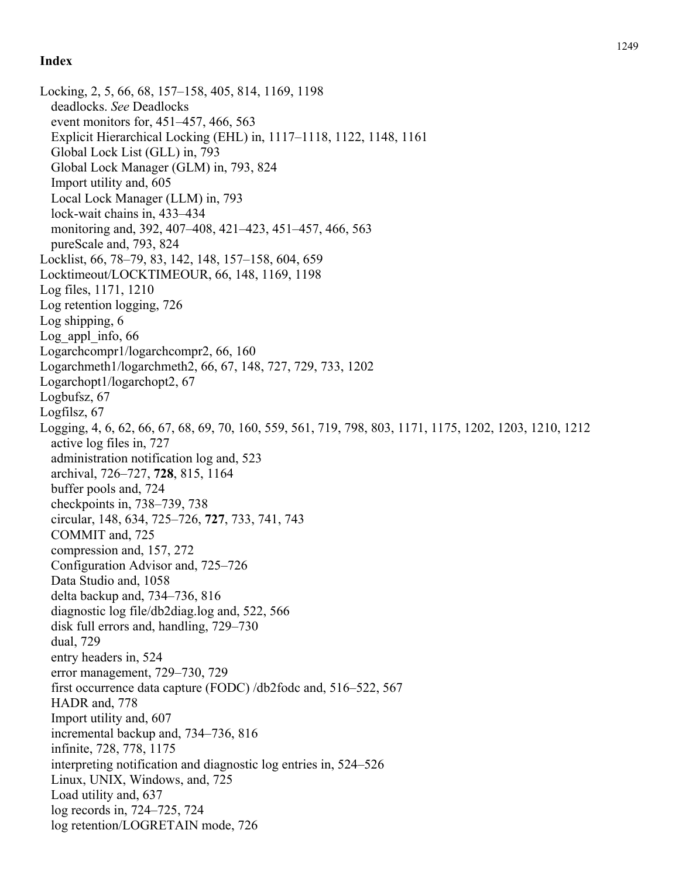Locking, 2, 5, 66, 68, 157–158, 405, 814, 1169, 1198 deadlocks. *See* Deadlocks event monitors for, 451–457, 466, 563 Explicit Hierarchical Locking (EHL) in, 1117–1118, 1122, 1148, 1161 Global Lock List (GLL) in, 793 Global Lock Manager (GLM) in, 793, 824 Import utility and, 605 Local Lock Manager (LLM) in, 793 lock-wait chains in, 433–434 monitoring and, 392, 407–408, 421–423, 451–457, 466, 563 pureScale and, 793, 824 Locklist, 66, 78–79, 83, 142, 148, 157–158, 604, 659 Locktimeout/LOCKTIMEOUR, 66, 148, 1169, 1198 Log files, 1171, 1210 Log retention logging, 726 Log shipping, 6 Log appl info,  $66$ Logarchcompr1/logarchcompr2, 66, 160 Logarchmeth1/logarchmeth2, 66, 67, 148, 727, 729, 733, 1202 Logarchopt1/logarchopt2, 67 Logbufsz, 67 Logfilsz, 67 Logging, 4, 6, 62, 66, 67, 68, 69, 70, 160, 559, 561, 719, 798, 803, 1171, 1175, 1202, 1203, 1210, 1212 active log files in, 727 administration notification log and, 523 archival, 726–727, **728**, 815, 1164 buffer pools and, 724 checkpoints in, 738–739, 738 circular, 148, 634, 725–726, **727**, 733, 741, 743 COMMIT and, 725 compression and, 157, 272 Configuration Advisor and, 725–726 Data Studio and, 1058 delta backup and, 734–736, 816 diagnostic log file/db2diag.log and, 522, 566 disk full errors and, handling, 729–730 dual, 729 entry headers in, 524 error management, 729–730, 729 first occurrence data capture (FODC) /db2fodc and, 516–522, 567 HADR and, 778 Import utility and, 607 incremental backup and, 734–736, 816 infinite, 728, 778, 1175 interpreting notification and diagnostic log entries in, 524–526 Linux, UNIX, Windows, and, 725 Load utility and, 637 log records in, 724–725, 724 log retention/LOGRETAIN mode, 726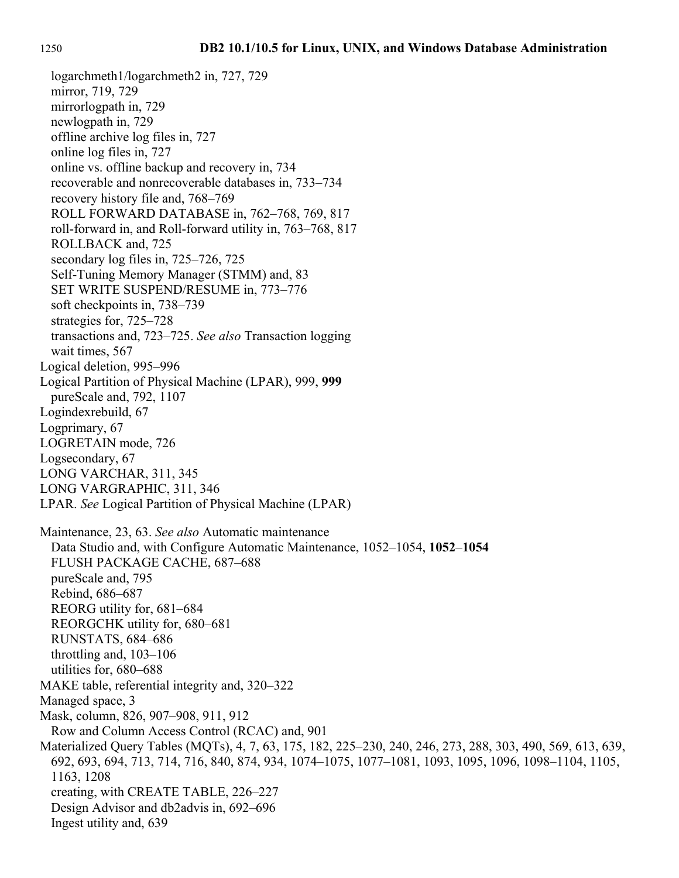mirror, 719, 729 mirrorlogpath in, 729 newlogpath in, 729 offline archive log files in, 727 online log files in, 727 online vs. offline backup and recovery in, 734 recoverable and nonrecoverable databases in, 733–734 recovery history file and, 768–769 ROLL FORWARD DATABASE in, 762–768, 769, 817 roll-forward in, and Roll-forward utility in, 763–768, 817 ROLLBACK and, 725 secondary log files in, 725–726, 725 Self-Tuning Memory Manager (STMM) and, 83 SET WRITE SUSPEND/RESUME in, 773–776 soft checkpoints in, 738–739 strategies for, 725–728 transactions and, 723–725. *See also* Transaction logging wait times, 567 Logical deletion, 995–996 Logical Partition of Physical Machine (LPAR), 999, **999** pureScale and, 792, 1107 Logindexrebuild, 67 Logprimary, 67 LOGRETAIN mode, 726 Logsecondary, 67 LONG VARCHAR, 311, 345 LONG VARGRAPHIC, 311, 346 LPAR. *See* Logical Partition of Physical Machine (LPAR) Maintenance, 23, 63. *See also* Automatic maintenance Data Studio and, with Configure Automatic Maintenance, 1052–1054, **1052**–**1054** FLUSH PACKAGE CACHE, 687–688 pureScale and, 795 Rebind, 686–687 REORG utility for, 681–684 REORGCHK utility for, 680–681 RUNSTATS, 684–686 throttling and, 103–106 utilities for, 680–688 MAKE table, referential integrity and, 320–322 Managed space, 3 Mask, column, 826, 907–908, 911, 912 Row and Column Access Control (RCAC) and, 901 Materialized Query Tables (MQTs), 4, 7, 63, 175, 182, 225–230, 240, 246, 273, 288, 303, 490, 569, 613, 639, 692, 693, 694, 713, 714, 716, 840, 874, 934, 1074–1075, 1077–1081, 1093, 1095, 1096, 1098–1104, 1105, 1163, 1208 creating, with CREATE TABLE, 226–227 Design Advisor and db2advis in, 692–696 Ingest utility and, 639

logarchmeth1/logarchmeth2 in, 727, 729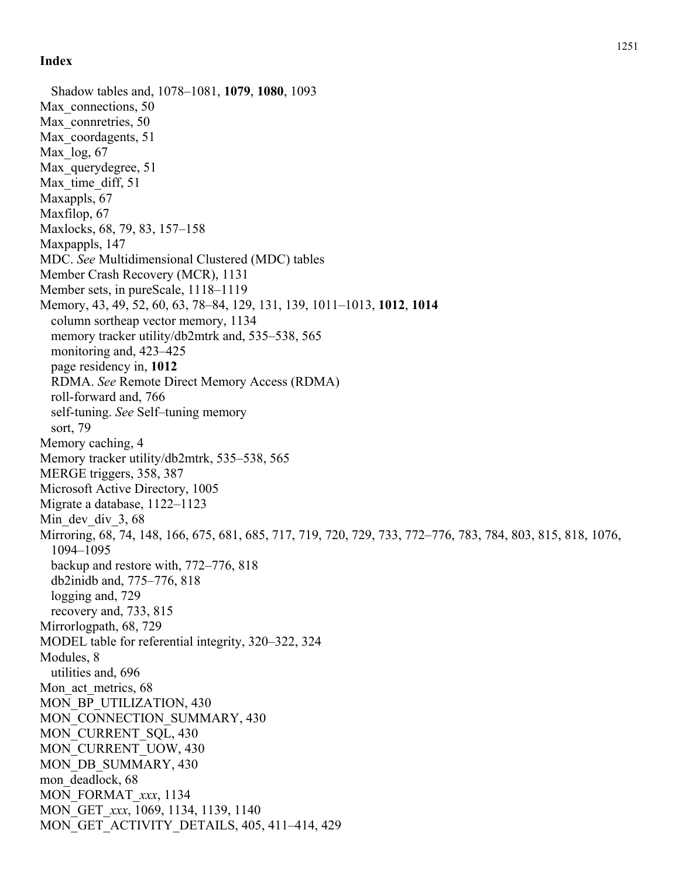Shadow tables and, 1078–1081, **1079**, **1080**, 1093 Max connections, 50 Max connretries, 50 Max\_coordagents, 51 Max  $log, 67$ Max querydegree, 51 Max time diff, 51 Maxappls, 67 Maxfilop, 67 Maxlocks, 68, 79, 83, 157–158 Maxpappls, 147 MDC. *See* Multidimensional Clustered (MDC) tables Member Crash Recovery (MCR), 1131 Member sets, in pureScale, 1118–1119 Memory, 43, 49, 52, 60, 63, 78–84, 129, 131, 139, 1011–1013, **1012**, **1014** column sortheap vector memory, 1134 memory tracker utility/db2mtrk and, 535–538, 565 monitoring and, 423–425 page residency in, **1012** RDMA. *See* Remote Direct Memory Access (RDMA) roll-forward and, 766 self-tuning. *See* Self–tuning memory sort, 79 Memory caching, 4 Memory tracker utility/db2mtrk, 535–538, 565 MERGE triggers, 358, 387 Microsoft Active Directory, 1005 Migrate a database, 1122–1123 Min dev div 3, 68 Mirroring, 68, 74, 148, 166, 675, 681, 685, 717, 719, 720, 729, 733, 772–776, 783, 784, 803, 815, 818, 1076, 1094–1095 backup and restore with, 772–776, 818 db2inidb and, 775–776, 818 logging and, 729 recovery and, 733, 815 Mirrorlogpath, 68, 729 MODEL table for referential integrity, 320–322, 324 Modules, 8 utilities and, 696 Mon act metrics, 68 MON BP\_UTILIZATION, 430 MON\_CONNECTION\_SUMMARY, 430 MON CURRENT SQL, 430 MON\_CURRENT\_UOW, 430 MON DB\_SUMMARY, 430 mon deadlock, 68 MON\_FORMAT\_*xxx*, 1134 MON\_GET\_*xxx*, 1069, 1134, 1139, 1140 MON GET ACTIVITY DETAILS, 405, 411–414, 429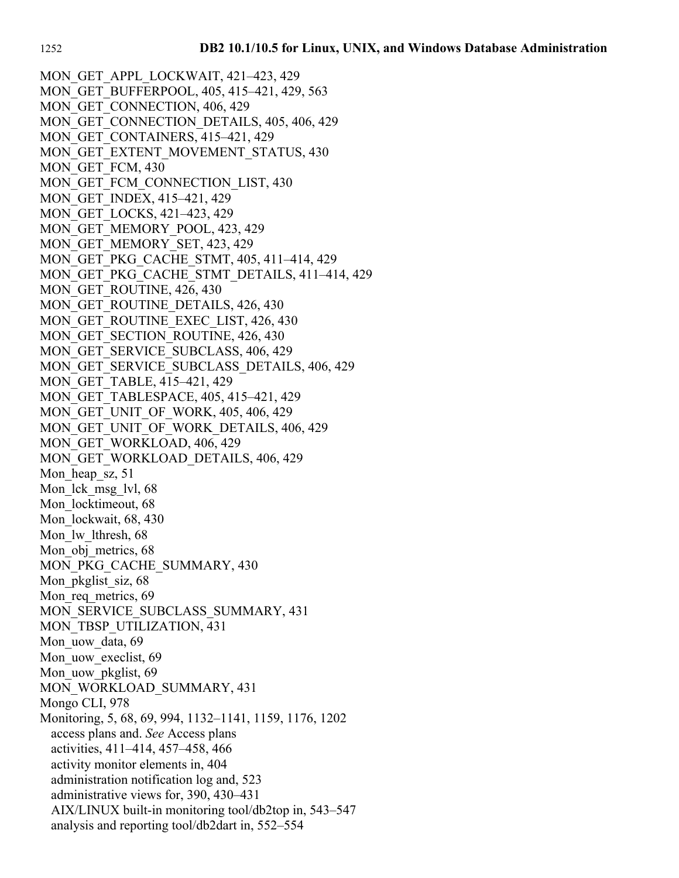MON\_GET\_APPL\_LOCKWAIT, 421-423, 429 MON\_GET\_BUFFERPOOL, 405, 415–421, 429, 563 MON GET CONNECTION, 406, 429 MON GET CONNECTION DETAILS, 405, 406, 429 MON GET CONTAINERS, 415–421, 429 MON GET EXTENT MOVEMENT STATUS, 430 MON GET FCM, 430 MON GET FCM CONNECTION LIST, 430 MON\_GET\_INDEX, 415–421, 429 MON\_GET\_LOCKS, 421–423, 429 MON\_GET\_MEMORY\_POOL, 423, 429 MON\_GET\_MEMORY\_SET, 423, 429 MON\_GET\_PKG\_CACHE\_STMT, 405, 411–414, 429 MON GET PKG CACHE STMT DETAILS, 411–414, 429 MON GET ROUTINE, 426, 430 MON GET ROUTINE DETAILS, 426, 430 MON GET ROUTINE EXEC LIST, 426, 430 MON GET SECTION ROUTINE, 426, 430 MON GET SERVICE SUBCLASS, 406, 429 MON GET SERVICE SUBCLASS DETAILS, 406, 429 MON\_GET\_TABLE, 415–421, 429 MON\_GET\_TABLESPACE, 405, 415–421, 429 MON\_GET\_UNIT\_OF\_WORK, 405, 406, 429 MON GET UNIT OF WORK DETAILS, 406, 429 MON\_GET\_WORKLOAD, 406, 429 MON\_GET\_WORKLOAD\_DETAILS, 406, 429 Mon heap sz, 51 Mon lck msg lvl, 68 Mon locktimeout, 68 Mon lockwait, 68, 430 Mon lw lthresh, 68 Mon obj metrics, 68 MON\_PKG\_CACHE\_SUMMARY, 430 Mon pkglist siz, 68 Mon req metrics, 69 MON\_SERVICE\_SUBCLASS\_SUMMARY, 431 MON\_TBSP\_UTILIZATION, 431 Mon uow data, 69 Mon uow execlist, 69 Mon uow pkglist, 69 MON\_WORKLOAD\_SUMMARY, 431 Mongo CLI, 978 Monitoring, 5, 68, 69, 994, 1132–1141, 1159, 1176, 1202 access plans and. *See* Access plans activities, 411–414, 457–458, 466 activity monitor elements in, 404 administration notification log and, 523 administrative views for, 390, 430–431 AIX/LINUX built-in monitoring tool/db2top in, 543–547 analysis and reporting tool/db2dart in, 552–554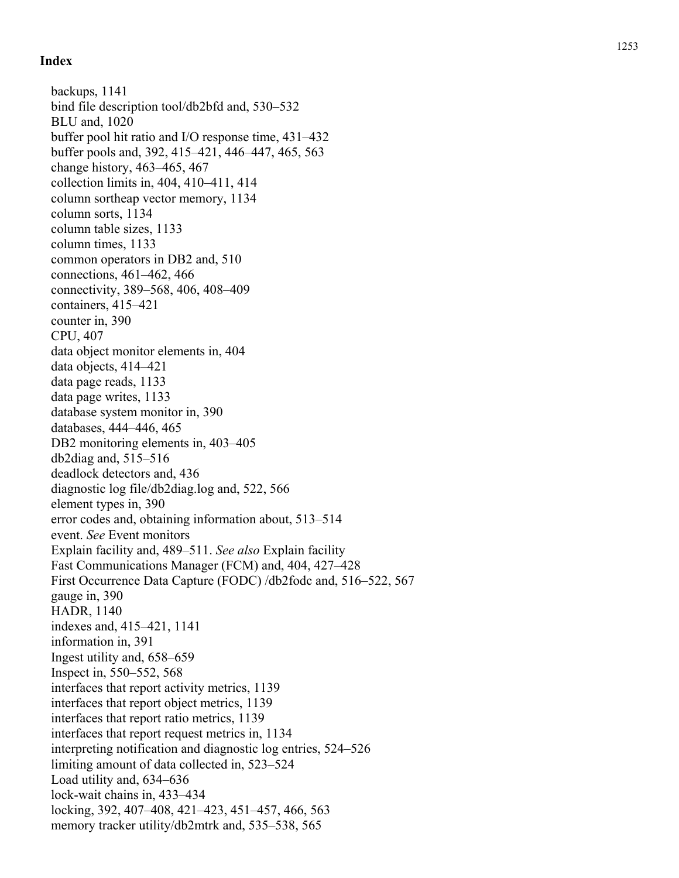backups, 1141 bind file description tool/db2bfd and, 530–532 BLU and, 1020 buffer pool hit ratio and I/O response time, 431–432 buffer pools and, 392, 415–421, 446–447, 465, 563 change history, 463–465, 467 collection limits in, 404, 410–411, 414 column sortheap vector memory, 1134 column sorts, 1134 column table sizes, 1133 column times, 1133 common operators in DB2 and, 510 connections, 461–462, 466 connectivity, 389–568, 406, 408–409 containers, 415–421 counter in, 390 CPU, 407 data object monitor elements in, 404 data objects, 414–421 data page reads, 1133 data page writes, 1133 database system monitor in, 390 databases, 444–446, 465 DB2 monitoring elements in, 403–405 db2diag and, 515–516 deadlock detectors and, 436 diagnostic log file/db2diag.log and, 522, 566 element types in, 390 error codes and, obtaining information about, 513–514 event. *See* Event monitors Explain facility and, 489–511. *See also* Explain facility Fast Communications Manager (FCM) and, 404, 427–428 First Occurrence Data Capture (FODC) /db2fodc and, 516–522, 567 gauge in, 390 HADR, 1140 indexes and, 415–421, 1141 information in, 391 Ingest utility and, 658–659 Inspect in, 550–552, 568 interfaces that report activity metrics, 1139 interfaces that report object metrics, 1139 interfaces that report ratio metrics, 1139 interfaces that report request metrics in, 1134 interpreting notification and diagnostic log entries, 524–526 limiting amount of data collected in, 523–524 Load utility and, 634–636 lock-wait chains in, 433–434 locking, 392, 407–408, 421–423, 451–457, 466, 563 memory tracker utility/db2mtrk and, 535–538, 565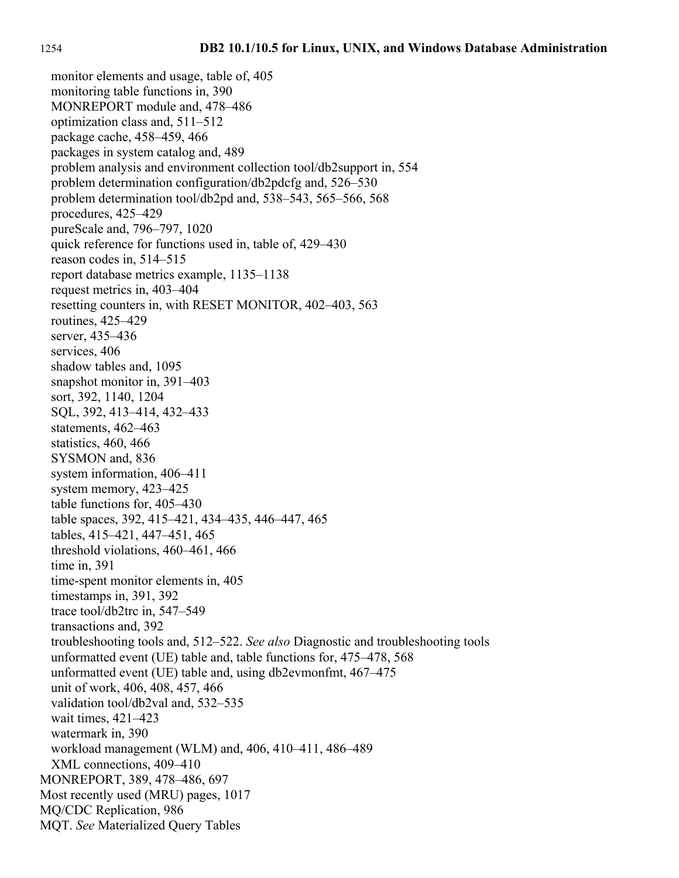monitor elements and usage, table of, 405 monitoring table functions in, 390 MONREPORT module and, 478–486 optimization class and, 511–512 package cache, 458–459, 466 packages in system catalog and, 489 problem analysis and environment collection tool/db2support in, 554 problem determination configuration/db2pdcfg and, 526–530 problem determination tool/db2pd and, 538–543, 565–566, 568 procedures, 425–429 pureScale and, 796–797, 1020 quick reference for functions used in, table of, 429–430 reason codes in, 514–515 report database metrics example, 1135–1138 request metrics in, 403–404 resetting counters in, with RESET MONITOR, 402–403, 563 routines, 425–429 server, 435–436 services, 406 shadow tables and, 1095 snapshot monitor in, 391–403 sort, 392, 1140, 1204 SQL, 392, 413–414, 432–433 statements, 462–463 statistics, 460, 466 SYSMON and, 836 system information, 406–411 system memory, 423–425 table functions for, 405–430 table spaces, 392, 415–421, 434–435, 446–447, 465 tables, 415–421, 447–451, 465 threshold violations, 460–461, 466 time in, 391 time-spent monitor elements in, 405 timestamps in, 391, 392 trace tool/db2trc in, 547–549 transactions and, 392 troubleshooting tools and, 512–522. *See also* Diagnostic and troubleshooting tools unformatted event (UE) table and, table functions for, 475–478, 568 unformatted event (UE) table and, using db2evmonfmt, 467–475 unit of work, 406, 408, 457, 466 validation tool/db2val and, 532–535 wait times, 421–423 watermark in, 390 workload management (WLM) and, 406, 410–411, 486–489 XML connections, 409–410 MONREPORT, 389, 478–486, 697 Most recently used (MRU) pages, 1017 MQ/CDC Replication, 986 MQT. *See* Materialized Query Tables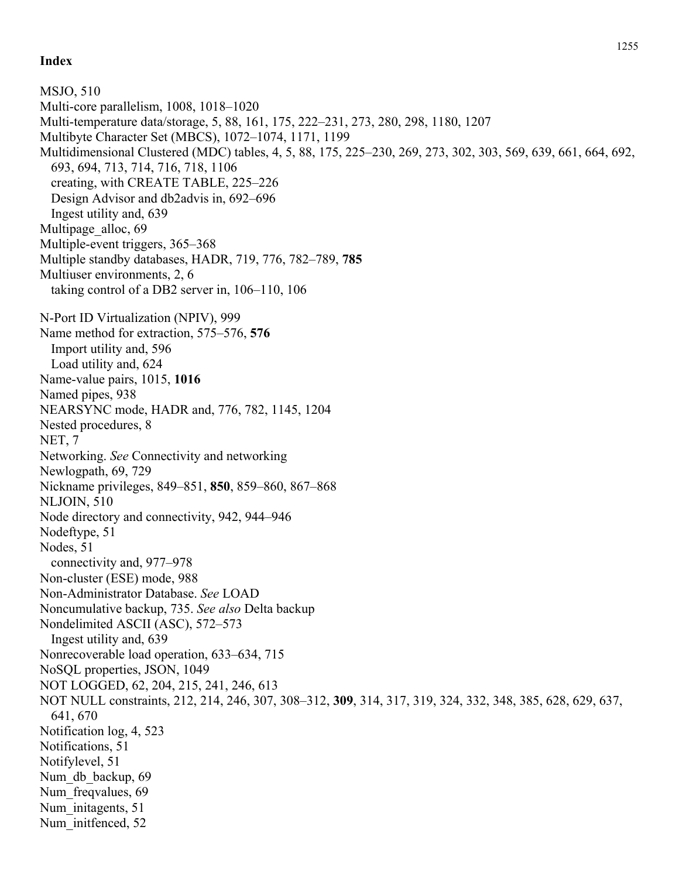MSJO, 510 Multi-core parallelism, 1008, 1018–1020 Multi-temperature data/storage, 5, 88, 161, 175, 222–231, 273, 280, 298, 1180, 1207 Multibyte Character Set (MBCS), 1072–1074, 1171, 1199 Multidimensional Clustered (MDC) tables, 4, 5, 88, 175, 225–230, 269, 273, 302, 303, 569, 639, 661, 664, 692, 693, 694, 713, 714, 716, 718, 1106 creating, with CREATE TABLE, 225–226 Design Advisor and db2advis in, 692–696 Ingest utility and, 639 Multipage alloc, 69 Multiple-event triggers, 365–368 Multiple standby databases, HADR, 719, 776, 782–789, **785** Multiuser environments, 2, 6 taking control of a DB2 server in, 106–110, 106 N-Port ID Virtualization (NPIV), 999 Name method for extraction, 575–576, **576** Import utility and, 596 Load utility and, 624 Name-value pairs, 1015, **1016** Named pipes, 938 NEARSYNC mode, HADR and, 776, 782, 1145, 1204 Nested procedures, 8 NET, 7 Networking. *See* Connectivity and networking Newlogpath, 69, 729 Nickname privileges, 849–851, **850**, 859–860, 867–868 NLJOIN, 510 Node directory and connectivity, 942, 944–946 Nodeftype, 51 Nodes, 51 connectivity and, 977–978 Non-cluster (ESE) mode, 988 Non-Administrator Database. *See* LOAD Noncumulative backup, 735. *See also* Delta backup Nondelimited ASCII (ASC), 572–573 Ingest utility and, 639 Nonrecoverable load operation, 633–634, 715 NoSQL properties, JSON, 1049 NOT LOGGED, 62, 204, 215, 241, 246, 613 NOT NULL constraints, 212, 214, 246, 307, 308–312, **309**, 314, 317, 319, 324, 332, 348, 385, 628, 629, 637, 641, 670 Notification log, 4, 523 Notifications, 51 Notifylevel, 51 Num db backup, 69 Num freqvalues, 69 Num initagents, 51 Num initfenced, 52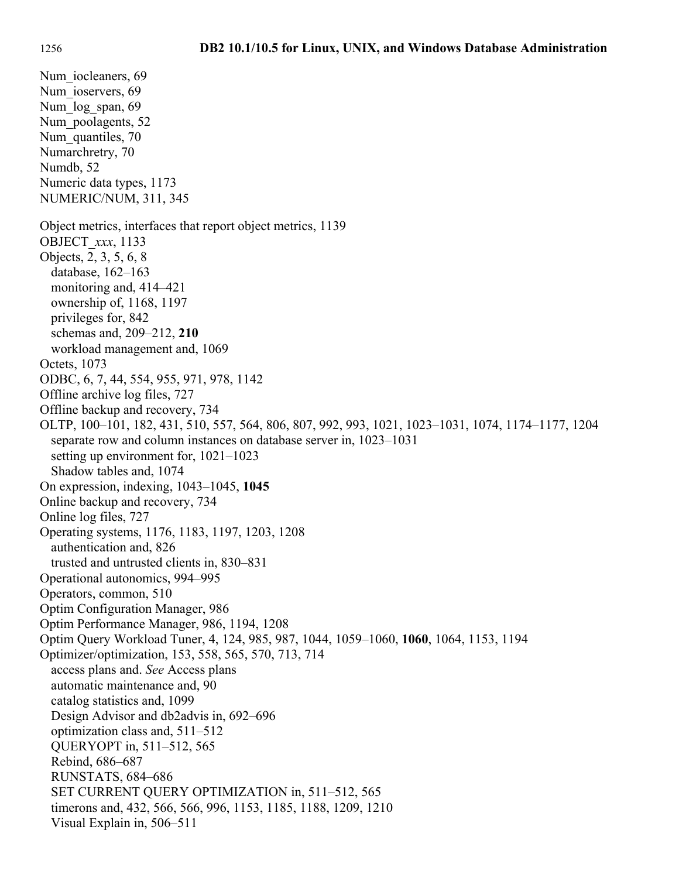Num iocleaners, 69 Num ioservers, 69 Num log span, 69 Num poolagents, 52 Num quantiles, 70 Numarchretry, 70 Numdb, 52 Numeric data types, 1173 NUMERIC/NUM, 311, 345 Object metrics, interfaces that report object metrics, 1139 OBJECT\_*xxx*, 1133 Objects, 2, 3, 5, 6, 8 database, 162–163 monitoring and, 414–421 ownership of, 1168, 1197 privileges for, 842 schemas and, 209–212, **210** workload management and, 1069 Octets, 1073 ODBC, 6, 7, 44, 554, 955, 971, 978, 1142 Offline archive log files, 727 Offline backup and recovery, 734 OLTP, 100–101, 182, 431, 510, 557, 564, 806, 807, 992, 993, 1021, 1023–1031, 1074, 1174–1177, 1204 separate row and column instances on database server in, 1023–1031 setting up environment for, 1021–1023 Shadow tables and, 1074 On expression, indexing, 1043–1045, **1045** Online backup and recovery, 734 Online log files, 727 Operating systems, 1176, 1183, 1197, 1203, 1208 authentication and, 826 trusted and untrusted clients in, 830–831 Operational autonomics, 994–995 Operators, common, 510 Optim Configuration Manager, 986 Optim Performance Manager, 986, 1194, 1208 Optim Query Workload Tuner, 4, 124, 985, 987, 1044, 1059–1060, **1060**, 1064, 1153, 1194 Optimizer/optimization, 153, 558, 565, 570, 713, 714 access plans and. *See* Access plans automatic maintenance and, 90 catalog statistics and, 1099 Design Advisor and db2advis in, 692–696 optimization class and, 511–512 QUERYOPT in, 511–512, 565 Rebind, 686–687 RUNSTATS, 684–686 SET CURRENT QUERY OPTIMIZATION in, 511–512, 565 timerons and, 432, 566, 566, 996, 1153, 1185, 1188, 1209, 1210 Visual Explain in, 506–511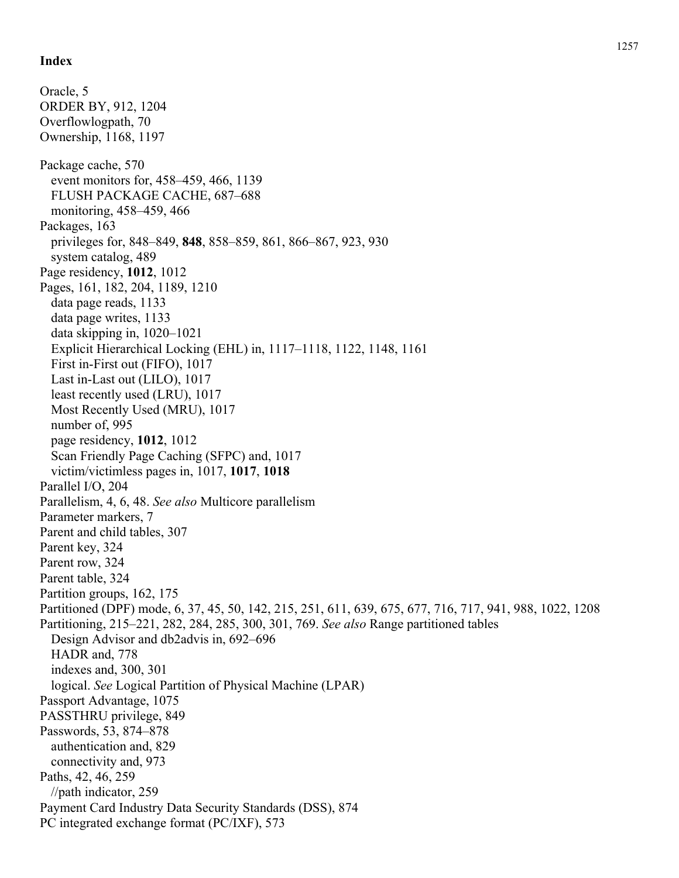Oracle, 5 ORDER BY, 912, 1204 Overflowlogpath, 70 Ownership, 1168, 1197 Package cache, 570 event monitors for, 458–459, 466, 1139 FLUSH PACKAGE CACHE, 687–688 monitoring, 458–459, 466 Packages, 163 privileges for, 848–849, **848**, 858–859, 861, 866–867, 923, 930 system catalog, 489 Page residency, **1012**, 1012 Pages, 161, 182, 204, 1189, 1210 data page reads, 1133 data page writes, 1133 data skipping in, 1020–1021 Explicit Hierarchical Locking (EHL) in, 1117–1118, 1122, 1148, 1161 First in-First out (FIFO), 1017 Last in-Last out (LILO), 1017 least recently used (LRU), 1017 Most Recently Used (MRU), 1017 number of, 995 page residency, **1012**, 1012 Scan Friendly Page Caching (SFPC) and, 1017 victim/victimless pages in, 1017, **1017**, **1018** Parallel I/O, 204 Parallelism, 4, 6, 48. *See also* Multicore parallelism Parameter markers, 7 Parent and child tables, 307 Parent key, 324 Parent row, 324 Parent table, 324 Partition groups, 162, 175 Partitioned (DPF) mode, 6, 37, 45, 50, 142, 215, 251, 611, 639, 675, 677, 716, 717, 941, 988, 1022, 1208 Partitioning, 215–221, 282, 284, 285, 300, 301, 769. *See also* Range partitioned tables Design Advisor and db2advis in, 692–696 HADR and, 778 indexes and, 300, 301 logical. *See* Logical Partition of Physical Machine (LPAR) Passport Advantage, 1075 PASSTHRU privilege, 849 Passwords, 53, 874–878 authentication and, 829 connectivity and, 973 Paths, 42, 46, 259 //path indicator, 259 Payment Card Industry Data Security Standards (DSS), 874 PC integrated exchange format (PC/IXF), 573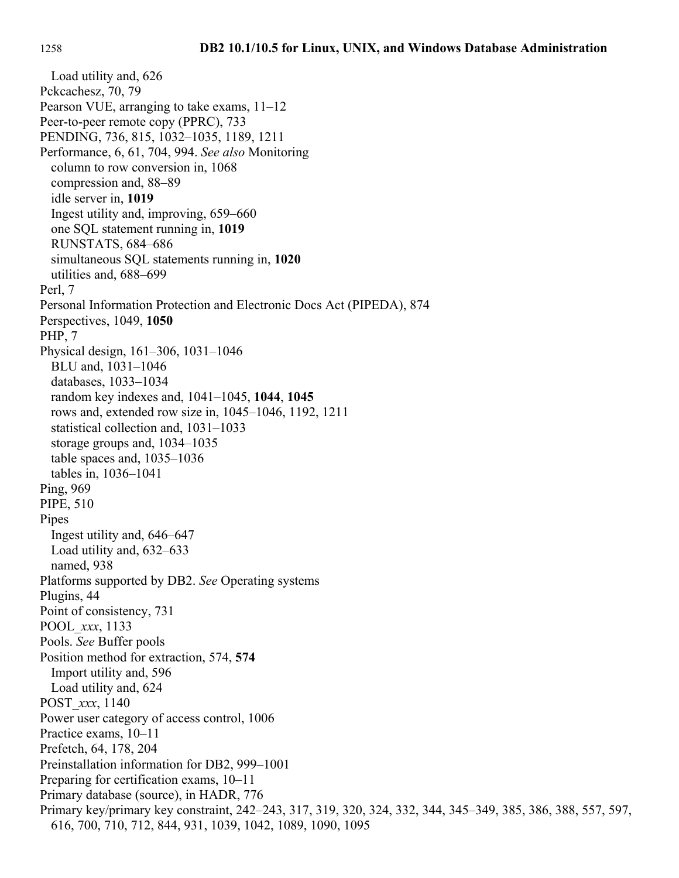Load utility and, 626 Pckcachesz, 70, 79 Pearson VUE, arranging to take exams, 11–12 Peer-to-peer remote copy (PPRC), 733 PENDING, 736, 815, 1032–1035, 1189, 1211 Performance, 6, 61, 704, 994. *See also* Monitoring column to row conversion in, 1068 compression and, 88–89 idle server in, **1019** Ingest utility and, improving, 659–660 one SQL statement running in, **1019** RUNSTATS, 684–686 simultaneous SQL statements running in, **1020** utilities and, 688–699 Perl, 7 Personal Information Protection and Electronic Docs Act (PIPEDA), 874 Perspectives, 1049, **1050** PHP, 7 Physical design, 161–306, 1031–1046 BLU and, 1031–1046 databases, 1033–1034 random key indexes and, 1041–1045, **1044**, **1045** rows and, extended row size in, 1045–1046, 1192, 1211 statistical collection and, 1031–1033 storage groups and, 1034–1035 table spaces and, 1035–1036 tables in, 1036–1041 Ping, 969 PIPE, 510 Pipes Ingest utility and, 646–647 Load utility and, 632–633 named, 938 Platforms supported by DB2. *See* Operating systems Plugins, 44 Point of consistency, 731 POOL\_*xxx*, 1133 Pools. *See* Buffer pools Position method for extraction, 574, **574** Import utility and, 596 Load utility and, 624 POST\_*xxx*, 1140 Power user category of access control, 1006 Practice exams, 10–11 Prefetch, 64, 178, 204 Preinstallation information for DB2, 999–1001 Preparing for certification exams, 10–11 Primary database (source), in HADR, 776 Primary key/primary key constraint, 242–243, 317, 319, 320, 324, 332, 344, 345–349, 385, 386, 388, 557, 597, 616, 700, 710, 712, 844, 931, 1039, 1042, 1089, 1090, 1095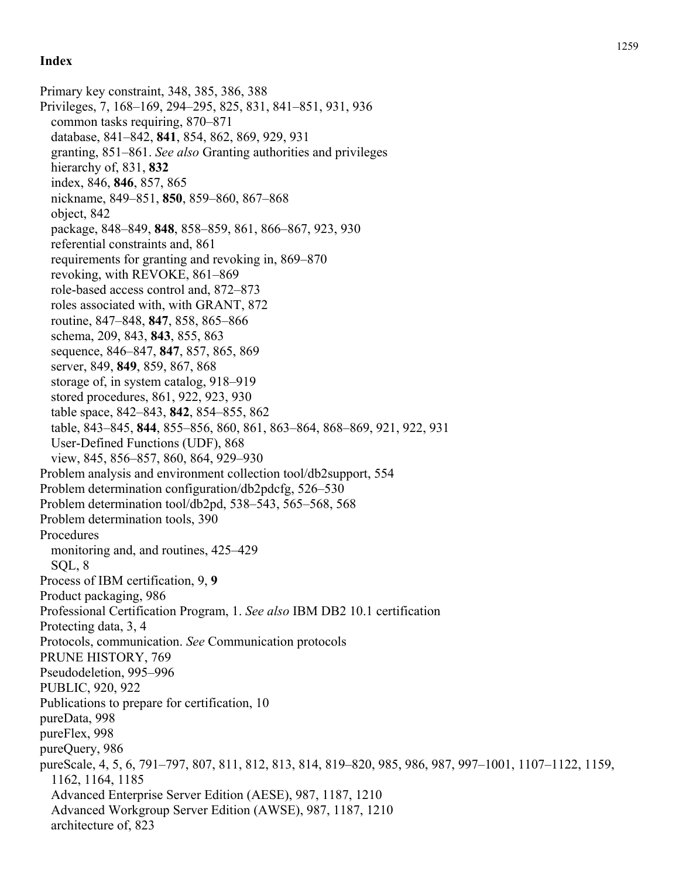Primary key constraint, 348, 385, 386, 388 Privileges, 7, 168–169, 294–295, 825, 831, 841–851, 931, 936 common tasks requiring, 870–871 database, 841–842, **841**, 854, 862, 869, 929, 931 granting, 851–861. *See also* Granting authorities and privileges hierarchy of, 831, **832** index, 846, **846**, 857, 865 nickname, 849–851, **850**, 859–860, 867–868 object, 842 package, 848–849, **848**, 858–859, 861, 866–867, 923, 930 referential constraints and, 861 requirements for granting and revoking in, 869–870 revoking, with REVOKE, 861–869 role-based access control and, 872–873 roles associated with, with GRANT, 872 routine, 847–848, **847**, 858, 865–866 schema, 209, 843, **843**, 855, 863 sequence, 846–847, **847**, 857, 865, 869 server, 849, **849**, 859, 867, 868 storage of, in system catalog, 918–919 stored procedures, 861, 922, 923, 930 table space, 842–843, **842**, 854–855, 862 table, 843–845, **844**, 855–856, 860, 861, 863–864, 868–869, 921, 922, 931 User-Defined Functions (UDF), 868 view, 845, 856–857, 860, 864, 929–930 Problem analysis and environment collection tool/db2support, 554 Problem determination configuration/db2pdcfg, 526–530 Problem determination tool/db2pd, 538–543, 565–568, 568 Problem determination tools, 390 Procedures monitoring and, and routines, 425–429 SQL, 8 Process of IBM certification, 9, **9** Product packaging, 986 Professional Certification Program, 1. *See also* IBM DB2 10.1 certification Protecting data, 3, 4 Protocols, communication. *See* Communication protocols PRUNE HISTORY, 769 Pseudodeletion, 995–996 PUBLIC, 920, 922 Publications to prepare for certification, 10 pureData, 998 pureFlex, 998 pureQuery, 986 pureScale, 4, 5, 6, 791–797, 807, 811, 812, 813, 814, 819–820, 985, 986, 987, 997–1001, 1107–1122, 1159, 1162, 1164, 1185 Advanced Enterprise Server Edition (AESE), 987, 1187, 1210 Advanced Workgroup Server Edition (AWSE), 987, 1187, 1210 architecture of, 823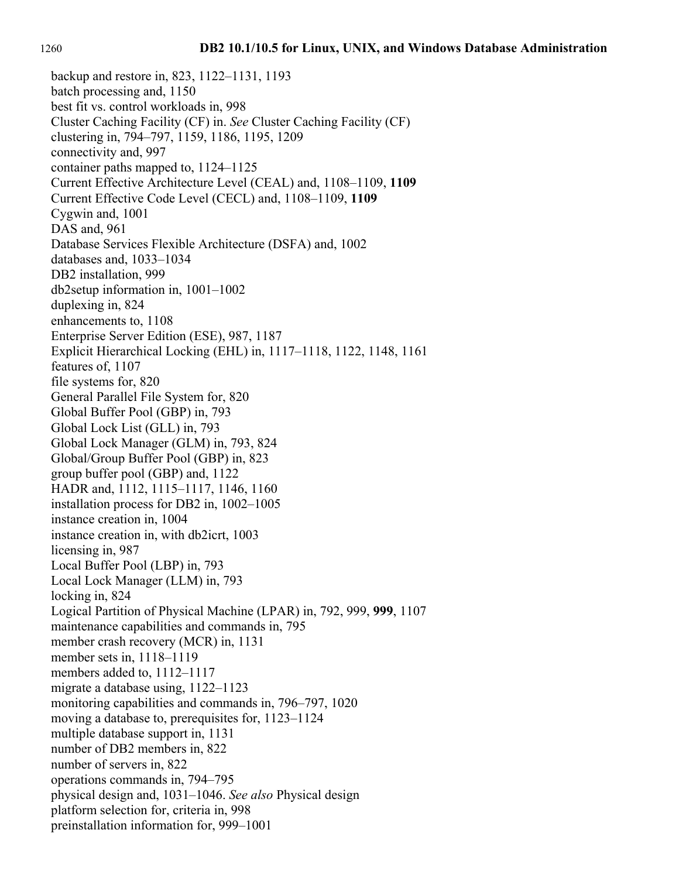backup and restore in, 823, 1122–1131, 1193 batch processing and, 1150 best fit vs. control workloads in, 998 Cluster Caching Facility (CF) in. *See* Cluster Caching Facility (CF) clustering in, 794–797, 1159, 1186, 1195, 1209 connectivity and, 997 container paths mapped to, 1124–1125 Current Effective Architecture Level (CEAL) and, 1108–1109, **1109** Current Effective Code Level (CECL) and, 1108–1109, **1109** Cygwin and, 1001 DAS and, 961 Database Services Flexible Architecture (DSFA) and, 1002 databases and, 1033–1034 DB2 installation, 999 db2setup information in, 1001–1002 duplexing in, 824 enhancements to, 1108 Enterprise Server Edition (ESE), 987, 1187 Explicit Hierarchical Locking (EHL) in, 1117–1118, 1122, 1148, 1161 features of, 1107 file systems for, 820 General Parallel File System for, 820 Global Buffer Pool (GBP) in, 793 Global Lock List (GLL) in, 793 Global Lock Manager (GLM) in, 793, 824 Global/Group Buffer Pool (GBP) in, 823 group buffer pool (GBP) and, 1122 HADR and, 1112, 1115–1117, 1146, 1160 installation process for DB2 in, 1002–1005 instance creation in, 1004 instance creation in, with db2icrt, 1003 licensing in, 987 Local Buffer Pool (LBP) in, 793 Local Lock Manager (LLM) in, 793 locking in, 824 Logical Partition of Physical Machine (LPAR) in, 792, 999, **999**, 1107 maintenance capabilities and commands in, 795 member crash recovery (MCR) in, 1131 member sets in, 1118–1119 members added to, 1112–1117 migrate a database using, 1122–1123 monitoring capabilities and commands in, 796–797, 1020 moving a database to, prerequisites for, 1123–1124 multiple database support in, 1131 number of DB2 members in, 822 number of servers in, 822 operations commands in, 794–795 physical design and, 1031–1046. *See also* Physical design platform selection for, criteria in, 998 preinstallation information for, 999–1001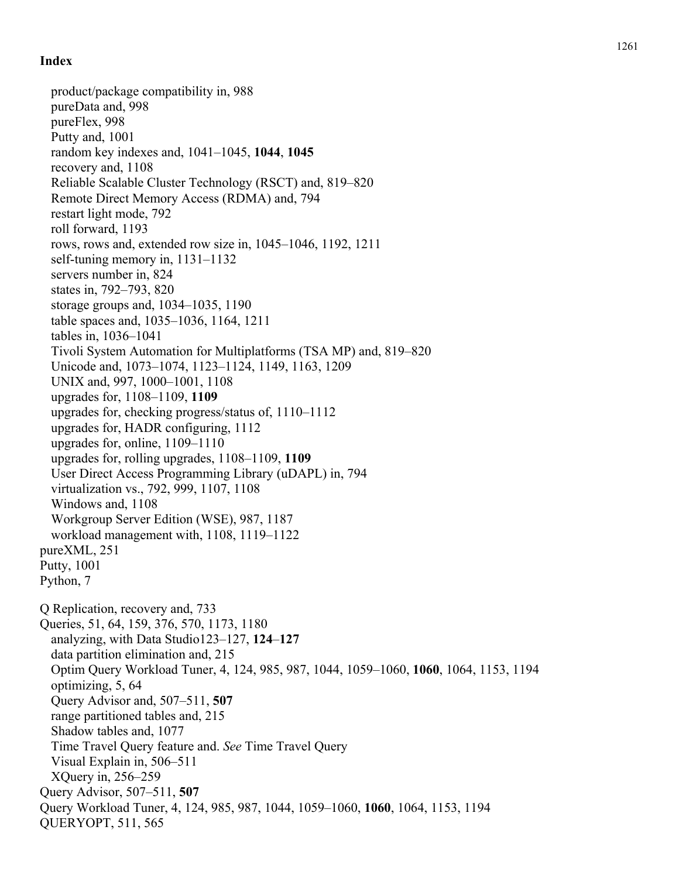product/package compatibility in, 988 pureData and, 998 pureFlex, 998 Putty and, 1001 random key indexes and, 1041–1045, **1044**, **1045** recovery and, 1108 Reliable Scalable Cluster Technology (RSCT) and, 819–820 Remote Direct Memory Access (RDMA) and, 794 restart light mode, 792 roll forward, 1193 rows, rows and, extended row size in, 1045–1046, 1192, 1211 self-tuning memory in, 1131–1132 servers number in, 824 states in, 792–793, 820 storage groups and, 1034–1035, 1190 table spaces and, 1035–1036, 1164, 1211 tables in, 1036–1041 Tivoli System Automation for Multiplatforms (TSA MP) and, 819–820 Unicode and, 1073–1074, 1123–1124, 1149, 1163, 1209 UNIX and, 997, 1000–1001, 1108 upgrades for, 1108–1109, **1109** upgrades for, checking progress/status of, 1110–1112 upgrades for, HADR configuring, 1112 upgrades for, online, 1109–1110 upgrades for, rolling upgrades, 1108–1109, **1109** User Direct Access Programming Library (uDAPL) in, 794 virtualization vs., 792, 999, 1107, 1108 Windows and, 1108 Workgroup Server Edition (WSE), 987, 1187 workload management with, 1108, 1119–1122 pureXML, 251 Putty, 1001 Python, 7 Q Replication, recovery and, 733 Queries, 51, 64, 159, 376, 570, 1173, 1180 analyzing, with Data Studio123–127, **124**–**127** data partition elimination and, 215 Optim Query Workload Tuner, 4, 124, 985, 987, 1044, 1059–1060, **1060**, 1064, 1153, 1194 optimizing, 5, 64 Query Advisor and, 507–511, **507** range partitioned tables and, 215 Shadow tables and, 1077 Time Travel Query feature and. *See* Time Travel Query Visual Explain in, 506–511 XQuery in, 256–259 Query Advisor, 507–511, **507** Query Workload Tuner, 4, 124, 985, 987, 1044, 1059–1060, **1060**, 1064, 1153, 1194 QUERYOPT, 511, 565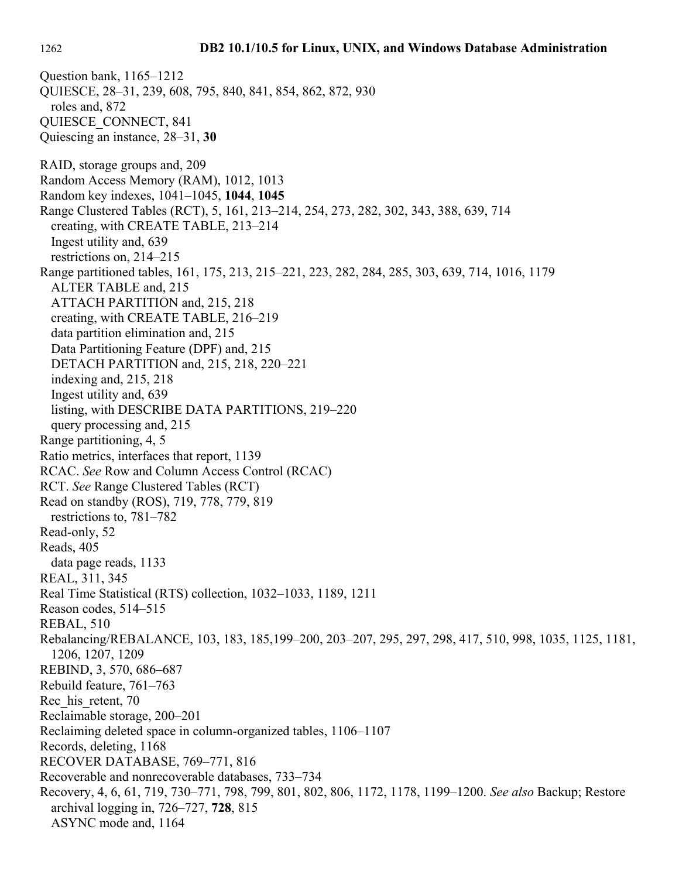Question bank, 1165–1212 QUIESCE, 28–31, 239, 608, 795, 840, 841, 854, 862, 872, 930 roles and, 872 QUIESCE\_CONNECT, 841 Quiescing an instance, 28–31, **30** RAID, storage groups and, 209 Random Access Memory (RAM), 1012, 1013 Random key indexes, 1041–1045, **1044**, **1045** Range Clustered Tables (RCT), 5, 161, 213–214, 254, 273, 282, 302, 343, 388, 639, 714 creating, with CREATE TABLE, 213–214 Ingest utility and, 639 restrictions on, 214–215 Range partitioned tables, 161, 175, 213, 215–221, 223, 282, 284, 285, 303, 639, 714, 1016, 1179 ALTER TABLE and, 215 ATTACH PARTITION and, 215, 218 creating, with CREATE TABLE, 216–219 data partition elimination and, 215 Data Partitioning Feature (DPF) and, 215 DETACH PARTITION and, 215, 218, 220–221 indexing and, 215, 218 Ingest utility and, 639 listing, with DESCRIBE DATA PARTITIONS, 219–220 query processing and, 215 Range partitioning, 4, 5 Ratio metrics, interfaces that report, 1139 RCAC. *See* Row and Column Access Control (RCAC) RCT. *See* Range Clustered Tables (RCT) Read on standby (ROS), 719, 778, 779, 819 restrictions to, 781–782 Read-only, 52 Reads, 405 data page reads, 1133 REAL, 311, 345 Real Time Statistical (RTS) collection, 1032–1033, 1189, 1211 Reason codes, 514–515 REBAL, 510 Rebalancing/REBALANCE, 103, 183, 185,199–200, 203–207, 295, 297, 298, 417, 510, 998, 1035, 1125, 1181, 1206, 1207, 1209 REBIND, 3, 570, 686–687 Rebuild feature, 761–763 Rec his retent, 70 Reclaimable storage, 200–201 Reclaiming deleted space in column-organized tables, 1106–1107 Records, deleting, 1168 RECOVER DATABASE, 769–771, 816 Recoverable and nonrecoverable databases, 733–734 Recovery, 4, 6, 61, 719, 730–771, 798, 799, 801, 802, 806, 1172, 1178, 1199–1200. *See also* Backup; Restore archival logging in, 726–727, **728**, 815 ASYNC mode and, 1164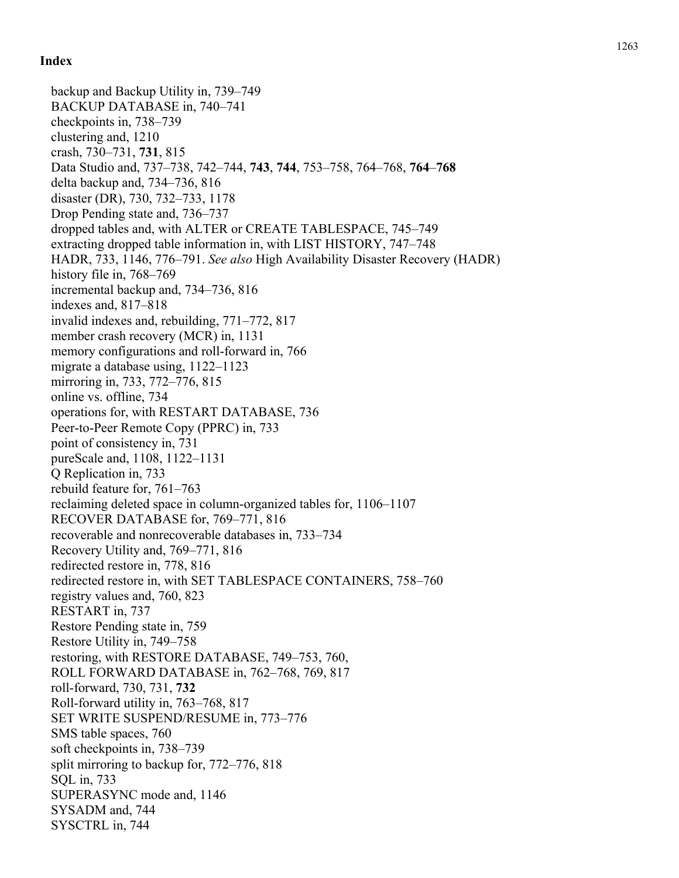backup and Backup Utility in, 739–749 BACKUP DATABASE in, 740–741 checkpoints in, 738–739 clustering and, 1210 crash, 730–731, **731**, 815 Data Studio and, 737–738, 742–744, **743**, **744**, 753–758, 764–768, **764**–**768** delta backup and, 734–736, 816 disaster (DR), 730, 732–733, 1178 Drop Pending state and, 736–737 dropped tables and, with ALTER or CREATE TABLESPACE, 745–749 extracting dropped table information in, with LIST HISTORY, 747–748 HADR, 733, 1146, 776–791. *See also* High Availability Disaster Recovery (HADR) history file in, 768–769 incremental backup and, 734–736, 816 indexes and, 817–818 invalid indexes and, rebuilding, 771–772, 817 member crash recovery (MCR) in, 1131 memory configurations and roll-forward in, 766 migrate a database using, 1122–1123 mirroring in, 733, 772–776, 815 online vs. offline, 734 operations for, with RESTART DATABASE, 736 Peer-to-Peer Remote Copy (PPRC) in, 733 point of consistency in, 731 pureScale and, 1108, 1122–1131 Q Replication in, 733 rebuild feature for, 761–763 reclaiming deleted space in column-organized tables for, 1106–1107 RECOVER DATABASE for, 769–771, 816 recoverable and nonrecoverable databases in, 733–734 Recovery Utility and, 769–771, 816 redirected restore in, 778, 816 redirected restore in, with SET TABLESPACE CONTAINERS, 758–760 registry values and, 760, 823 RESTART in, 737 Restore Pending state in, 759 Restore Utility in, 749–758 restoring, with RESTORE DATABASE, 749–753, 760, ROLL FORWARD DATABASE in, 762–768, 769, 817 roll-forward, 730, 731, **732** Roll-forward utility in, 763–768, 817 SET WRITE SUSPEND/RESUME in, 773–776 SMS table spaces, 760 soft checkpoints in, 738–739 split mirroring to backup for, 772–776, 818 SQL in, 733 SUPERASYNC mode and, 1146 SYSADM and, 744 SYSCTRL in, 744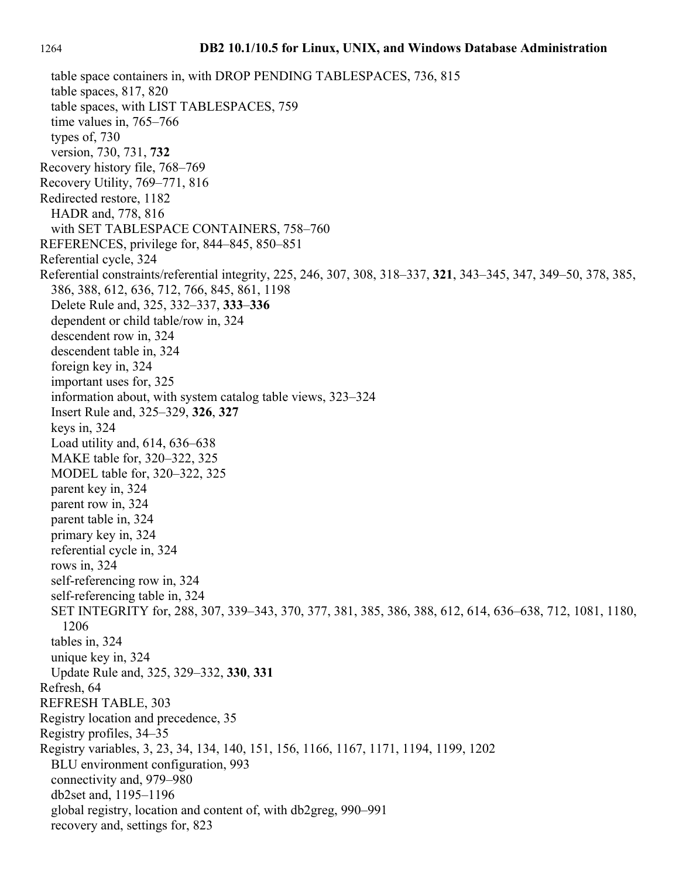table space containers in, with DROP PENDING TABLESPACES, 736, 815 table spaces, 817, 820 table spaces, with LIST TABLESPACES, 759 time values in, 765–766 types of, 730 version, 730, 731, **732** Recovery history file, 768–769 Recovery Utility, 769–771, 816 Redirected restore, 1182 HADR and, 778, 816 with SET TABLESPACE CONTAINERS, 758–760 REFERENCES, privilege for, 844–845, 850–851 Referential cycle, 324 Referential constraints/referential integrity, 225, 246, 307, 308, 318–337, **321**, 343–345, 347, 349–50, 378, 385, 386, 388, 612, 636, 712, 766, 845, 861, 1198 Delete Rule and, 325, 332–337, **333**–**336** dependent or child table/row in, 324 descendent row in, 324 descendent table in, 324 foreign key in, 324 important uses for, 325 information about, with system catalog table views, 323–324 Insert Rule and, 325–329, **326**, **327** keys in, 324 Load utility and, 614, 636–638 MAKE table for, 320–322, 325 MODEL table for, 320–322, 325 parent key in, 324 parent row in, 324 parent table in, 324 primary key in, 324 referential cycle in, 324 rows in, 324 self-referencing row in, 324 self-referencing table in, 324 SET INTEGRITY for, 288, 307, 339–343, 370, 377, 381, 385, 386, 388, 612, 614, 636–638, 712, 1081, 1180, 1206 tables in, 324 unique key in, 324 Update Rule and, 325, 329–332, **330**, **331** Refresh, 64 REFRESH TABLE, 303 Registry location and precedence, 35 Registry profiles, 34–35 Registry variables, 3, 23, 34, 134, 140, 151, 156, 1166, 1167, 1171, 1194, 1199, 1202 BLU environment configuration, 993 connectivity and, 979–980 db2set and, 1195–1196 global registry, location and content of, with db2greg, 990–991 recovery and, settings for, 823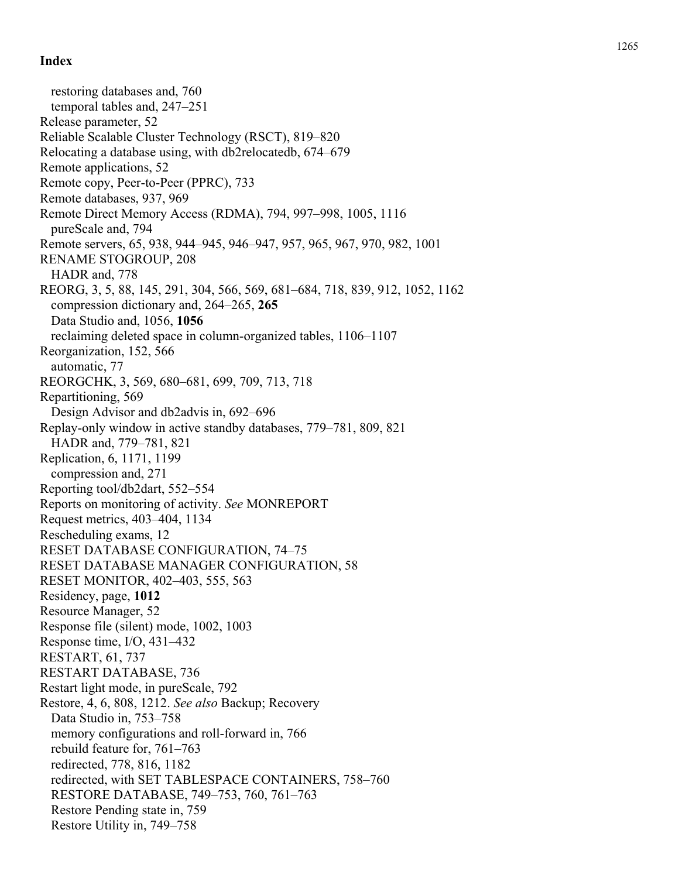restoring databases and, 760 temporal tables and, 247–251 Release parameter, 52 Reliable Scalable Cluster Technology (RSCT), 819–820 Relocating a database using, with db2relocatedb, 674–679 Remote applications, 52 Remote copy, Peer-to-Peer (PPRC), 733 Remote databases, 937, 969 Remote Direct Memory Access (RDMA), 794, 997–998, 1005, 1116 pureScale and, 794 Remote servers, 65, 938, 944–945, 946–947, 957, 965, 967, 970, 982, 1001 RENAME STOGROUP, 208 HADR and, 778 REORG, 3, 5, 88, 145, 291, 304, 566, 569, 681–684, 718, 839, 912, 1052, 1162 compression dictionary and, 264–265, **265** Data Studio and, 1056, **1056** reclaiming deleted space in column-organized tables, 1106–1107 Reorganization, 152, 566 automatic, 77 REORGCHK, 3, 569, 680–681, 699, 709, 713, 718 Repartitioning, 569 Design Advisor and db2advis in, 692–696 Replay-only window in active standby databases, 779–781, 809, 821 HADR and, 779–781, 821 Replication, 6, 1171, 1199 compression and, 271 Reporting tool/db2dart, 552–554 Reports on monitoring of activity. *See* MONREPORT Request metrics, 403–404, 1134 Rescheduling exams, 12 RESET DATABASE CONFIGURATION, 74–75 RESET DATABASE MANAGER CONFIGURATION, 58 RESET MONITOR, 402–403, 555, 563 Residency, page, **1012** Resource Manager, 52 Response file (silent) mode, 1002, 1003 Response time, I/O, 431–432 RESTART, 61, 737 RESTART DATABASE, 736 Restart light mode, in pureScale, 792 Restore, 4, 6, 808, 1212. *See also* Backup; Recovery Data Studio in, 753–758 memory configurations and roll-forward in, 766 rebuild feature for, 761–763 redirected, 778, 816, 1182 redirected, with SET TABLESPACE CONTAINERS, 758–760 RESTORE DATABASE, 749–753, 760, 761–763 Restore Pending state in, 759 Restore Utility in, 749–758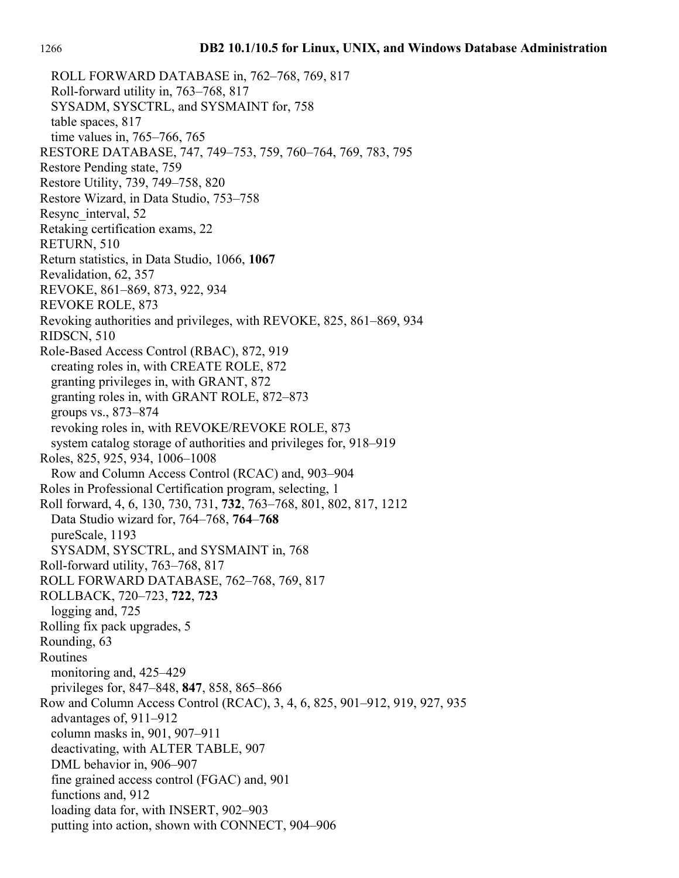ROLL FORWARD DATABASE in, 762–768, 769, 817 Roll-forward utility in, 763–768, 817 SYSADM, SYSCTRL, and SYSMAINT for, 758 table spaces, 817 time values in, 765–766, 765 RESTORE DATABASE, 747, 749–753, 759, 760–764, 769, 783, 795 Restore Pending state, 759 Restore Utility, 739, 749–758, 820 Restore Wizard, in Data Studio, 753–758 Resync interval, 52 Retaking certification exams, 22 RETURN, 510 Return statistics, in Data Studio, 1066, **1067** Revalidation, 62, 357 REVOKE, 861–869, 873, 922, 934 REVOKE ROLE, 873 Revoking authorities and privileges, with REVOKE, 825, 861–869, 934 RIDSCN, 510 Role-Based Access Control (RBAC), 872, 919 creating roles in, with CREATE ROLE, 872 granting privileges in, with GRANT, 872 granting roles in, with GRANT ROLE, 872–873 groups vs., 873–874 revoking roles in, with REVOKE/REVOKE ROLE, 873 system catalog storage of authorities and privileges for, 918–919 Roles, 825, 925, 934, 1006–1008 Row and Column Access Control (RCAC) and, 903–904 Roles in Professional Certification program, selecting, 1 Roll forward, 4, 6, 130, 730, 731, **732**, 763–768, 801, 802, 817, 1212 Data Studio wizard for, 764–768, **764**–**768** pureScale, 1193 SYSADM, SYSCTRL, and SYSMAINT in, 768 Roll-forward utility, 763–768, 817 ROLL FORWARD DATABASE, 762–768, 769, 817 ROLLBACK, 720–723, **722**, **723** logging and, 725 Rolling fix pack upgrades, 5 Rounding, 63 Routines monitoring and, 425–429 privileges for, 847–848, **847**, 858, 865–866 Row and Column Access Control (RCAC), 3, 4, 6, 825, 901–912, 919, 927, 935 advantages of, 911–912 column masks in, 901, 907–911 deactivating, with ALTER TABLE, 907 DML behavior in, 906–907 fine grained access control (FGAC) and, 901 functions and, 912 loading data for, with INSERT, 902–903 putting into action, shown with CONNECT, 904–906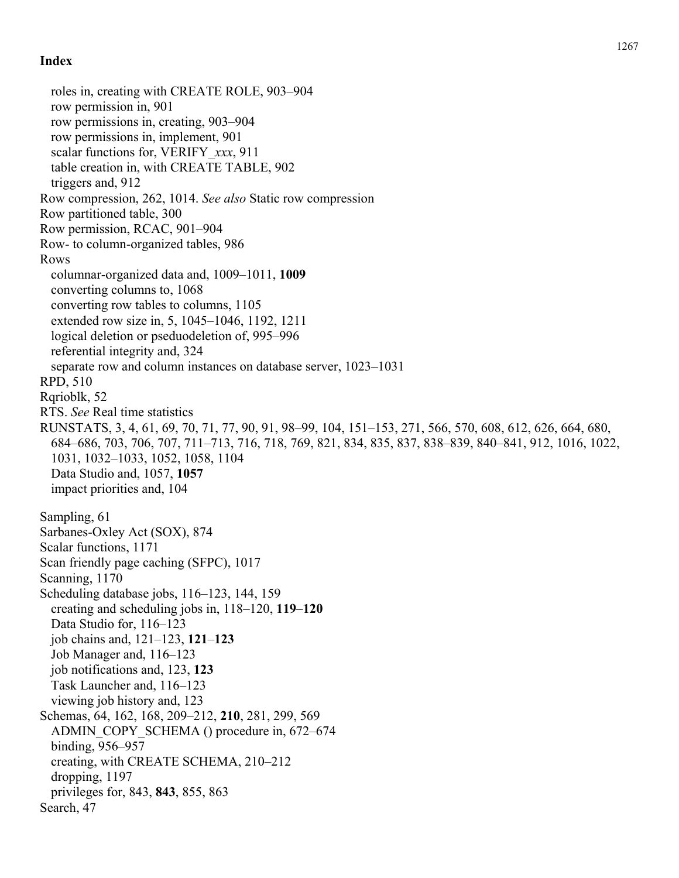roles in, creating with CREATE ROLE, 903–904 row permission in, 901 row permissions in, creating, 903–904 row permissions in, implement, 901 scalar functions for, VERIFY\_*xxx*, 911 table creation in, with CREATE TABLE, 902 triggers and, 912 Row compression, 262, 1014. *See also* Static row compression Row partitioned table, 300 Row permission, RCAC, 901–904 Row- to column-organized tables, 986 Rows columnar-organized data and, 1009–1011, **1009** converting columns to, 1068 converting row tables to columns, 1105 extended row size in, 5, 1045–1046, 1192, 1211 logical deletion or pseduodeletion of, 995–996 referential integrity and, 324 separate row and column instances on database server, 1023–1031 RPD, 510 Rqrioblk, 52 RTS. *See* Real time statistics RUNSTATS, 3, 4, 61, 69, 70, 71, 77, 90, 91, 98–99, 104, 151–153, 271, 566, 570, 608, 612, 626, 664, 680, 684–686, 703, 706, 707, 711–713, 716, 718, 769, 821, 834, 835, 837, 838–839, 840–841, 912, 1016, 1022, 1031, 1032–1033, 1052, 1058, 1104 Data Studio and, 1057, **1057** impact priorities and, 104 Sampling, 61 Sarbanes-Oxley Act (SOX), 874 Scalar functions, 1171 Scan friendly page caching (SFPC), 1017 Scanning, 1170 Scheduling database jobs, 116–123, 144, 159 creating and scheduling jobs in, 118–120, **119**–**120** Data Studio for, 116–123 job chains and, 121–123, **121**–**123** Job Manager and, 116–123 job notifications and, 123, **123** Task Launcher and, 116–123 viewing job history and, 123 Schemas, 64, 162, 168, 209–212, **210**, 281, 299, 569 ADMIN\_COPY\_SCHEMA () procedure in, 672–674 binding, 956–957 creating, with CREATE SCHEMA, 210–212 dropping, 1197 privileges for, 843, **843**, 855, 863 Search, 47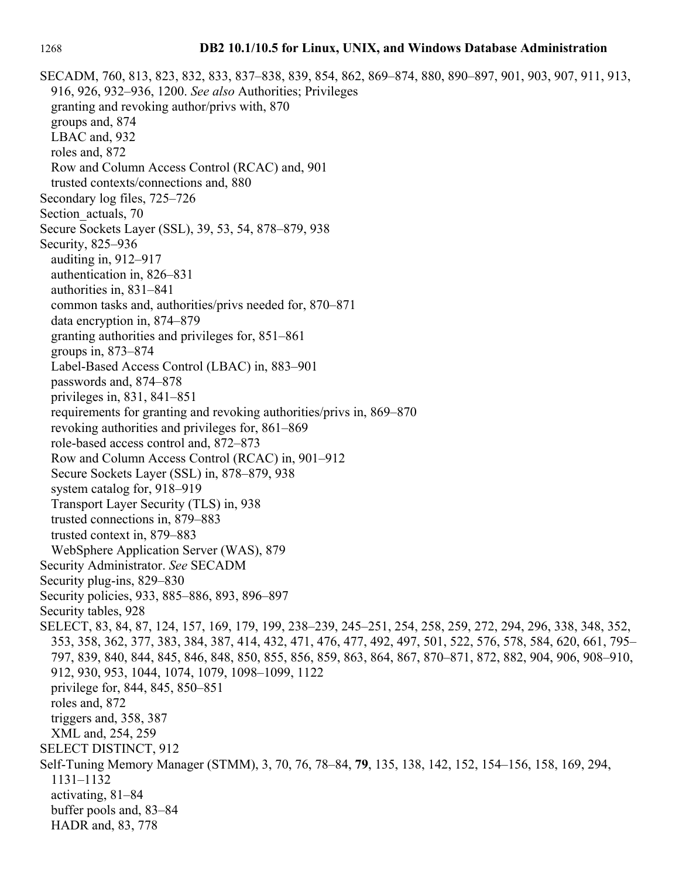#### 1268 **DB2 10.1/10.5 for Linux, UNIX, and Windows Database Administration**

SECADM, 760, 813, 823, 832, 833, 837–838, 839, 854, 862, 869–874, 880, 890–897, 901, 903, 907, 911, 913, 916, 926, 932–936, 1200. *See also* Authorities; Privileges granting and revoking author/privs with, 870 groups and, 874 LBAC and, 932 roles and, 872 Row and Column Access Control (RCAC) and, 901 trusted contexts/connections and, 880 Secondary log files, 725–726 Section actuals, 70 Secure Sockets Layer (SSL), 39, 53, 54, 878–879, 938 Security, 825–936 auditing in, 912–917 authentication in, 826–831 authorities in, 831–841 common tasks and, authorities/privs needed for, 870–871 data encryption in, 874–879 granting authorities and privileges for, 851–861 groups in, 873–874 Label-Based Access Control (LBAC) in, 883–901 passwords and, 874–878 privileges in, 831, 841–851 requirements for granting and revoking authorities/privs in, 869–870 revoking authorities and privileges for, 861–869 role-based access control and, 872–873 Row and Column Access Control (RCAC) in, 901–912 Secure Sockets Layer (SSL) in, 878–879, 938 system catalog for, 918–919 Transport Layer Security (TLS) in, 938 trusted connections in, 879–883 trusted context in, 879–883 WebSphere Application Server (WAS), 879 Security Administrator. *See* SECADM Security plug-ins, 829–830 Security policies, 933, 885–886, 893, 896–897 Security tables, 928 SELECT, 83, 84, 87, 124, 157, 169, 179, 199, 238–239, 245–251, 254, 258, 259, 272, 294, 296, 338, 348, 352, 353, 358, 362, 377, 383, 384, 387, 414, 432, 471, 476, 477, 492, 497, 501, 522, 576, 578, 584, 620, 661, 795– 797, 839, 840, 844, 845, 846, 848, 850, 855, 856, 859, 863, 864, 867, 870–871, 872, 882, 904, 906, 908–910, 912, 930, 953, 1044, 1074, 1079, 1098–1099, 1122 privilege for, 844, 845, 850–851 roles and, 872 triggers and, 358, 387 XML and, 254, 259 SELECT DISTINCT, 912 Self-Tuning Memory Manager (STMM), 3, 70, 76, 78–84, **79**, 135, 138, 142, 152, 154–156, 158, 169, 294, 1131–1132 activating, 81–84 buffer pools and, 83–84 HADR and, 83, 778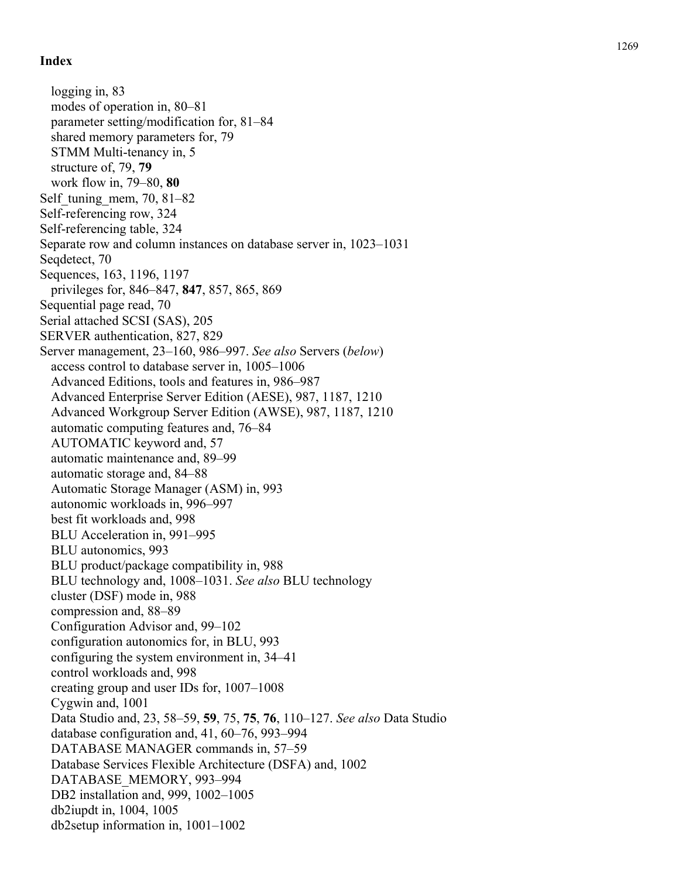logging in, 83 modes of operation in, 80–81 parameter setting/modification for, 81–84 shared memory parameters for, 79 STMM Multi-tenancy in, 5 structure of, 79, **79** work flow in, 79–80, **80** Self tuning mem,  $70, 81–82$ Self-referencing row, 324 Self-referencing table, 324 Separate row and column instances on database server in, 1023–1031 Seqdetect, 70 Sequences, 163, 1196, 1197 privileges for, 846–847, **847**, 857, 865, 869 Sequential page read, 70 Serial attached SCSI (SAS), 205 SERVER authentication, 827, 829 Server management, 23–160, 986–997. *See also* Servers (*below*) access control to database server in, 1005–1006 Advanced Editions, tools and features in, 986–987 Advanced Enterprise Server Edition (AESE), 987, 1187, 1210 Advanced Workgroup Server Edition (AWSE), 987, 1187, 1210 automatic computing features and, 76–84 AUTOMATIC keyword and, 57 automatic maintenance and, 89–99 automatic storage and, 84–88 Automatic Storage Manager (ASM) in, 993 autonomic workloads in, 996–997 best fit workloads and, 998 BLU Acceleration in, 991–995 BLU autonomics, 993 BLU product/package compatibility in, 988 BLU technology and, 1008–1031. *See also* BLU technology cluster (DSF) mode in, 988 compression and, 88–89 Configuration Advisor and, 99–102 configuration autonomics for, in BLU, 993 configuring the system environment in, 34–41 control workloads and, 998 creating group and user IDs for, 1007–1008 Cygwin and, 1001 Data Studio and, 23, 58–59, **59**, 75, **75**, **76**, 110–127. *See also* Data Studio database configuration and, 41, 60–76, 993–994 DATABASE MANAGER commands in, 57–59 Database Services Flexible Architecture (DSFA) and, 1002 DATABASE\_MEMORY, 993–994 DB2 installation and, 999, 1002–1005 db2iupdt in, 1004, 1005 db2setup information in, 1001–1002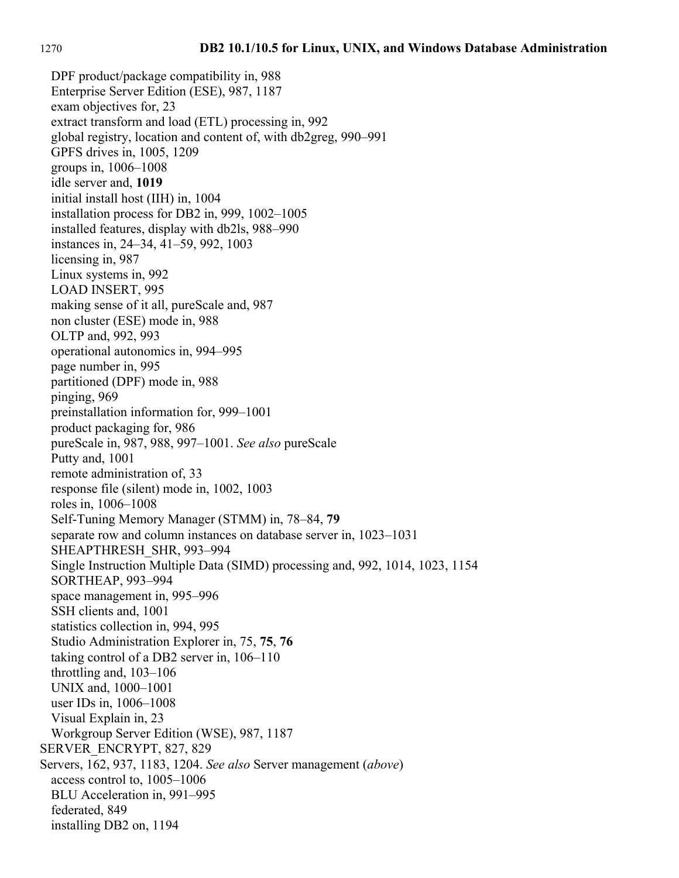DPF product/package compatibility in, 988 Enterprise Server Edition (ESE), 987, 1187 exam objectives for, 23 extract transform and load (ETL) processing in, 992 global registry, location and content of, with db2greg, 990–991 GPFS drives in, 1005, 1209 groups in, 1006–1008 idle server and, **1019** initial install host (IIH) in, 1004 installation process for DB2 in, 999, 1002–1005 installed features, display with db2ls, 988–990 instances in, 24–34, 41–59, 992, 1003 licensing in, 987 Linux systems in, 992 LOAD INSERT, 995 making sense of it all, pureScale and, 987 non cluster (ESE) mode in, 988 OLTP and, 992, 993 operational autonomics in, 994–995 page number in, 995 partitioned (DPF) mode in, 988 pinging, 969 preinstallation information for, 999–1001 product packaging for, 986 pureScale in, 987, 988, 997–1001. *See also* pureScale Putty and, 1001 remote administration of, 33 response file (silent) mode in, 1002, 1003 roles in, 1006–1008 Self-Tuning Memory Manager (STMM) in, 78–84, **79** separate row and column instances on database server in, 1023–1031 SHEAPTHRESH\_SHR, 993–994 Single Instruction Multiple Data (SIMD) processing and, 992, 1014, 1023, 1154 SORTHEAP, 993–994 space management in, 995–996 SSH clients and, 1001 statistics collection in, 994, 995 Studio Administration Explorer in, 75, **75**, **76** taking control of a DB2 server in, 106–110 throttling and, 103–106 UNIX and, 1000–1001 user IDs in, 1006–1008 Visual Explain in, 23 Workgroup Server Edition (WSE), 987, 1187 SERVER\_ENCRYPT, 827, 829 Servers, 162, 937, 1183, 1204. *See also* Server management (*above*) access control to, 1005–1006 BLU Acceleration in, 991–995 federated, 849 installing DB2 on, 1194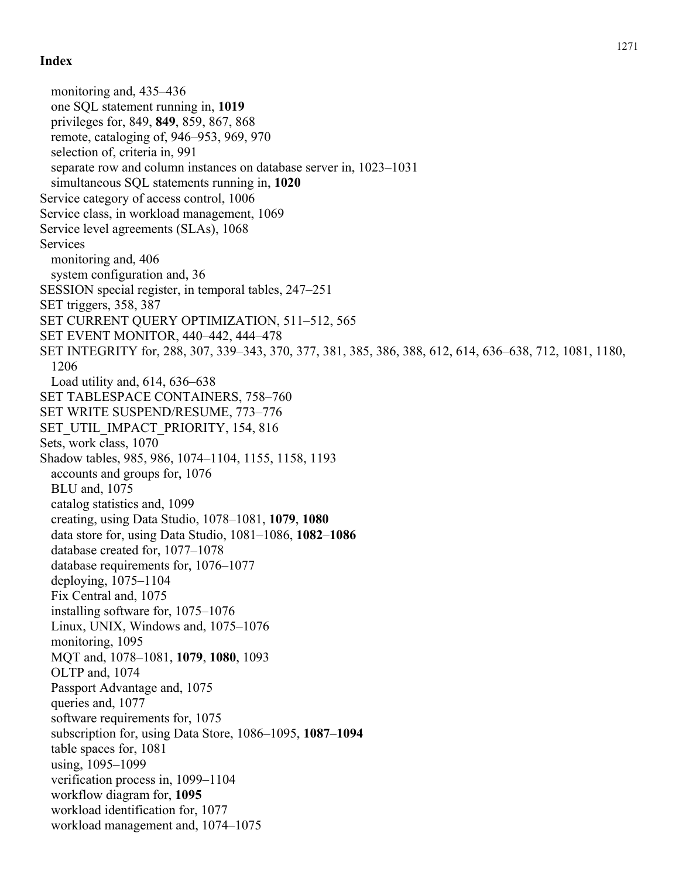monitoring and, 435–436 one SQL statement running in, **1019** privileges for, 849, **849**, 859, 867, 868 remote, cataloging of, 946–953, 969, 970 selection of, criteria in, 991 separate row and column instances on database server in, 1023–1031 simultaneous SQL statements running in, **1020** Service category of access control, 1006 Service class, in workload management, 1069 Service level agreements (SLAs), 1068 Services monitoring and, 406 system configuration and, 36 SESSION special register, in temporal tables, 247–251 SET triggers, 358, 387 SET CURRENT QUERY OPTIMIZATION, 511–512, 565 SET EVENT MONITOR, 440–442, 444–478 SET INTEGRITY for, 288, 307, 339–343, 370, 377, 381, 385, 386, 388, 612, 614, 636–638, 712, 1081, 1180, 1206 Load utility and, 614, 636–638 SET TABLESPACE CONTAINERS, 758–760 SET WRITE SUSPEND/RESUME, 773–776 SET\_UTIL\_IMPACT\_PRIORITY, 154, 816 Sets, work class, 1070 Shadow tables, 985, 986, 1074–1104, 1155, 1158, 1193 accounts and groups for, 1076 BLU and, 1075 catalog statistics and, 1099 creating, using Data Studio, 1078–1081, **1079**, **1080** data store for, using Data Studio, 1081–1086, **1082**–**1086** database created for, 1077–1078 database requirements for, 1076–1077 deploying, 1075–1104 Fix Central and, 1075 installing software for, 1075–1076 Linux, UNIX, Windows and, 1075–1076 monitoring, 1095 MQT and, 1078–1081, **1079**, **1080**, 1093 OLTP and, 1074 Passport Advantage and, 1075 queries and, 1077 software requirements for, 1075 subscription for, using Data Store, 1086–1095, **1087**–**1094** table spaces for, 1081 using, 1095–1099 verification process in, 1099–1104 workflow diagram for, **1095** workload identification for, 1077 workload management and, 1074–1075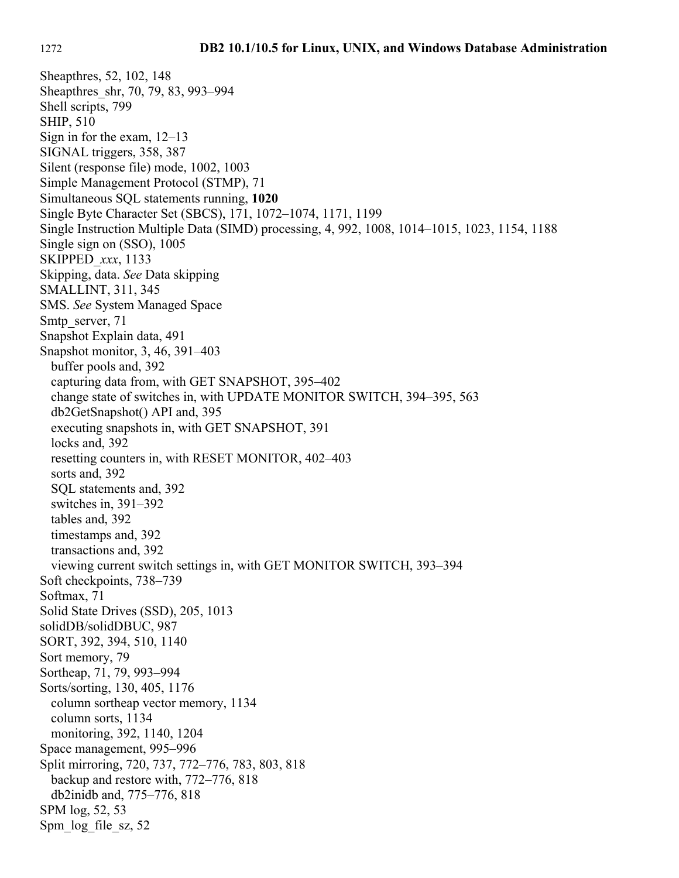Sheapthres, 52, 102, 148 Sheapthres\_shr, 70, 79, 83, 993–994 Shell scripts, 799 SHIP, 510 Sign in for the exam, 12–13 SIGNAL triggers, 358, 387 Silent (response file) mode, 1002, 1003 Simple Management Protocol (STMP), 71 Simultaneous SQL statements running, **1020** Single Byte Character Set (SBCS), 171, 1072–1074, 1171, 1199 Single Instruction Multiple Data (SIMD) processing, 4, 992, 1008, 1014–1015, 1023, 1154, 1188 Single sign on (SSO), 1005 SKIPPED\_*xxx*, 1133 Skipping, data. *See* Data skipping SMALLINT, 311, 345 SMS. *See* System Managed Space Smtp\_server, 71 Snapshot Explain data, 491 Snapshot monitor, 3, 46, 391–403 buffer pools and, 392 capturing data from, with GET SNAPSHOT, 395–402 change state of switches in, with UPDATE MONITOR SWITCH, 394–395, 563 db2GetSnapshot() API and, 395 executing snapshots in, with GET SNAPSHOT, 391 locks and, 392 resetting counters in, with RESET MONITOR, 402–403 sorts and, 392 SQL statements and, 392 switches in, 391–392 tables and, 392 timestamps and, 392 transactions and, 392 viewing current switch settings in, with GET MONITOR SWITCH, 393–394 Soft checkpoints, 738–739 Softmax, 71 Solid State Drives (SSD), 205, 1013 solidDB/solidDBUC, 987 SORT, 392, 394, 510, 1140 Sort memory, 79 Sortheap, 71, 79, 993–994 Sorts/sorting, 130, 405, 1176 column sortheap vector memory, 1134 column sorts, 1134 monitoring, 392, 1140, 1204 Space management, 995–996 Split mirroring, 720, 737, 772–776, 783, 803, 818 backup and restore with, 772–776, 818 db2inidb and, 775–776, 818 SPM log, 52, 53 Spm\_log\_file\_sz, 52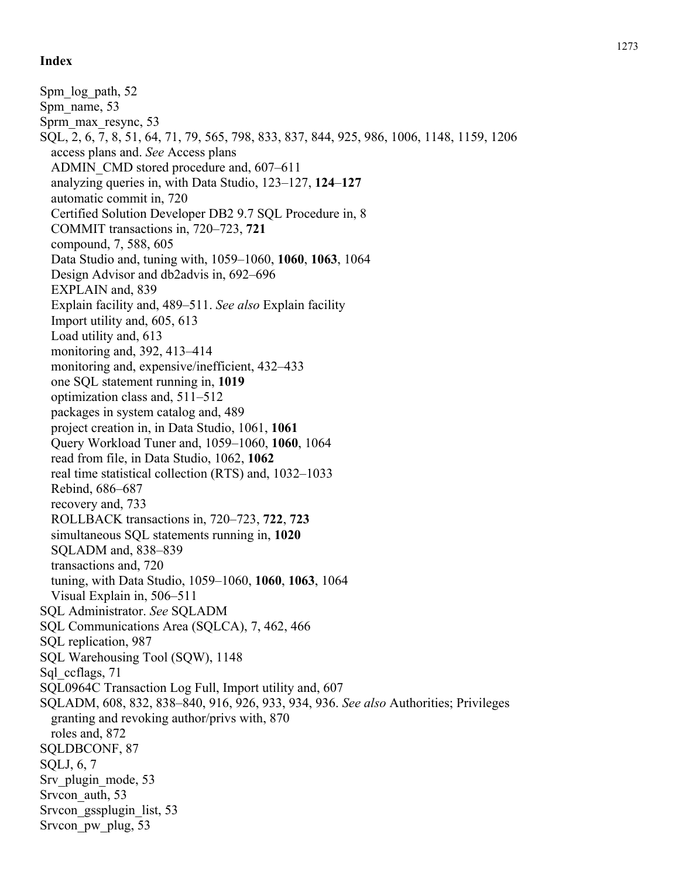Spm\_log\_path, 52 Spm\_name, 53 Sprm\_max\_resync, 53 SQL, 2, 6, 7, 8, 51, 64, 71, 79, 565, 798, 833, 837, 844, 925, 986, 1006, 1148, 1159, 1206 access plans and. *See* Access plans ADMIN\_CMD stored procedure and, 607–611 analyzing queries in, with Data Studio, 123–127, **124**–**127** automatic commit in, 720 Certified Solution Developer DB2 9.7 SQL Procedure in, 8 COMMIT transactions in, 720–723, **721** compound, 7, 588, 605 Data Studio and, tuning with, 1059–1060, **1060**, **1063**, 1064 Design Advisor and db2advis in, 692–696 EXPLAIN and, 839 Explain facility and, 489–511. *See also* Explain facility Import utility and, 605, 613 Load utility and, 613 monitoring and, 392, 413–414 monitoring and, expensive/inefficient, 432–433 one SQL statement running in, **1019** optimization class and, 511–512 packages in system catalog and, 489 project creation in, in Data Studio, 1061, **1061** Query Workload Tuner and, 1059–1060, **1060**, 1064 read from file, in Data Studio, 1062, **1062** real time statistical collection (RTS) and, 1032–1033 Rebind, 686–687 recovery and, 733 ROLLBACK transactions in, 720–723, **722**, **723** simultaneous SQL statements running in, **1020** SQLADM and, 838–839 transactions and, 720 tuning, with Data Studio, 1059–1060, **1060**, **1063**, 1064 Visual Explain in, 506–511 SQL Administrator. *See* SQLADM SQL Communications Area (SQLCA), 7, 462, 466 SQL replication, 987 SQL Warehousing Tool (SQW), 1148 Sql ccflags, 71 SQL0964C Transaction Log Full, Import utility and, 607 SQLADM, 608, 832, 838–840, 916, 926, 933, 934, 936. *See also* Authorities; Privileges granting and revoking author/privs with, 870 roles and, 872 SQLDBCONF, 87 SQLJ, 6, 7 Srv plugin mode, 53 Srvcon\_auth, 53 Srvcon gssplugin list, 53 Srvcon\_pw\_plug, 53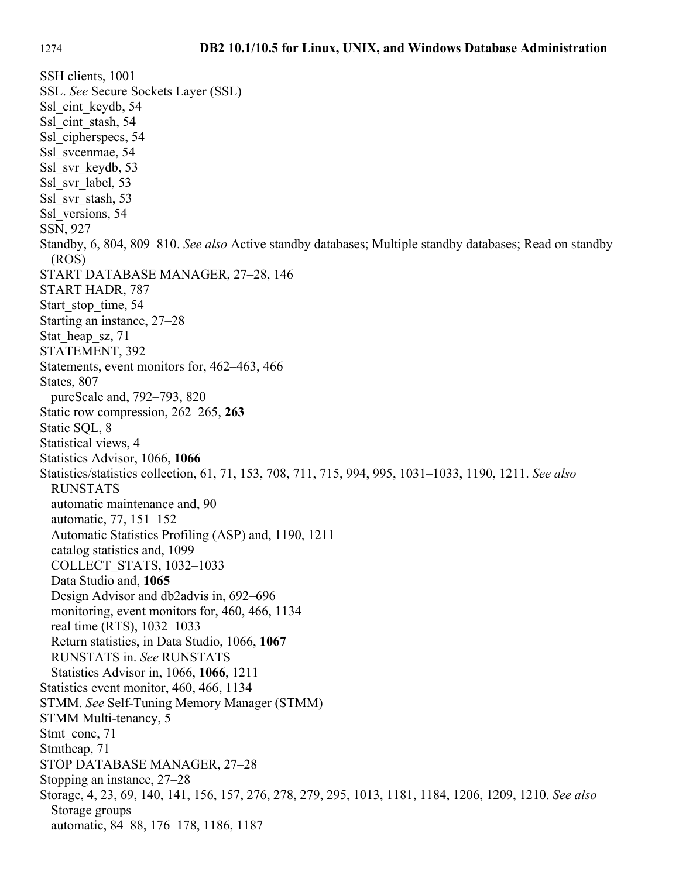SSH clients, 1001 SSL. *See* Secure Sockets Layer (SSL) Ssl\_cint\_keydb, 54 Ssl\_cint\_stash, 54 Ssl cipherspecs, 54 Ssl svcenmae, 54 Ssl\_svr\_keydb, 53 Ssl svr label, 53 Ssl\_svr\_stash, 53 Ssl versions, 54 SSN, 927 Standby, 6, 804, 809–810. *See also* Active standby databases; Multiple standby databases; Read on standby (ROS) START DATABASE MANAGER, 27–28, 146 START HADR, 787 Start stop time, 54 Starting an instance, 27–28 Stat heap sz, 71 STATEMENT, 392 Statements, event monitors for, 462–463, 466 States, 807 pureScale and, 792–793, 820 Static row compression, 262–265, **263** Static SQL, 8 Statistical views, 4 Statistics Advisor, 1066, **1066** Statistics/statistics collection, 61, 71, 153, 708, 711, 715, 994, 995, 1031–1033, 1190, 1211. *See also* RUNSTATS automatic maintenance and, 90 automatic, 77, 151–152 Automatic Statistics Profiling (ASP) and, 1190, 1211 catalog statistics and, 1099 COLLECT\_STATS, 1032–1033 Data Studio and, **1065** Design Advisor and db2advis in, 692–696 monitoring, event monitors for, 460, 466, 1134 real time (RTS), 1032–1033 Return statistics, in Data Studio, 1066, **1067** RUNSTATS in. *See* RUNSTATS Statistics Advisor in, 1066, **1066**, 1211 Statistics event monitor, 460, 466, 1134 STMM. *See* Self-Tuning Memory Manager (STMM) STMM Multi-tenancy, 5 Stmt\_conc, 71 Stmtheap, 71 STOP DATABASE MANAGER, 27–28 Stopping an instance, 27–28 Storage, 4, 23, 69, 140, 141, 156, 157, 276, 278, 279, 295, 1013, 1181, 1184, 1206, 1209, 1210. *See also* Storage groups automatic, 84–88, 176–178, 1186, 1187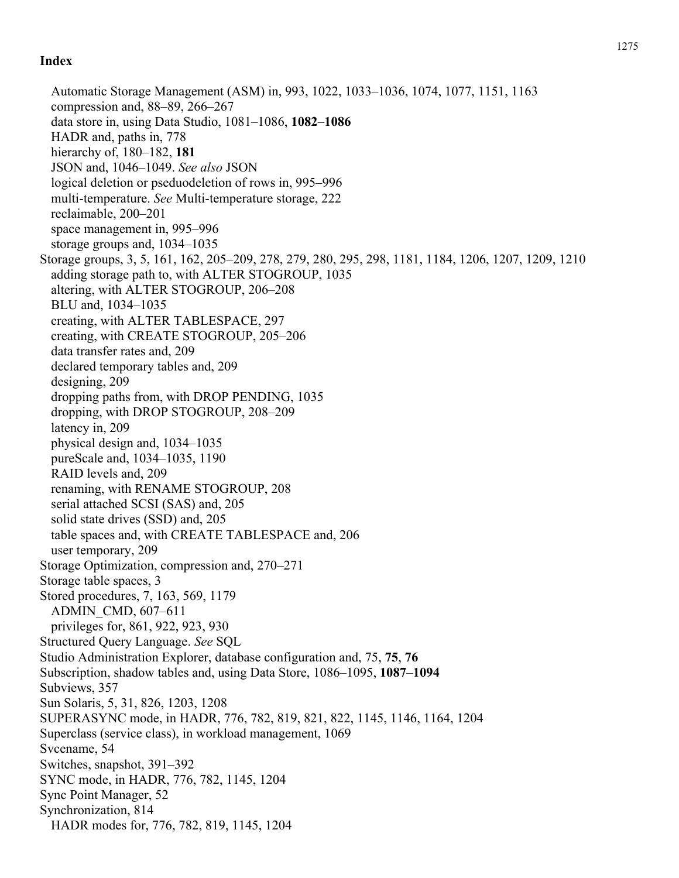Automatic Storage Management (ASM) in, 993, 1022, 1033–1036, 1074, 1077, 1151, 1163 compression and, 88–89, 266–267 data store in, using Data Studio, 1081–1086, **1082**–**1086** HADR and, paths in, 778 hierarchy of, 180–182, **181** JSON and, 1046–1049. *See also* JSON logical deletion or pseduodeletion of rows in, 995–996 multi-temperature. *See* Multi-temperature storage, 222 reclaimable, 200–201 space management in, 995–996 storage groups and, 1034–1035 Storage groups, 3, 5, 161, 162, 205–209, 278, 279, 280, 295, 298, 1181, 1184, 1206, 1207, 1209, 1210 adding storage path to, with ALTER STOGROUP, 1035 altering, with ALTER STOGROUP, 206–208 BLU and, 1034–1035 creating, with ALTER TABLESPACE, 297 creating, with CREATE STOGROUP, 205–206 data transfer rates and, 209 declared temporary tables and, 209 designing, 209 dropping paths from, with DROP PENDING, 1035 dropping, with DROP STOGROUP, 208–209 latency in, 209 physical design and, 1034–1035 pureScale and, 1034–1035, 1190 RAID levels and, 209 renaming, with RENAME STOGROUP, 208 serial attached SCSI (SAS) and, 205 solid state drives (SSD) and, 205 table spaces and, with CREATE TABLESPACE and, 206 user temporary, 209 Storage Optimization, compression and, 270–271 Storage table spaces, 3 Stored procedures, 7, 163, 569, 1179 ADMIN\_CMD, 607–611 privileges for, 861, 922, 923, 930 Structured Query Language. *See* SQL Studio Administration Explorer, database configuration and, 75, **75**, **76** Subscription, shadow tables and, using Data Store, 1086–1095, **1087**–**1094** Subviews, 357 Sun Solaris, 5, 31, 826, 1203, 1208 SUPERASYNC mode, in HADR, 776, 782, 819, 821, 822, 1145, 1146, 1164, 1204 Superclass (service class), in workload management, 1069 Svcename, 54 Switches, snapshot, 391–392 SYNC mode, in HADR, 776, 782, 1145, 1204 Sync Point Manager, 52 Synchronization, 814 HADR modes for, 776, 782, 819, 1145, 1204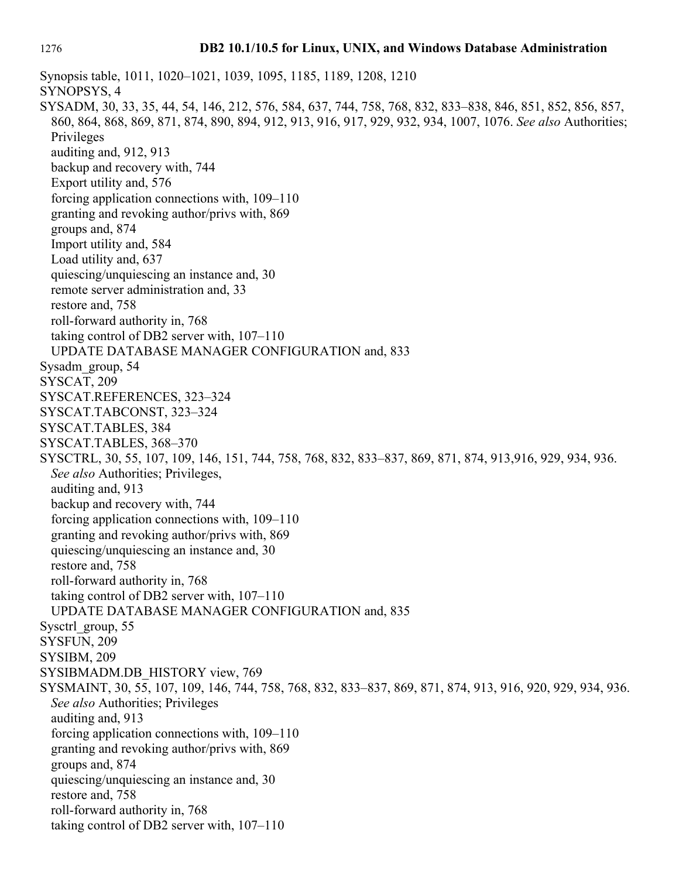Synopsis table, 1011, 1020–1021, 1039, 1095, 1185, 1189, 1208, 1210 SYNOPSYS, 4 SYSADM, 30, 33, 35, 44, 54, 146, 212, 576, 584, 637, 744, 758, 768, 832, 833–838, 846, 851, 852, 856, 857, 860, 864, 868, 869, 871, 874, 890, 894, 912, 913, 916, 917, 929, 932, 934, 1007, 1076. *See also* Authorities; Privileges auditing and, 912, 913 backup and recovery with, 744 Export utility and, 576 forcing application connections with, 109–110 granting and revoking author/privs with, 869 groups and, 874 Import utility and, 584 Load utility and, 637 quiescing/unquiescing an instance and, 30 remote server administration and, 33 restore and, 758 roll-forward authority in, 768 taking control of DB2 server with, 107–110 UPDATE DATABASE MANAGER CONFIGURATION and, 833 Sysadm\_group, 54 SYSCAT, 209 SYSCAT.REFERENCES, 323–324 SYSCAT.TABCONST, 323–324 SYSCAT.TABLES, 384 SYSCAT.TABLES, 368–370 SYSCTRL, 30, 55, 107, 109, 146, 151, 744, 758, 768, 832, 833–837, 869, 871, 874, 913,916, 929, 934, 936. *See also* Authorities; Privileges, auditing and, 913 backup and recovery with, 744 forcing application connections with, 109–110 granting and revoking author/privs with, 869 quiescing/unquiescing an instance and, 30 restore and, 758 roll-forward authority in, 768 taking control of DB2 server with, 107–110 UPDATE DATABASE MANAGER CONFIGURATION and, 835 Sysctrl\_group, 55 SYSFUN, 209 SYSIBM, 209 SYSIBMADM.DB\_HISTORY view, 769 SYSMAINT, 30, 55, 107, 109, 146, 744, 758, 768, 832, 833–837, 869, 871, 874, 913, 916, 920, 929, 934, 936. *See also* Authorities; Privileges auditing and, 913 forcing application connections with, 109–110 granting and revoking author/privs with, 869 groups and, 874 quiescing/unquiescing an instance and, 30 restore and, 758 roll-forward authority in, 768 taking control of DB2 server with, 107–110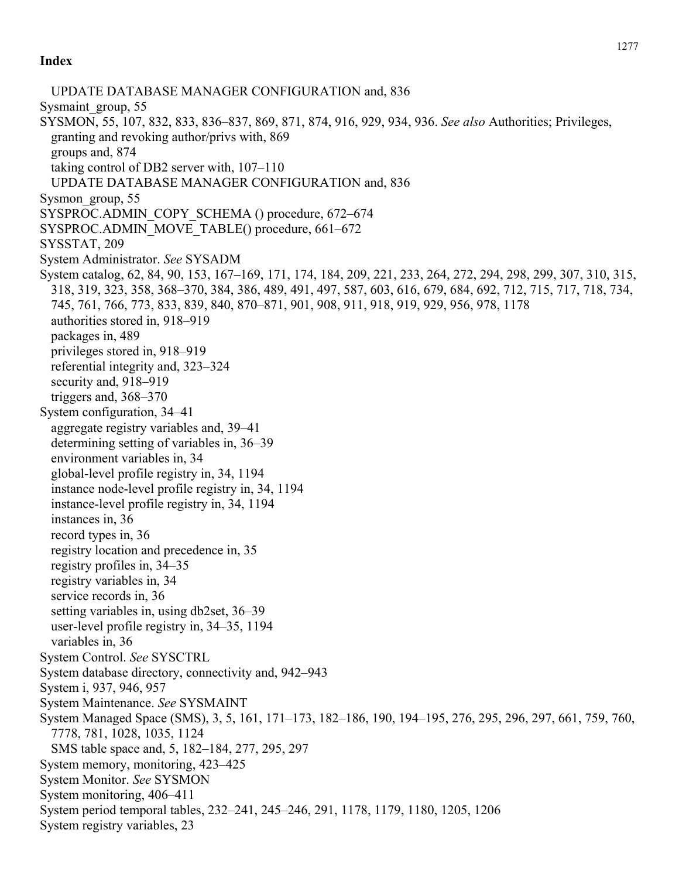UPDATE DATABASE MANAGER CONFIGURATION and, 836 Sysmaint\_group, 55 SYSMON, 55, 107, 832, 833, 836–837, 869, 871, 874, 916, 929, 934, 936. *See also* Authorities; Privileges, granting and revoking author/privs with, 869 groups and, 874 taking control of DB2 server with, 107–110 UPDATE DATABASE MANAGER CONFIGURATION and, 836 Sysmon\_group, 55 SYSPROC.ADMIN\_COPY\_SCHEMA () procedure, 672–674 SYSPROC.ADMIN\_MOVE\_TABLE() procedure, 661–672 SYSSTAT, 209 System Administrator. *See* SYSADM System catalog, 62, 84, 90, 153, 167–169, 171, 174, 184, 209, 221, 233, 264, 272, 294, 298, 299, 307, 310, 315, 318, 319, 323, 358, 368–370, 384, 386, 489, 491, 497, 587, 603, 616, 679, 684, 692, 712, 715, 717, 718, 734, 745, 761, 766, 773, 833, 839, 840, 870–871, 901, 908, 911, 918, 919, 929, 956, 978, 1178 authorities stored in, 918–919 packages in, 489 privileges stored in, 918–919 referential integrity and, 323–324 security and, 918–919 triggers and, 368–370 System configuration, 34–41 aggregate registry variables and, 39–41 determining setting of variables in, 36–39 environment variables in, 34 global-level profile registry in, 34, 1194 instance node-level profile registry in, 34, 1194 instance-level profile registry in, 34, 1194 instances in, 36 record types in, 36 registry location and precedence in, 35 registry profiles in, 34–35 registry variables in, 34 service records in, 36 setting variables in, using db2set, 36–39 user-level profile registry in, 34–35, 1194 variables in, 36 System Control. *See* SYSCTRL System database directory, connectivity and, 942–943 System i, 937, 946, 957 System Maintenance. *See* SYSMAINT System Managed Space (SMS), 3, 5, 161, 171–173, 182–186, 190, 194–195, 276, 295, 296, 297, 661, 759, 760, 7778, 781, 1028, 1035, 1124 SMS table space and, 5, 182–184, 277, 295, 297 System memory, monitoring, 423–425 System Monitor. *See* SYSMON System monitoring, 406–411 System period temporal tables, 232–241, 245–246, 291, 1178, 1179, 1180, 1205, 1206 System registry variables, 23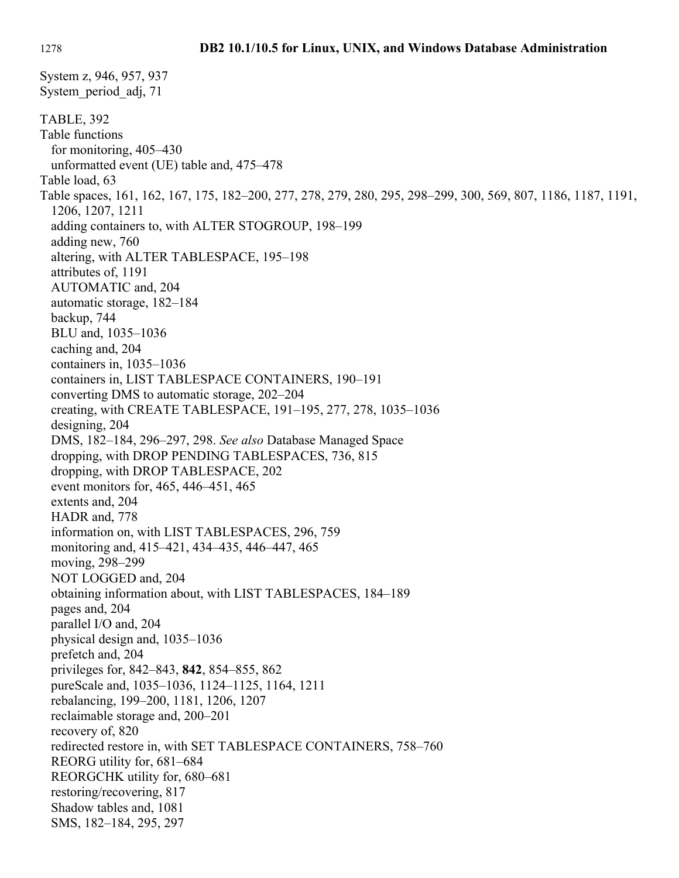System z, 946, 957, 937 System\_period\_adj, 71 TABLE, 392 Table functions for monitoring, 405–430 unformatted event (UE) table and, 475–478 Table load, 63 Table spaces, 161, 162, 167, 175, 182–200, 277, 278, 279, 280, 295, 298–299, 300, 569, 807, 1186, 1187, 1191, 1206, 1207, 1211 adding containers to, with ALTER STOGROUP, 198–199 adding new, 760 altering, with ALTER TABLESPACE, 195–198 attributes of, 1191 AUTOMATIC and, 204 automatic storage, 182–184 backup, 744 BLU and, 1035–1036 caching and, 204 containers in, 1035–1036 containers in, LIST TABLESPACE CONTAINERS, 190–191 converting DMS to automatic storage, 202–204 creating, with CREATE TABLESPACE, 191–195, 277, 278, 1035–1036 designing, 204 DMS, 182–184, 296–297, 298. *See also* Database Managed Space dropping, with DROP PENDING TABLESPACES, 736, 815 dropping, with DROP TABLESPACE, 202 event monitors for, 465, 446–451, 465 extents and, 204 HADR and, 778 information on, with LIST TABLESPACES, 296, 759 monitoring and, 415–421, 434–435, 446–447, 465 moving, 298–299 NOT LOGGED and, 204 obtaining information about, with LIST TABLESPACES, 184–189 pages and, 204 parallel I/O and, 204 physical design and, 1035–1036 prefetch and, 204 privileges for, 842–843, **842**, 854–855, 862 pureScale and, 1035–1036, 1124–1125, 1164, 1211 rebalancing, 199–200, 1181, 1206, 1207 reclaimable storage and, 200–201 recovery of, 820 redirected restore in, with SET TABLESPACE CONTAINERS, 758–760 REORG utility for, 681–684 REORGCHK utility for, 680–681 restoring/recovering, 817 Shadow tables and, 1081 SMS, 182–184, 295, 297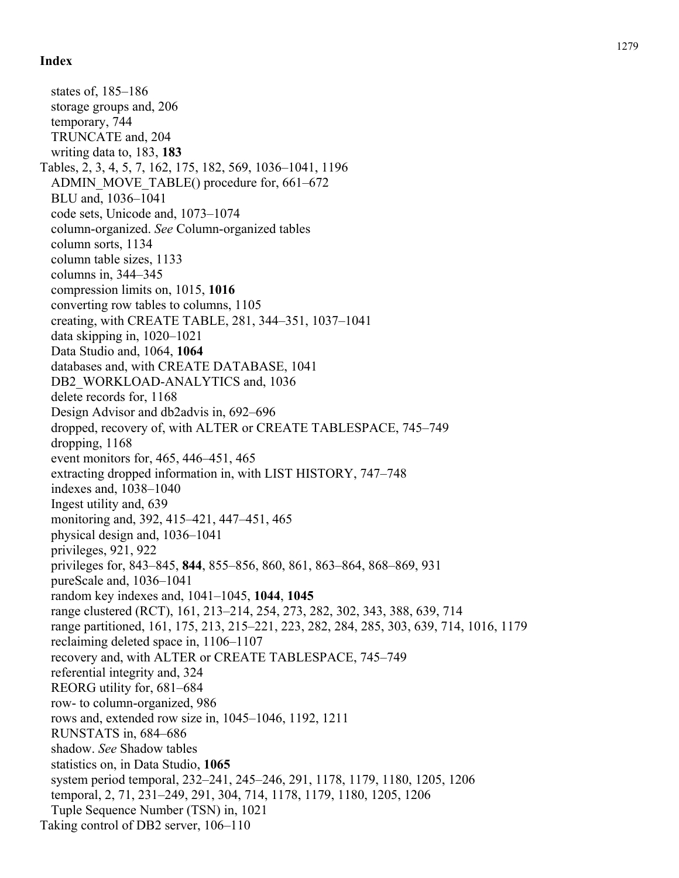states of, 185–186 storage groups and, 206 temporary, 744 TRUNCATE and, 204 writing data to, 183, **183** Tables, 2, 3, 4, 5, 7, 162, 175, 182, 569, 1036–1041, 1196 ADMIN MOVE TABLE() procedure for, 661–672 BLU and, 1036–1041 code sets, Unicode and, 1073–1074 column-organized. *See* Column-organized tables column sorts, 1134 column table sizes, 1133 columns in, 344–345 compression limits on, 1015, **1016** converting row tables to columns, 1105 creating, with CREATE TABLE, 281, 344–351, 1037–1041 data skipping in, 1020–1021 Data Studio and, 1064, **1064** databases and, with CREATE DATABASE, 1041 DB2\_WORKLOAD-ANALYTICS and, 1036 delete records for, 1168 Design Advisor and db2advis in, 692–696 dropped, recovery of, with ALTER or CREATE TABLESPACE, 745–749 dropping, 1168 event monitors for, 465, 446–451, 465 extracting dropped information in, with LIST HISTORY, 747–748 indexes and, 1038–1040 Ingest utility and, 639 monitoring and, 392, 415–421, 447–451, 465 physical design and, 1036–1041 privileges, 921, 922 privileges for, 843–845, **844**, 855–856, 860, 861, 863–864, 868–869, 931 pureScale and, 1036–1041 random key indexes and, 1041–1045, **1044**, **1045** range clustered (RCT), 161, 213–214, 254, 273, 282, 302, 343, 388, 639, 714 range partitioned, 161, 175, 213, 215–221, 223, 282, 284, 285, 303, 639, 714, 1016, 1179 reclaiming deleted space in, 1106–1107 recovery and, with ALTER or CREATE TABLESPACE, 745–749 referential integrity and, 324 REORG utility for, 681–684 row- to column-organized, 986 rows and, extended row size in, 1045–1046, 1192, 1211 RUNSTATS in, 684–686 shadow. *See* Shadow tables statistics on, in Data Studio, **1065** system period temporal, 232–241, 245–246, 291, 1178, 1179, 1180, 1205, 1206 temporal, 2, 71, 231–249, 291, 304, 714, 1178, 1179, 1180, 1205, 1206 Tuple Sequence Number (TSN) in, 1021 Taking control of DB2 server, 106–110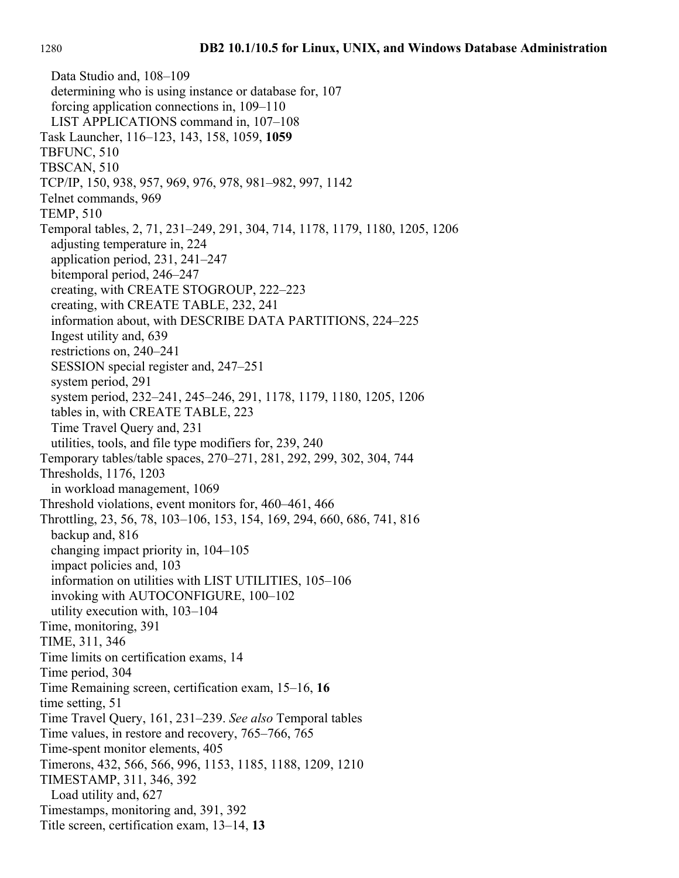Data Studio and, 108–109 determining who is using instance or database for, 107 forcing application connections in, 109–110 LIST APPLICATIONS command in, 107–108 Task Launcher, 116–123, 143, 158, 1059, **1059** TBFUNC, 510 TBSCAN, 510 TCP/IP, 150, 938, 957, 969, 976, 978, 981–982, 997, 1142 Telnet commands, 969 TEMP, 510 Temporal tables, 2, 71, 231–249, 291, 304, 714, 1178, 1179, 1180, 1205, 1206 adjusting temperature in, 224 application period, 231, 241–247 bitemporal period, 246–247 creating, with CREATE STOGROUP, 222–223 creating, with CREATE TABLE, 232, 241 information about, with DESCRIBE DATA PARTITIONS, 224–225 Ingest utility and, 639 restrictions on, 240–241 SESSION special register and, 247–251 system period, 291 system period, 232–241, 245–246, 291, 1178, 1179, 1180, 1205, 1206 tables in, with CREATE TABLE, 223 Time Travel Query and, 231 utilities, tools, and file type modifiers for, 239, 240 Temporary tables/table spaces, 270–271, 281, 292, 299, 302, 304, 744 Thresholds, 1176, 1203 in workload management, 1069 Threshold violations, event monitors for, 460–461, 466 Throttling, 23, 56, 78, 103–106, 153, 154, 169, 294, 660, 686, 741, 816 backup and, 816 changing impact priority in, 104–105 impact policies and, 103 information on utilities with LIST UTILITIES, 105–106 invoking with AUTOCONFIGURE, 100–102 utility execution with, 103–104 Time, monitoring, 391 TIME, 311, 346 Time limits on certification exams, 14 Time period, 304 Time Remaining screen, certification exam, 15–16, **16** time setting, 51 Time Travel Query, 161, 231–239. *See also* Temporal tables Time values, in restore and recovery, 765–766, 765 Time-spent monitor elements, 405 Timerons, 432, 566, 566, 996, 1153, 1185, 1188, 1209, 1210 TIMESTAMP, 311, 346, 392 Load utility and, 627 Timestamps, monitoring and, 391, 392 Title screen, certification exam, 13–14, **13**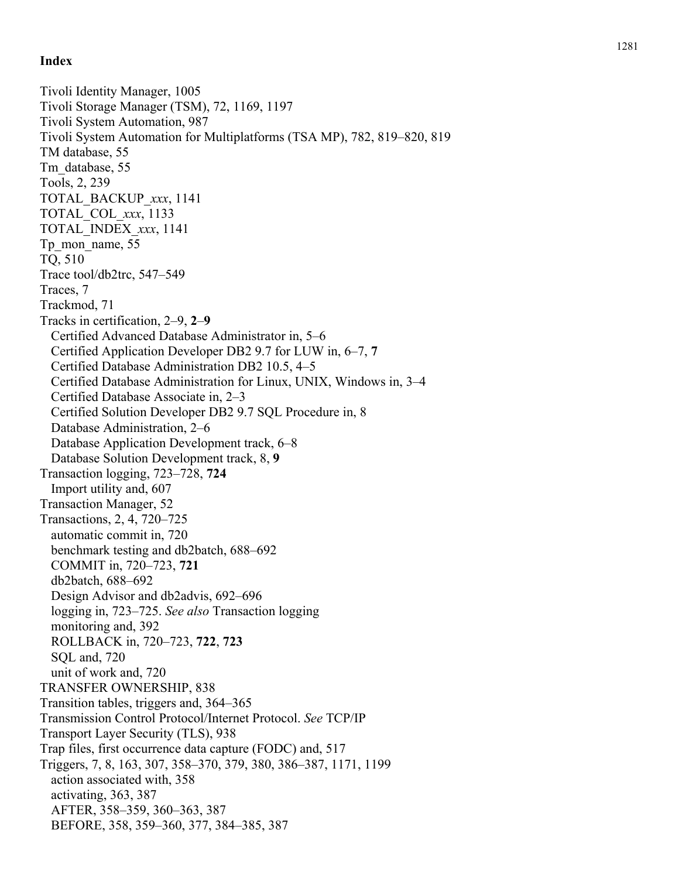Tivoli Identity Manager, 1005 Tivoli Storage Manager (TSM), 72, 1169, 1197 Tivoli System Automation, 987 Tivoli System Automation for Multiplatforms (TSA MP), 782, 819–820, 819 TM database, 55 Tm\_database, 55 Tools, 2, 239 TOTAL\_BACKUP\_*xxx*, 1141 TOTAL\_COL\_*xxx*, 1133 TOTAL\_INDEX\_*xxx*, 1141 Tp\_mon\_name, 55 TQ, 510 Trace tool/db2trc, 547–549 Traces, 7 Trackmod, 71 Tracks in certification, 2–9, **2** – **9** Certified Advanced Database Administrator in, 5–6 Certified Application Developer DB2 9.7 for LUW in, 6–7, **7** Certified Database Administration DB2 10.5, 4–5 Certified Database Administration for Linux, UNIX, Windows in, 3–4 Certified Database Associate in, 2–3 Certified Solution Developer DB2 9.7 SQL Procedure in, 8 Database Administration, 2–6 Database Application Development track, 6–8 Database Solution Development track, 8, **9** Transaction logging, 723–728, **724** Import utility and, 607 Transaction Manager, 52 Transactions, 2, 4, 720–725 automatic commit in, 720 benchmark testing and db2batch, 688–692 COMMIT in, 720–723, **721** db2batch, 688–692 Design Advisor and db2advis, 692–696 logging in, 723–725. *See also* Transaction logging monitoring and, 392 ROLLBACK in, 720–723, **722**, **723** SQL and, 720 unit of work and, 720 TRANSFER OWNERSHIP, 838 Transition tables, triggers and, 364–365 Transmission Control Protocol/Internet Protocol. *See* TCP/IP Transport Layer Security (TLS), 938 Trap files, first occurrence data capture (FODC) and, 517 Triggers, 7, 8, 163, 307, 358–370, 379, 380, 386–387, 1171, 1199 action associated with, 358 activating, 363, 387 AFTER, 358–359, 360–363, 387 BEFORE, 358, 359–360, 377, 384–385, 387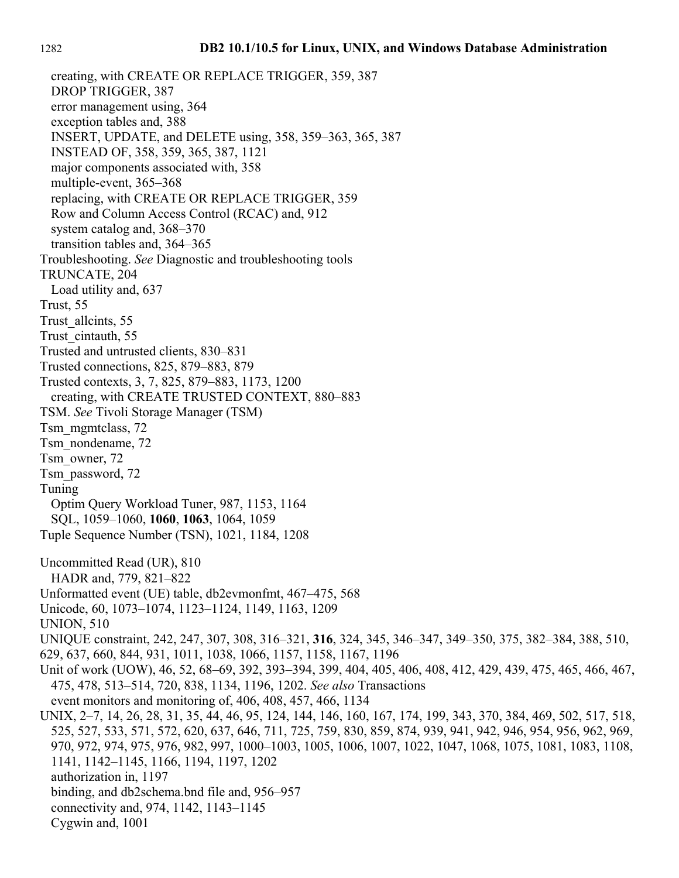creating, with CREATE OR REPLACE TRIGGER, 359, 387 DROP TRIGGER, 387 error management using, 364 exception tables and, 388 INSERT, UPDATE, and DELETE using, 358, 359–363, 365, 387 INSTEAD OF, 358, 359, 365, 387, 1121 major components associated with, 358 multiple-event, 365–368 replacing, with CREATE OR REPLACE TRIGGER, 359 Row and Column Access Control (RCAC) and, 912 system catalog and, 368–370 transition tables and, 364–365 Troubleshooting. *See* Diagnostic and troubleshooting tools TRUNCATE, 204 Load utility and, 637 Trust, 55 Trust\_allcints, 55 Trust\_cintauth, 55 Trusted and untrusted clients, 830–831 Trusted connections, 825, 879–883, 879 Trusted contexts, 3, 7, 825, 879–883, 1173, 1200 creating, with CREATE TRUSTED CONTEXT, 880–883 TSM. *See* Tivoli Storage Manager (TSM) Tsm\_mgmtclass, 72 Tsm\_nondename, 72 Tsm\_owner, 72 Tsm\_password, 72 Tuning Optim Query Workload Tuner, 987, 1153, 1164 SQL, 1059–1060, **1060**, **1063**, 1064, 1059 Tuple Sequence Number (TSN), 1021, 1184, 1208 Uncommitted Read (UR), 810 HADR and, 779, 821–822 Unformatted event (UE) table, db2evmonfmt, 467–475, 568 Unicode, 60, 1073–1074, 1123–1124, 1149, 1163, 1209 UNION, 510 UNIQUE constraint, 242, 247, 307, 308, 316–321, **316**, 324, 345, 346–347, 349–350, 375, 382–384, 388, 510, 629, 637, 660, 844, 931, 1011, 1038, 1066, 1157, 1158, 1167, 1196 Unit of work (UOW), 46, 52, 68–69, 392, 393–394, 399, 404, 405, 406, 408, 412, 429, 439, 475, 465, 466, 467, 475, 478, 513–514, 720, 838, 1134, 1196, 1202. *See also* Transactions event monitors and monitoring of, 406, 408, 457, 466, 1134 UNIX, 2–7, 14, 26, 28, 31, 35, 44, 46, 95, 124, 144, 146, 160, 167, 174, 199, 343, 370, 384, 469, 502, 517, 518, 525, 527, 533, 571, 572, 620, 637, 646, 711, 725, 759, 830, 859, 874, 939, 941, 942, 946, 954, 956, 962, 969, 970, 972, 974, 975, 976, 982, 997, 1000–1003, 1005, 1006, 1007, 1022, 1047, 1068, 1075, 1081, 1083, 1108, 1141, 1142–1145, 1166, 1194, 1197, 1202 authorization in, 1197 binding, and db2schema.bnd file and, 956–957 connectivity and, 974, 1142, 1143–1145 Cygwin and, 1001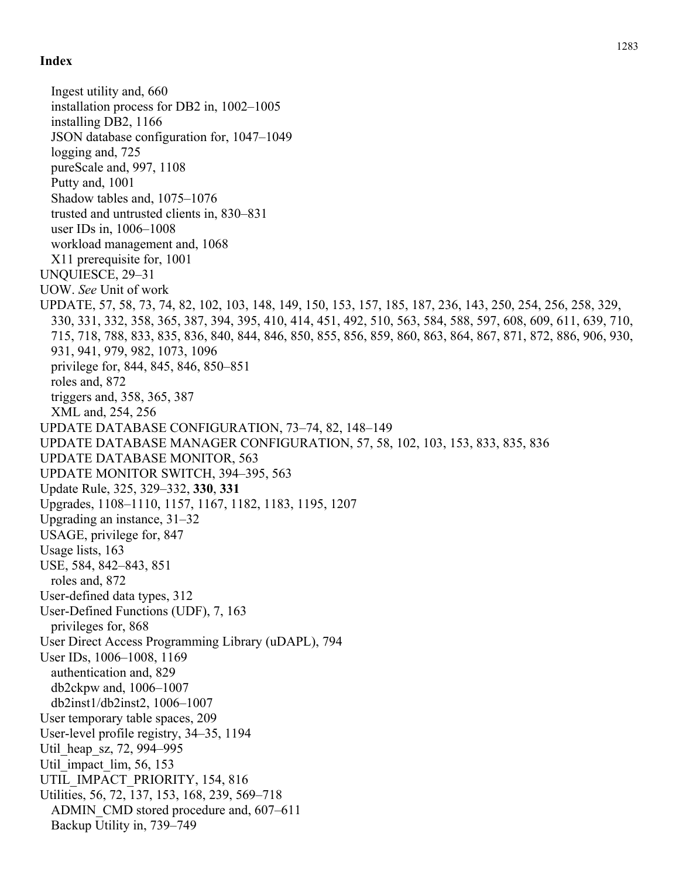Ingest utility and, 660 installation process for DB2 in, 1002–1005 installing DB2, 1166 JSON database configuration for, 1047–1049 logging and, 725 pureScale and, 997, 1108 Putty and, 1001 Shadow tables and, 1075–1076 trusted and untrusted clients in, 830–831 user IDs in, 1006–1008 workload management and, 1068 X11 prerequisite for, 1001 UNQUIESCE, 29–31 UOW. *See* Unit of work UPDATE, 57, 58, 73, 74, 82, 102, 103, 148, 149, 150, 153, 157, 185, 187, 236, 143, 250, 254, 256, 258, 329, 330, 331, 332, 358, 365, 387, 394, 395, 410, 414, 451, 492, 510, 563, 584, 588, 597, 608, 609, 611, 639, 710, 715, 718, 788, 833, 835, 836, 840, 844, 846, 850, 855, 856, 859, 860, 863, 864, 867, 871, 872, 886, 906, 930, 931, 941, 979, 982, 1073, 1096 privilege for, 844, 845, 846, 850–851 roles and, 872 triggers and, 358, 365, 387 XML and, 254, 256 UPDATE DATABASE CONFIGURATION, 73–74, 82, 148–149 UPDATE DATABASE MANAGER CONFIGURATION, 57, 58, 102, 103, 153, 833, 835, 836 UPDATE DATABASE MONITOR, 563 UPDATE MONITOR SWITCH, 394–395, 563 Update Rule, 325, 329–332, **330**, **331** Upgrades, 1108–1110, 1157, 1167, 1182, 1183, 1195, 1207 Upgrading an instance, 31–32 USAGE, privilege for, 847 Usage lists, 163 USE, 584, 842–843, 851 roles and, 872 User-defined data types, 312 User-Defined Functions (UDF), 7, 163 privileges for, 868 User Direct Access Programming Library (uDAPL), 794 User IDs, 1006–1008, 1169 authentication and, 829 db2ckpw and, 1006–1007 db2inst1/db2inst2, 1006–1007 User temporary table spaces, 209 User-level profile registry, 34–35, 1194 Util\_heap\_sz, 72, 994–995 Util impact lim, 56, 153 UTIL\_IMPACT\_PRIORITY, 154, 816 Utilities, 56, 72, 137, 153, 168, 239, 569–718 ADMIN\_CMD stored procedure and, 607–611 Backup Utility in, 739–749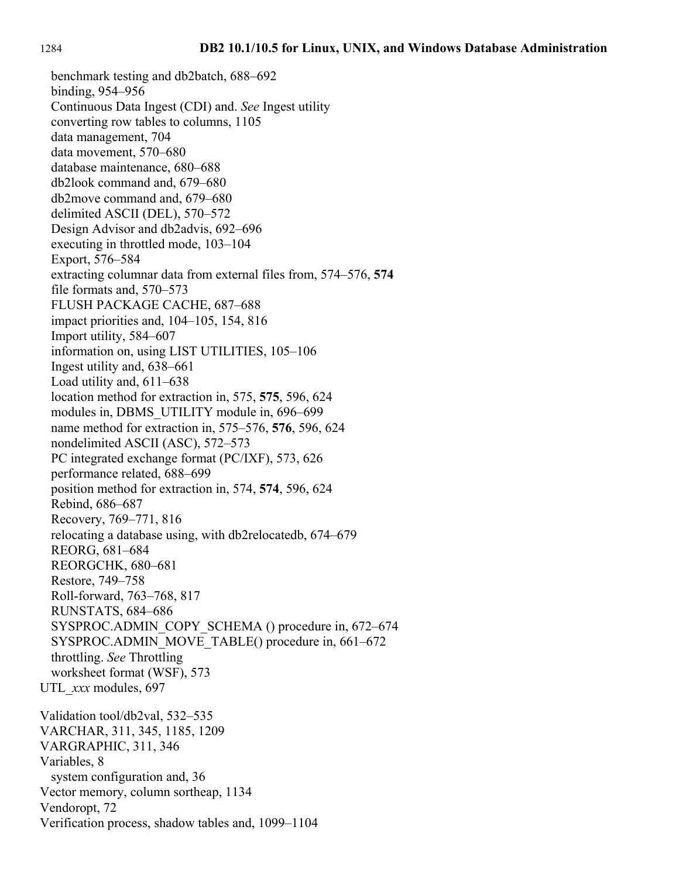benchmark testing and db2batch, 688–692 binding, 954–956 Continuous Data Ingest (CDI) and. *See* Ingest utility converting row tables to columns, 1105 data management, 704 data movement, 570–680 database maintenance, 680–688 db2look command and, 679–680 db2move command and, 679–680 delimited ASCII (DEL), 570–572 Design Advisor and db2advis, 692–696 executing in throttled mode, 103–104 Export, 576–584 extracting columnar data from external files from, 574–576, **574** file formats and, 570–573 FLUSH PACKAGE CACHE, 687–688 impact priorities and, 104–105, 154, 816 Import utility, 584–607 information on, using LIST UTILITIES, 105–106 Ingest utility and, 638–661 Load utility and, 611–638 location method for extraction in, 575, **575**, 596, 624 modules in, DBMS\_UTILITY module in, 696–699 name method for extraction in, 575–576, **576**, 596, 624 nondelimited ASCII (ASC), 572–573 PC integrated exchange format (PC/IXF), 573, 626 performance related, 688–699 position method for extraction in, 574, **574**, 596, 624 Rebind, 686–687 Recovery, 769–771, 816 relocating a database using, with db2relocatedb, 674–679 REORG, 681–684 REORGCHK, 680–681 Restore, 749–758 Roll-forward, 763–768, 817 RUNSTATS, 684–686 SYSPROC.ADMIN\_COPY\_SCHEMA () procedure in, 672–674 SYSPROC.ADMIN\_MOVE\_TABLE() procedure in, 661–672 throttling. *See* Throttling worksheet format (WSF), 573 UTL\_*xxx* modules, 697 Validation tool/db2val, 532–535 VARCHAR, 311, 345, 1185, 1209 VARGRAPHIC, 311, 346 Variables, 8 system configuration and, 36 Vector memory, column sortheap, 1134 Vendoropt, 72 Verification process, shadow tables and, 1099–1104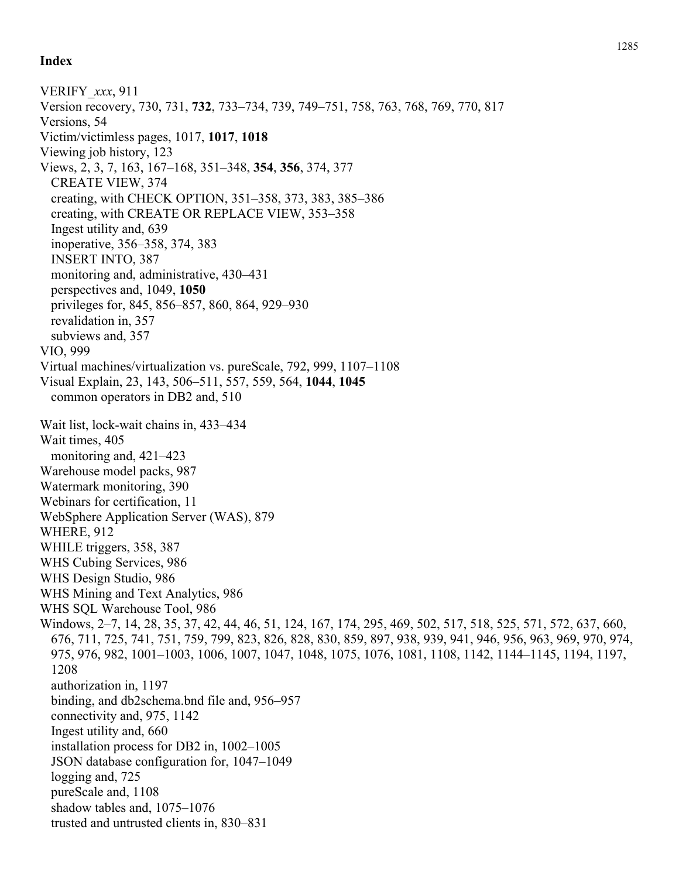## **Index**

VERIFY\_*xxx*, 911 Version recovery, 730, 731, **732**, 733–734, 739, 749–751, 758, 763, 768, 769, 770, 817 Versions, 54 Victim/victimless pages, 1017, **1017**, **1018** Viewing job history, 123 Views, 2, 3, 7, 163, 167–168, 351–348, **354**, **356**, 374, 377 CREATE VIEW, 374 creating, with CHECK OPTION, 351–358, 373, 383, 385–386 creating, with CREATE OR REPLACE VIEW, 353–358 Ingest utility and, 639 inoperative, 356–358, 374, 383 INSERT INTO, 387 monitoring and, administrative, 430–431 perspectives and, 1049, **1050** privileges for, 845, 856–857, 860, 864, 929–930 revalidation in, 357 subviews and, 357 VIO, 999 Virtual machines/virtualization vs. pureScale, 792, 999, 1107–1108 Visual Explain, 23, 143, 506–511, 557, 559, 564, **1044**, **1045** common operators in DB2 and, 510 Wait list, lock-wait chains in, 433–434 Wait times, 405 monitoring and, 421–423 Warehouse model packs, 987 Watermark monitoring, 390 Webinars for certification, 11 WebSphere Application Server (WAS), 879 WHERE, 912 WHILE triggers, 358, 387 WHS Cubing Services, 986 WHS Design Studio, 986 WHS Mining and Text Analytics, 986 WHS SQL Warehouse Tool, 986 Windows, 2–7, 14, 28, 35, 37, 42, 44, 46, 51, 124, 167, 174, 295, 469, 502, 517, 518, 525, 571, 572, 637, 660, 676, 711, 725, 741, 751, 759, 799, 823, 826, 828, 830, 859, 897, 938, 939, 941, 946, 956, 963, 969, 970, 974, 975, 976, 982, 1001–1003, 1006, 1007, 1047, 1048, 1075, 1076, 1081, 1108, 1142, 1144–1145, 1194, 1197, 1208 authorization in, 1197 binding, and db2schema.bnd file and, 956–957 connectivity and, 975, 1142 Ingest utility and, 660 installation process for DB2 in, 1002–1005 JSON database configuration for, 1047–1049 logging and, 725 pureScale and, 1108 shadow tables and, 1075–1076 trusted and untrusted clients in, 830–831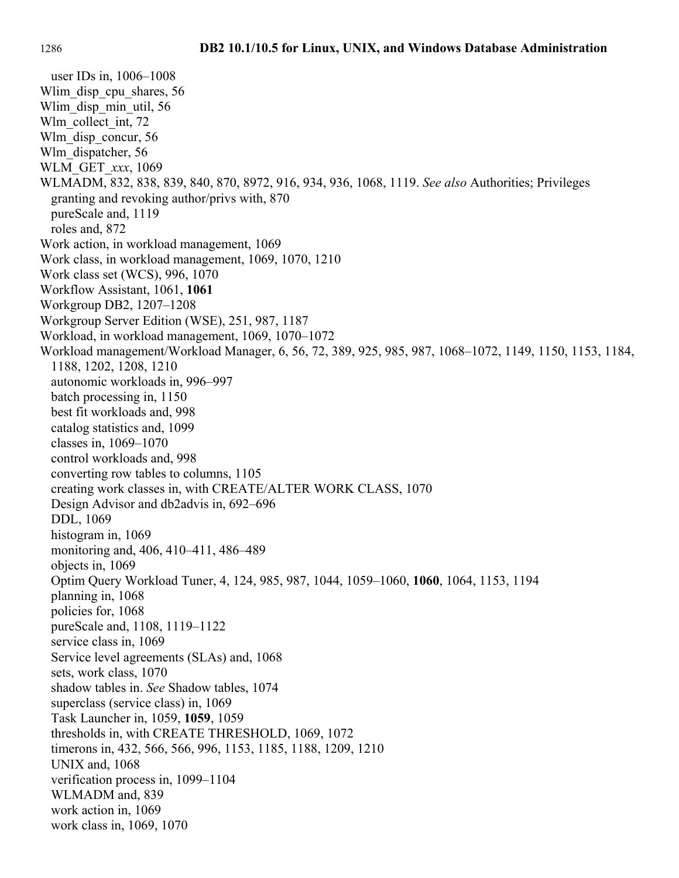user IDs in, 1006–1008 Wlim disp cpu shares, 56 Wlim\_disp\_min\_util, 56 Wlm\_collect\_int, 72 Wlm\_disp\_concur, 56 Wlm\_dispatcher, 56 WLM\_GET\_*xxx*, 1069 WLMADM, 832, 838, 839, 840, 870, 8972, 916, 934, 936, 1068, 1119. *See also* Authorities; Privileges granting and revoking author/privs with, 870 pureScale and, 1119 roles and, 872 Work action, in workload management, 1069 Work class, in workload management, 1069, 1070, 1210 Work class set (WCS), 996, 1070 Workflow Assistant, 1061, **1061** Workgroup DB2, 1207–1208 Workgroup Server Edition (WSE), 251, 987, 1187 Workload, in workload management, 1069, 1070–1072 Workload management/Workload Manager, 6, 56, 72, 389, 925, 985, 987, 1068–1072, 1149, 1150, 1153, 1184, 1188, 1202, 1208, 1210 autonomic workloads in, 996–997 batch processing in, 1150 best fit workloads and, 998 catalog statistics and, 1099 classes in, 1069–1070 control workloads and, 998 converting row tables to columns, 1105 creating work classes in, with CREATE/ALTER WORK CLASS, 1070 Design Advisor and db2advis in, 692–696 DDL, 1069 histogram in, 1069 monitoring and, 406, 410–411, 486–489 objects in, 1069 Optim Query Workload Tuner, 4, 124, 985, 987, 1044, 1059–1060, **1060**, 1064, 1153, 1194 planning in, 1068 policies for, 1068 pureScale and, 1108, 1119–1122 service class in, 1069 Service level agreements (SLAs) and, 1068 sets, work class, 1070 shadow tables in. *See* Shadow tables, 1074 superclass (service class) in, 1069 Task Launcher in, 1059, **1059**, 1059 thresholds in, with CREATE THRESHOLD, 1069, 1072 timerons in, 432, 566, 566, 996, 1153, 1185, 1188, 1209, 1210 UNIX and, 1068 verification process in, 1099–1104 WLMADM and, 839 work action in, 1069 work class in, 1069, 1070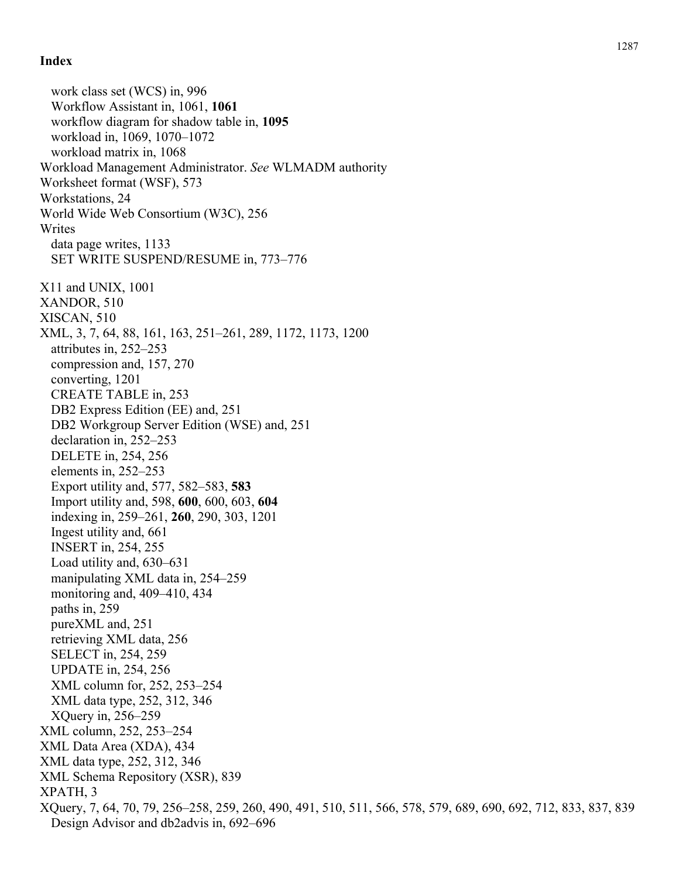## **Index**

work class set (WCS) in, 996 Workflow Assistant in, 1061, **1061** workflow diagram for shadow table in, **1095** workload in, 1069, 1070–1072 workload matrix in, 1068 Workload Management Administrator. *See* WLMADM authority Worksheet format (WSF), 573 Workstations, 24 World Wide Web Consortium (W3C), 256 Writes data page writes, 1133 SET WRITE SUSPEND/RESUME in, 773–776 X11 and UNIX, 1001 XANDOR, 510 XISCAN, 510 XML, 3, 7, 64, 88, 161, 163, 251–261, 289, 1172, 1173, 1200 attributes in, 252–253 compression and, 157, 270 converting, 1201 CREATE TABLE in, 253 DB2 Express Edition (EE) and, 251 DB2 Workgroup Server Edition (WSE) and, 251 declaration in, 252–253 DELETE in, 254, 256 elements in, 252–253 Export utility and, 577, 582–583, **583** Import utility and, 598, **600**, 600, 603, **604** indexing in, 259–261, **260**, 290, 303, 1201 Ingest utility and, 661 INSERT in, 254, 255 Load utility and, 630–631 manipulating XML data in, 254–259 monitoring and, 409–410, 434 paths in, 259 pureXML and, 251 retrieving XML data, 256 SELECT in, 254, 259 UPDATE in, 254, 256 XML column for, 252, 253–254 XML data type, 252, 312, 346 XQuery in, 256–259 XML column, 252, 253–254 XML Data Area (XDA), 434 XML data type, 252, 312, 346 XML Schema Repository (XSR), 839 XPATH, 3 XQuery, 7, 64, 70, 79, 256–258, 259, 260, 490, 491, 510, 511, 566, 578, 579, 689, 690, 692, 712, 833, 837, 839 Design Advisor and db2advis in, 692–696